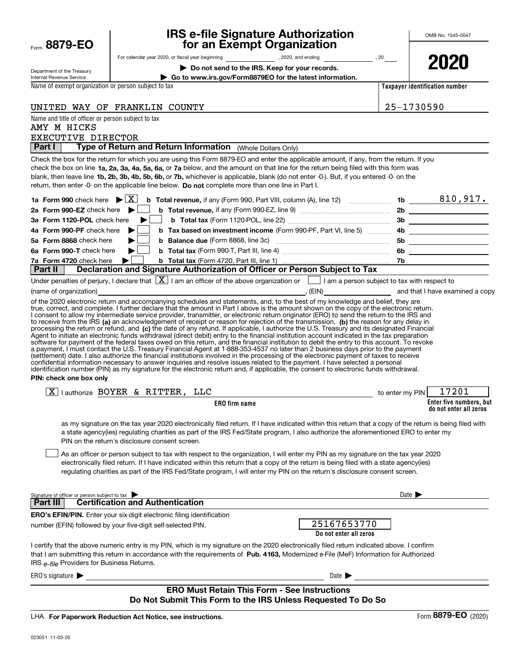| Form | 8879-EO |  |  |  |
|------|---------|--|--|--|
|------|---------|--|--|--|

### **IRS e-file Signature Authorization for an Exempt Organization**

| Department of the Treasury |
|----------------------------|
| Internal Revenue Service   |

For calendar year 2020, or fiscal year beginning and the set of the set of the set of the set of the set of the set of the set of the set of the set of the set of the set of the set of the set of the set of the set of the

**| Do not send to the IRS. Keep for your records.**

**2020**

**| Go to www.irs.gov/Form8879EO for the latest information.**

Name of exempt organization or person subject to tax

UNITED WAY OF FRANKLIN COUNTY **25-1730590** 

**Taxpayer identification number**

| Name and title of officer or person subject to tax<br>AMY M HICKS               |  |
|---------------------------------------------------------------------------------|--|
| EXECUTIVE DIRECTOR                                                              |  |
| Type of Return and Return Information (Whole Dollars Only)<br>Part $\mathsf{I}$ |  |
|                                                                                 |  |

check the box on line **1a, 2a, 3a, 4a, 5a, 6a,** or **7a** below, and the amount on that line for the return being filed with this form was blank, then leave line **1b, 2b, 3b, 4b, 5b, 6b, or 7b,** whichever is applicable, blank (do not enter -0-). But, if you entered -0- on the return, then enter -0- on the applicable line below. **Do not** complete more than one line in Part I. Check the box for the return for which you are using this Form 8879-EO and enter the applicable amount, if any, from the return. If you

|  |                                                                                                        |     | 810,917. |
|--|--------------------------------------------------------------------------------------------------------|-----|----------|
|  |                                                                                                        |     |          |
|  |                                                                                                        |     |          |
|  | 4b Form 990-PF check here <b>b</b> b Tax based on investment income (Form 990-PF, Part VI, line 5)  4b |     |          |
|  | 5a Form 8868 check here but be Balance due (Form 8868, line 3c) [[[[[[[[[[[[[[[[[[]]]]]]               | 5b  |          |
|  |                                                                                                        | -6b |          |
|  |                                                                                                        |     |          |
|  | <b>Part II Declaration and Signature Authorization of Officer or Person Subject to Tax</b>             |     |          |

| Under penalties of perjury, I declare that $\boxed{X}$ I am an officer of the above organization or $\boxed{\phantom{1}}$ I am a person subject to tax with respect to |       |                                 |
|------------------------------------------------------------------------------------------------------------------------------------------------------------------------|-------|---------------------------------|
| (name of organization)                                                                                                                                                 | (EIN) | and that I have examined a copy |

to receive from the IRS **(a)** an acknowledgement of receipt or reason for rejection of the transmission, **(b)** the reason for any delay in processing the return or refund, and (**c)** the date of any refund. If applicable, I authorize the U.S. Treasury and its designated Financial of the 2020 electronic return and accompanying schedules and statements, and, to the best of my knowledge and belief, they are true, correct, and complete. I further declare that the amount in Part I above is the amount shown on the copy of the electronic return. I consent to allow my intermediate service provider, transmitter, or electronic return originator (ERO) to send the return to the IRS and Agent to initiate an electronic funds withdrawal (direct debit) entry to the financial institution account indicated in the tax preparation<br>software for payment of the federal taxes owed on this return, and the financial i a payment, I must contact the U.S. Treasury Financial Agent at 1-888-353-4537 no later than 2 business days prior to the payment (settlement) date. I also authorize the financial institutions involved in the processing of the electronic payment of taxes to receive<br>confidential information necessary to answer inquiries and resolve issues related to t identification number (PIN) as my signature for the electronic return and, if applicable, the consent to electronic funds withdrawal.

### **PIN: check one box only**

| ক<br>authorize<br>A  | <b>BOYER</b> | $\boldsymbol{\alpha}$ | TTTER                                             | רחר | · PIN<br>to enter my | 7201 |
|----------------------|--------------|-----------------------|---------------------------------------------------|-----|----------------------|------|
| <b>ERO</b> firm name |              |                       | Enter five numbers, but<br>do not enter all zeros |     |                      |      |

as my signature on the tax year 2020 electronically filed return. If I have indicated within this return that a copy of the return is being filed with a state agency(ies) regulating charities as part of the IRS Fed/State program, I also authorize the aforementioned ERO to enter my PIN on the return's disclosure consent screen.

As an officer or person subject to tax with respect to the organization, I will enter my PIN as my signature on the tax year 2020 electronically filed return. If I have indicated within this return that a copy of the return is being filed with a state agency(ies) regulating charities as part of the IRS Fed/State program, I will enter my PIN on the return's disclosure consent screen.  $\mathcal{L}^{\text{max}}$ 

| Signature of officer or person subject to tax<br><b>Certification and Authentication</b><br>Part III                                                                                                                                                                                                                              | Date $\blacksquare$                   |
|-----------------------------------------------------------------------------------------------------------------------------------------------------------------------------------------------------------------------------------------------------------------------------------------------------------------------------------|---------------------------------------|
| <b>ERO's EFIN/PIN.</b> Enter your six-digit electronic filing identification<br>number (EFIN) followed by your five-digit self-selected PIN.                                                                                                                                                                                      | 25167653770<br>Do not enter all zeros |
| I certify that the above numeric entry is my PIN, which is my signature on the 2020 electronically filed return indicated above. I confirm<br>that I am submitting this return in accordance with the requirements of Pub. 4163. Modernized e-File (MeF) Information for Authorized<br>IRS e-file Providers for Business Returns. |                                       |
| $ERO's$ signature $\blacktriangleright$                                                                                                                                                                                                                                                                                           | Date $\blacktriangleright$            |

### **ERO Must Retain This Form - See Instructions Do Not Submit This Form to the IRS Unless Requested To Do So**

**For Paperwork Reduction Act Notice, see instructions.** LHA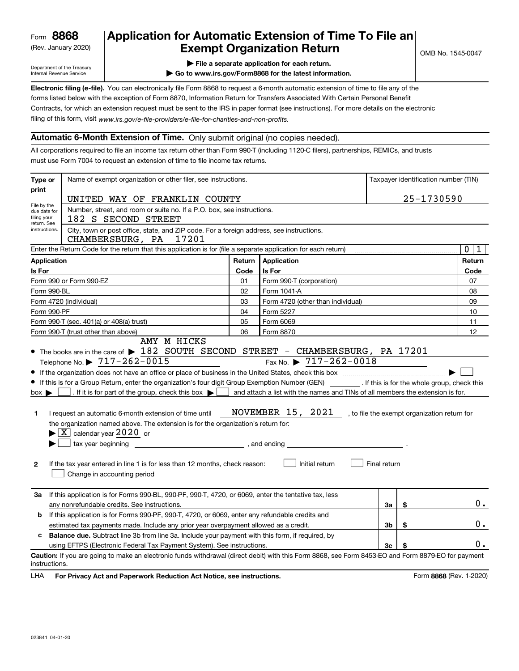(Rev. January 2020)

### **Application for Automatic Extension of Time To File an Exempt Organization Return**

Department of the Treasury Internal Revenue Service

- **| File a separate application for each return.**
- **| Go to www.irs.gov/Form8868 for the latest information.**

**Electronic filing (e-file).**  You can electronically file Form 8868 to request a 6-month automatic extension of time to file any of the filing of this form, visit www.irs.gov/e-file-providers/e-file-for-charities-and-non-profits. forms listed below with the exception of Form 8870, Information Return for Transfers Associated With Certain Personal Benefit Contracts, for which an extension request must be sent to the IRS in paper format (see instructions). For more details on the electronic

### **Automatic 6-Month Extension of Time.** Only submit original (no copies needed).

All corporations required to file an income tax return other than Form 990-T (including 1120-C filers), partnerships, REMICs, and trusts must use Form 7004 to request an extension of time to file income tax returns.

| Type or                                                   | Name of exempt organization or other filer, see instructions.                                                                                                                                                                                                                                                                                                                                                                                                                                                                                                                                                                                                                                                                                                                                                |        |                                                                                                                                                                                                             |              |    | Taxpayer identification number (TIN) |
|-----------------------------------------------------------|--------------------------------------------------------------------------------------------------------------------------------------------------------------------------------------------------------------------------------------------------------------------------------------------------------------------------------------------------------------------------------------------------------------------------------------------------------------------------------------------------------------------------------------------------------------------------------------------------------------------------------------------------------------------------------------------------------------------------------------------------------------------------------------------------------------|--------|-------------------------------------------------------------------------------------------------------------------------------------------------------------------------------------------------------------|--------------|----|--------------------------------------|
| print                                                     |                                                                                                                                                                                                                                                                                                                                                                                                                                                                                                                                                                                                                                                                                                                                                                                                              |        |                                                                                                                                                                                                             |              |    |                                      |
|                                                           | UNITED WAY OF FRANKLIN COUNTY                                                                                                                                                                                                                                                                                                                                                                                                                                                                                                                                                                                                                                                                                                                                                                                |        |                                                                                                                                                                                                             |              |    | 25-1730590                           |
| File by the<br>due date for<br>filing your<br>return. See | Number, street, and room or suite no. If a P.O. box, see instructions.<br>182 S SECOND STREET                                                                                                                                                                                                                                                                                                                                                                                                                                                                                                                                                                                                                                                                                                                |        |                                                                                                                                                                                                             |              |    |                                      |
| instructions.                                             | City, town or post office, state, and ZIP code. For a foreign address, see instructions.<br>17201<br>CHAMBERSBURG, PA                                                                                                                                                                                                                                                                                                                                                                                                                                                                                                                                                                                                                                                                                        |        |                                                                                                                                                                                                             |              |    |                                      |
|                                                           | Enter the Return Code for the return that this application is for (file a separate application for each return)                                                                                                                                                                                                                                                                                                                                                                                                                                                                                                                                                                                                                                                                                              |        |                                                                                                                                                                                                             |              |    | $\mathbf 0$<br>1                     |
| <b>Application</b>                                        |                                                                                                                                                                                                                                                                                                                                                                                                                                                                                                                                                                                                                                                                                                                                                                                                              | Return | Application                                                                                                                                                                                                 |              |    | Return                               |
| Is For                                                    |                                                                                                                                                                                                                                                                                                                                                                                                                                                                                                                                                                                                                                                                                                                                                                                                              | Code   | Is For                                                                                                                                                                                                      |              |    | Code                                 |
|                                                           | Form 990 or Form 990-EZ                                                                                                                                                                                                                                                                                                                                                                                                                                                                                                                                                                                                                                                                                                                                                                                      | 01     | Form 990-T (corporation)                                                                                                                                                                                    |              |    | 07                                   |
| Form 990-BL                                               |                                                                                                                                                                                                                                                                                                                                                                                                                                                                                                                                                                                                                                                                                                                                                                                                              | 02     | Form 1041-A                                                                                                                                                                                                 |              |    | 08                                   |
|                                                           | Form 4720 (individual)                                                                                                                                                                                                                                                                                                                                                                                                                                                                                                                                                                                                                                                                                                                                                                                       | 03     | Form 4720 (other than individual)                                                                                                                                                                           |              |    | 09                                   |
| Form 990-PF                                               |                                                                                                                                                                                                                                                                                                                                                                                                                                                                                                                                                                                                                                                                                                                                                                                                              | 04     | Form 5227                                                                                                                                                                                                   |              |    | 10                                   |
|                                                           | Form 990-T (sec. 401(a) or 408(a) trust)                                                                                                                                                                                                                                                                                                                                                                                                                                                                                                                                                                                                                                                                                                                                                                     | 05     | Form 6069                                                                                                                                                                                                   |              |    | 11                                   |
|                                                           | Form 990-T (trust other than above)                                                                                                                                                                                                                                                                                                                                                                                                                                                                                                                                                                                                                                                                                                                                                                          | 06     | Form 8870                                                                                                                                                                                                   |              |    | 12                                   |
| $box \blacktriangleright$<br>1.<br>$\mathbf{2}$           | • The books are in the care of $\blacktriangleright$ 182 SOUTH SECOND STREET - CHAMBERSBURG, PA 17201<br>Telephone No. $\triangleright$ $\frac{717-262-0015}{ }$<br>If this is for a Group Return, enter the organization's four digit Group Exemption Number (GEN) [If this is for the whole group, check this<br>. If it is for part of the group, check this box $\blacktriangleright$<br>$\sim$ 1<br>I request an automatic 6-month extension of time until<br>the organization named above. The extension is for the organization's return for:<br>$\blacktriangleright$ $\boxed{\text{X}}$ calendar year 2020 or<br>tax year beginning<br>$\frac{1}{\sqrt{1-\frac{1}{2}}}\$ , and ending<br>If the tax year entered in line 1 is for less than 12 months, check reason:<br>Change in accounting period |        | Fax No. $\triangleright$ 717-262-0018<br>and attach a list with the names and TINs of all members the extension is for.<br>NOVEMBER 15, 2021 , to file the exempt organization return for<br>Initial return | Final return |    |                                      |
| За                                                        | If this application is for Forms 990-BL, 990-PF, 990-T, 4720, or 6069, enter the tentative tax, less                                                                                                                                                                                                                                                                                                                                                                                                                                                                                                                                                                                                                                                                                                         |        |                                                                                                                                                                                                             |              |    |                                      |
|                                                           | any nonrefundable credits. See instructions.                                                                                                                                                                                                                                                                                                                                                                                                                                                                                                                                                                                                                                                                                                                                                                 |        |                                                                                                                                                                                                             | За           | \$ | 0.                                   |
| b                                                         | If this application is for Forms 990-PF, 990-T, 4720, or 6069, enter any refundable credits and                                                                                                                                                                                                                                                                                                                                                                                                                                                                                                                                                                                                                                                                                                              |        |                                                                                                                                                                                                             |              |    |                                      |
|                                                           | estimated tax payments made. Include any prior year overpayment allowed as a credit.                                                                                                                                                                                                                                                                                                                                                                                                                                                                                                                                                                                                                                                                                                                         |        |                                                                                                                                                                                                             | 3b           | \$ | 0.                                   |
| c                                                         | <b>Balance due.</b> Subtract line 3b from line 3a. Include your payment with this form, if required, by                                                                                                                                                                                                                                                                                                                                                                                                                                                                                                                                                                                                                                                                                                      |        |                                                                                                                                                                                                             |              |    | 0.                                   |
| instructions.                                             | using EFTPS (Electronic Federal Tax Payment System). See instructions.<br>Caution: If you are going to make an electronic funds withdrawal (direct debit) with this Form 8868, see Form 8453-EO and Form 8879-EO for payment                                                                                                                                                                                                                                                                                                                                                                                                                                                                                                                                                                                 |        |                                                                                                                                                                                                             | Зс           |    |                                      |

**HA** For Privacy Act and Paperwork Reduction Act Notice, see instructions. **But a struction of the Constantion Constant** Form 8868 (Rev. 1-2020) LHA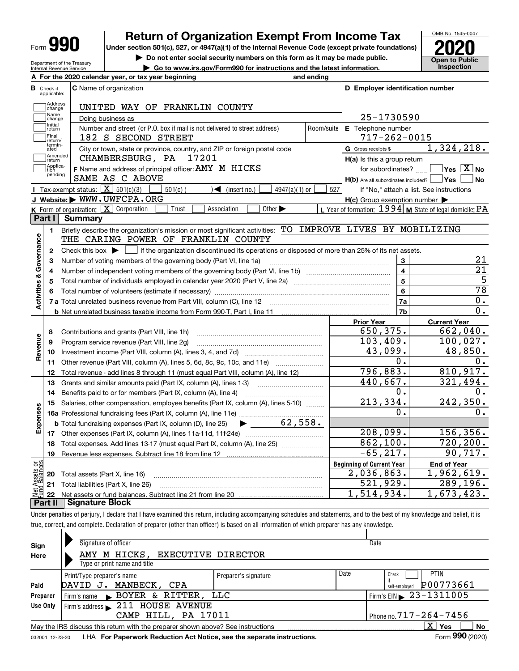| Form | п |
|------|---|
|------|---|

**A**

**B**

Department of the Treasury Internal Revenue Service

### **Return of Organization Exempt From Income Tax**

**Under section 501(c), 527, or 4947(a)(1) of the Internal Revenue Code (except private foundations) 2020**

**| Do not enter social security numbers on this form as it may be made public.**

**| Go to www.irs.gov/Form990 for instructions and the latest information. Inspection**



 $0$  .

 $0.$ 

0.

 **For the 2020 calendar year, or tax year beginning and ending C** Name of organization **C D Employer identification number** Check if applicable: **Address**<br>Change UNITED WAY OF FRANKLIN COUNTY Name<br>Change 25-1730590 Doing business as Initial<br>
return **E** Telephone number Number and street (or P.O. box if mail is not delivered to street address)  $\qquad \qquad \mid$  Room/suite  $\mid$  E Telephone number 182 S SECOND STREET  $|$  177-262-0015 Final return/ termin-atedG Gross receipts \$ 1,324,218.  $\overline{e}$  City or town, state or province, country, and ZIP or foreign postal code  $\overline{G}$  Gross receipts \$ **communisment**<br> **return** CHAMBERSBURG, PA 17201 **H(a)** Is this a group return Applica-tion pending **F**  $\frac{1}{2}$  **F** Name and address of principal officer: AMY M HICKS **ACCO F** 1 and subordinates?  $\frac{1}{2}$  **Yes X** No for subordinates?  $Y$ es  $\boxed{X}$  No SAME AS C ABOVE  $H(b)$  Are all subordinates included? **Yes No** Tax-exempt status:  $\boxed{\mathbf{X}}$  501(c)(3)  $\boxed{\phantom{0}}$  501(c)(  $\phantom{0}$  )  $\blacktriangleleft$  (insert no.)  $\boxed{\phantom{0}}$  4947(a)(1) or  $\boxed{\phantom{0}}$ 501(c) (301(c)  $\left(3\right)$  (insert no.) 4947(a)(1) or  $527$ If "No," attach a list. See instructions **JWebsite: |** WWW.UWFCPA.ORG **H(c)** Group exemption number Form of organization:  $\boxed{\textbf{X}}$  Corporation  $\boxed{\phantom{\textbf{X}}\phantom{\textbf{X}}}$  Trust  $\boxed{\phantom{\textbf{X}}\phantom{\textbf{X}}}$  Association  $\boxed{\phantom{\textbf{X}}\phantom{\textbf{X}}}$  Other  $\blacktriangleright\phantom{\textbf{X}}\phantom{\textbf{X}}$   $\phantom{\textbf{X}}\blacksquare$  Year of formation:  $1994$  **M** State of le **K** Form of organization:  $\boxed{\mathbf{X}}$  Corporation  $\boxed{\phantom{a}}$  Trust  $\boxed{\phantom{a}}$  Association **LPart I Summary 1**Briefly describe the organization's mission or most significant activities:  $\,$  TO  $\,$  <code>IMPROVE LIVES BY</code>  $\,$  <code>MOBILIZING</code> **Activities & Governance Activities & Governance** THE CARING POWER OF FRANKLIN COUNTY Check this box  $\blacktriangleright$  if the organization discontinued its operations or disposed of more than 25% of its net assets. **2**Check this hox  $\blacktriangleright$ **3**Number of voting members of the governing body (Part VI, line 1a) ………………………………………………… **34**Number of independent voting members of the governing body (Part VI, line 1b) ………………………………… **4**Total number of individuals employed in calendar year 2020 (Part V, line 2a) **5566**Total number of volunteers (estimate if necessary) …………………………………………………………………………… ~~~~~~~~~~~~~~~~~~~~**7a7a**Total unrelated business revenue from Part VIII, column (C), line 12 **7bb** Net unrelated business taxable income from Form 990-T, Part I, line 11 **Prior Year Current Year** 650,375. 662,040. Contributions and grants (Part VIII, line 1h) **8**Revenue **Revenue** 103,409. 100,027. **9**Program service revenue (Part VIII, line 2g) ~~~~~~~~~~~~~~~~~~~~~ Investment income (Part VIII, column (A), lines 3, 4, and 7d) ~~~~~~~~~~~~~ 43,099. 48,850. **1011**Other revenue (Part VIII, column (A), lines 5, 6d, 8c, 9c, 10c, and 11e)  $\ldots$ 0. Total revenue - add lines 8 through 11 (must equal Part VIII, column (A), line 12) ......... 796,883. 810,917. **12**321,494. 440,667. **13**Grants and similar amounts paid (Part IX, column (A), lines 1-3) www.commun.commu 0. **14**Benefits paid to or for members (Part IX, column (A), line 4) 213,334. 242,350. **15**Salaries, other compensation, employee benefits (Part IX, column (A), lines 5-10)  $\,$  , , , , , , , **Expenses** 0. **16a**Professional fundraising fees (Part IX, column (A), line 11e) ~~~~~~~~~~~~~~ | 62,558. **b**Total fundraising expenses (Part IX, column (D), line 25) 208,099.156,356. **17**Other expenses (Part IX, column (A), lines 11a-11d, 11f-24e) ………………………………… 862,100. 720,200. **18**Total expenses. Add lines 13-17 (must equal Part IX, column (A), line 25) ~~~~~~~ $-65,217.$  90,  $717.$ **19**Revenue less expenses. Subtract line 18 from line 12 **Beginning of Current Year** vet Assets or<br>und Balances **End of Year** Total assets (Part X, line 16) 2,036,863. 1,962,619. **20**521,929. 289,196. **21**Total liabilities (Part X, line 26) **22**Net assets or fund balances. Subtract line 21 from line 20 1,514,934. 1,673,423. **Part II Signature Block**

Under penalties of perjury, I declare that I have examined this return, including accompanying schedules and statements, and to the best of my knowledge and belief, it is true, correct, and complete. Declaration of preparer (other than officer) is based on all information of which preparer has any knowledge.

| Sign     | Signature of officer                                                                                                |                      |                                        | Date                       |  |  |  |  |
|----------|---------------------------------------------------------------------------------------------------------------------|----------------------|----------------------------------------|----------------------------|--|--|--|--|
| Here     | AMY M HICKS, EXECUTIVE DIRECTOR                                                                                     |                      |                                        |                            |  |  |  |  |
|          | Type or print name and title                                                                                        |                      |                                        |                            |  |  |  |  |
|          | Print/Type preparer's name                                                                                          | Preparer's signature | Date                                   | <b>PTIN</b><br>Check       |  |  |  |  |
| Paid     | MANBECK,<br>DAVID J.<br>CPA                                                                                         |                      |                                        | P00773661<br>self-employed |  |  |  |  |
| Preparer | Firm's name $\triangleright$ BOYER & RITTER,<br>LLC                                                                 |                      | Firm's EIN $\triangleright$ 23-1311005 |                            |  |  |  |  |
| Use Only | Firm's address > 211 HOUSE AVENUE                                                                                   |                      |                                        |                            |  |  |  |  |
|          | CAMP HILL, PA 17011                                                                                                 |                      | Phone no. $717 - 264 - 7456$           |                            |  |  |  |  |
|          | $\mathbf{x}$<br><b>No</b><br>Yes<br>May the IRS discuss this return with the preparer shown above? See instructions |                      |                                        |                            |  |  |  |  |
|          | Form 990 (2020)<br>LHA For Paperwork Reduction Act Notice, see the separate instructions.<br>032001 12-23-20        |                      |                                        |                            |  |  |  |  |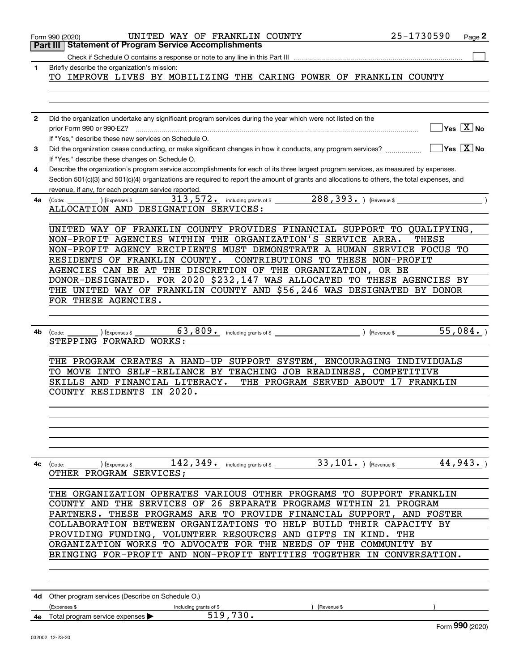|              | 25-1730590<br>UNITED WAY OF FRANKLIN COUNTY<br>Page 2<br>Form 990 (2020)                                                                                                                                                                                                                                                                                                                                                                                                                                                                    |
|--------------|---------------------------------------------------------------------------------------------------------------------------------------------------------------------------------------------------------------------------------------------------------------------------------------------------------------------------------------------------------------------------------------------------------------------------------------------------------------------------------------------------------------------------------------------|
|              | <b>Part III Statement of Program Service Accomplishments</b>                                                                                                                                                                                                                                                                                                                                                                                                                                                                                |
|              |                                                                                                                                                                                                                                                                                                                                                                                                                                                                                                                                             |
| 1            | Briefly describe the organization's mission:<br>TO IMPROVE LIVES BY MOBILIZING THE CARING POWER OF FRANKLIN COUNTY                                                                                                                                                                                                                                                                                                                                                                                                                          |
| $\mathbf{2}$ | Did the organization undertake any significant program services during the year which were not listed on the                                                                                                                                                                                                                                                                                                                                                                                                                                |
|              | $\overline{\mathsf{Yes} \mathrel{\overline{X}}$ No<br>prior Form 990 or 990-EZ?<br>If "Yes," describe these new services on Schedule O.                                                                                                                                                                                                                                                                                                                                                                                                     |
| 3            | $ Yes X $ No<br>Did the organization cease conducting, or make significant changes in how it conducts, any program services?<br>If "Yes," describe these changes on Schedule O.                                                                                                                                                                                                                                                                                                                                                             |
| 4            | Describe the organization's program service accomplishments for each of its three largest program services, as measured by expenses.<br>Section 501(c)(3) and 501(c)(4) organizations are required to report the amount of grants and allocations to others, the total expenses, and<br>revenue, if any, for each program service reported.                                                                                                                                                                                                 |
| 4a           | 288, 393. (Revenue \$<br>$_0$ (Expenses \$ $_3$ 313, 572. including grants of \$<br>(Code:<br>ALLOCATION AND DESIGNATION SERVICES:                                                                                                                                                                                                                                                                                                                                                                                                          |
|              | UNITED WAY OF FRANKLIN COUNTY PROVIDES FINANCIAL SUPPORT TO QUALIFYING,<br>NON-PROFIT AGENCIES WITHIN THE ORGANIZATION'S SERVICE AREA.<br>THESE<br>NON-PROFIT AGENCY RECIPIENTS MUST DEMONSTRATE A HUMAN SERVICE FOCUS TO<br>RESIDENTS OF FRANKLIN COUNTY.<br>CONTRIBUTIONS TO THESE NON-PROFIT<br>AGENCIES CAN BE AT THE DISCRETION OF THE ORGANIZATION, OR BE<br>DONOR-DESIGNATED. FOR 2020 \$232,147 WAS ALLOCATED TO THESE AGENCIES BY<br>THE UNITED WAY OF FRANKLIN COUNTY AND \$56,246 WAS DESIGNATED BY DONOR<br>FOR THESE AGENCIES. |
|              |                                                                                                                                                                                                                                                                                                                                                                                                                                                                                                                                             |
| 4b           | 63,809. including grants of \$ (Revenue \$ 55,084.)<br>(Expenses \$<br>(Code:<br>STEPPING FORWARD WORKS:                                                                                                                                                                                                                                                                                                                                                                                                                                    |
|              | THE PROGRAM CREATES A HAND-UP SUPPORT SYSTEM, ENCOURAGING INDIVIDUALS<br>TO MOVE INTO SELF-RELIANCE BY TEACHING JOB READINESS, COMPETITIVE<br>SKILLS AND FINANCIAL LITERACY.<br>THE PROGRAM SERVED ABOUT 17 FRANKLIN<br>IN 2020.<br>COUNTY RESIDENTS                                                                                                                                                                                                                                                                                        |
|              | 142, 349. including grants of \$ 33, 101. ) (Revenue \$ 44, 943. )<br><b>4c</b> (Code: <u>Code: )</u> (Expenses \$<br>OTHER PROGRAM SERVICES;                                                                                                                                                                                                                                                                                                                                                                                               |
|              | THE ORGANIZATION OPERATES VARIOUS OTHER PROGRAMS TO SUPPORT FRANKLIN<br>COUNTY AND THE SERVICES OF 26 SEPARATE PROGRAMS WITHIN 21 PROGRAM<br>PARTNERS. THESE PROGRAMS ARE TO PROVIDE FINANCIAL SUPPORT, AND FOSTER<br>COLLABORATION BETWEEN ORGANIZATIONS TO HELP BUILD THEIR CAPACITY BY<br>PROVIDING FUNDING, VOLUNTEER RESOURCES AND GIFTS IN KIND.<br>THE<br>ORGANIZATION WORKS TO ADVOCATE FOR THE NEEDS OF THE COMMUNITY BY<br>BRINGING FOR-PROFIT AND NON-PROFIT ENTITIES TOGETHER IN CONVERSATION.                                  |
|              | 4d Other program services (Describe on Schedule O.)                                                                                                                                                                                                                                                                                                                                                                                                                                                                                         |
|              | (Expenses \$<br>including grants of \$<br>Revenue \$<br>519,730.<br>4e Total program service expenses                                                                                                                                                                                                                                                                                                                                                                                                                                       |
|              | Form 990 (2020)                                                                                                                                                                                                                                                                                                                                                                                                                                                                                                                             |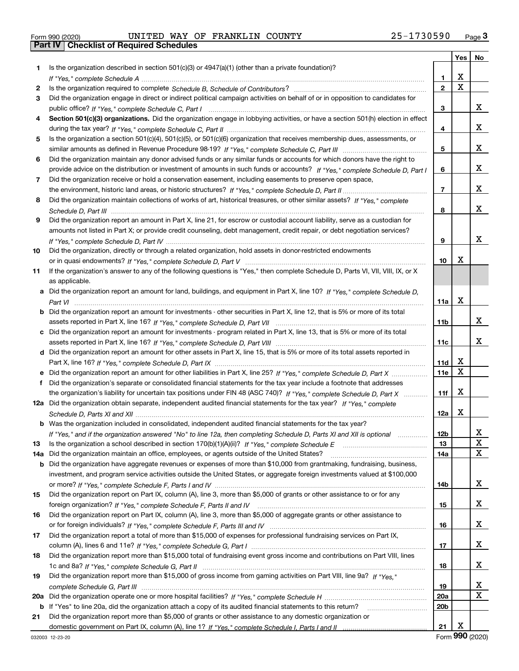|  | Form 990 (2020) |  |
|--|-----------------|--|

## Form 990 (2020) Page **3Part IV Checklist of Required Schedules** UNITED WAY OF FRANKLIN COUNTY 25-1730590

|     |                                                                                                                                                    |                 |                         | Yes   No                |
|-----|----------------------------------------------------------------------------------------------------------------------------------------------------|-----------------|-------------------------|-------------------------|
| 1   | Is the organization described in section $501(c)(3)$ or $4947(a)(1)$ (other than a private foundation)?                                            |                 |                         |                         |
|     |                                                                                                                                                    | 1               | х                       |                         |
| 2   |                                                                                                                                                    | $\mathbf{2}$    | $\overline{\mathbf{x}}$ |                         |
| 3   | Did the organization engage in direct or indirect political campaign activities on behalf of or in opposition to candidates for                    |                 |                         |                         |
|     |                                                                                                                                                    | 3               |                         | x                       |
| 4   | Section 501(c)(3) organizations. Did the organization engage in lobbying activities, or have a section 501(h) election in effect                   |                 |                         |                         |
|     |                                                                                                                                                    | 4               |                         | x                       |
| 5   | Is the organization a section 501(c)(4), 501(c)(5), or 501(c)(6) organization that receives membership dues, assessments, or                       |                 |                         |                         |
|     |                                                                                                                                                    | 5               |                         | x                       |
| 6   | Did the organization maintain any donor advised funds or any similar funds or accounts for which donors have the right to                          |                 |                         |                         |
|     | provide advice on the distribution or investment of amounts in such funds or accounts? If "Yes," complete Schedule D, Part I                       | 6               |                         | x                       |
| 7   | Did the organization receive or hold a conservation easement, including easements to preserve open space,                                          |                 |                         |                         |
|     |                                                                                                                                                    | $\overline{7}$  |                         | x                       |
| 8   | Did the organization maintain collections of works of art, historical treasures, or other similar assets? If "Yes," complete                       |                 |                         |                         |
|     |                                                                                                                                                    | 8               |                         | x                       |
| 9   | Did the organization report an amount in Part X, line 21, for escrow or custodial account liability, serve as a custodian for                      |                 |                         |                         |
|     | amounts not listed in Part X; or provide credit counseling, debt management, credit repair, or debt negotiation services?                          |                 |                         |                         |
|     |                                                                                                                                                    | 9               |                         | x                       |
| 10  | Did the organization, directly or through a related organization, hold assets in donor-restricted endowments                                       |                 | х                       |                         |
|     |                                                                                                                                                    | 10              |                         |                         |
| 11  | If the organization's answer to any of the following questions is "Yes," then complete Schedule D, Parts VI, VII, VIII, IX, or X<br>as applicable. |                 |                         |                         |
|     | Did the organization report an amount for land, buildings, and equipment in Part X, line 10? If "Yes," complete Schedule D,                        |                 |                         |                         |
|     |                                                                                                                                                    | 11a             | х                       |                         |
| b   | Did the organization report an amount for investments - other securities in Part X, line 12, that is 5% or more of its total                       |                 |                         |                         |
|     |                                                                                                                                                    | 11b             |                         | x                       |
|     | c Did the organization report an amount for investments - program related in Part X, line 13, that is 5% or more of its total                      |                 |                         |                         |
|     |                                                                                                                                                    | 11c             |                         | x                       |
|     | d Did the organization report an amount for other assets in Part X, line 15, that is 5% or more of its total assets reported in                    |                 |                         |                         |
|     |                                                                                                                                                    | 11d             | x                       |                         |
|     |                                                                                                                                                    | 11e             | $\mathbf X$             |                         |
| f   | Did the organization's separate or consolidated financial statements for the tax year include a footnote that addresses                            |                 |                         |                         |
|     | the organization's liability for uncertain tax positions under FIN 48 (ASC 740)? If "Yes," complete Schedule D, Part X                             | 11f             | х                       |                         |
|     | 12a Did the organization obtain separate, independent audited financial statements for the tax year? If "Yes," complete                            |                 |                         |                         |
|     |                                                                                                                                                    | 12a             | х                       |                         |
|     | <b>b</b> Was the organization included in consolidated, independent audited financial statements for the tax year?                                 |                 |                         |                         |
|     | If "Yes," and if the organization answered "No" to line 12a, then completing Schedule D, Parts XI and XII is optional                              | 12 <sub>b</sub> |                         | 43.                     |
| 13  |                                                                                                                                                    | 13              |                         | X                       |
| 14a | Did the organization maintain an office, employees, or agents outside of the United States?                                                        | 14a             |                         | X                       |
| b   | Did the organization have aggregate revenues or expenses of more than \$10,000 from grantmaking, fundraising, business,                            |                 |                         |                         |
|     | investment, and program service activities outside the United States, or aggregate foreign investments valued at \$100,000                         |                 |                         |                         |
|     |                                                                                                                                                    | 14b             |                         | X                       |
| 15  | Did the organization report on Part IX, column (A), line 3, more than \$5,000 of grants or other assistance to or for any                          |                 |                         |                         |
|     |                                                                                                                                                    | 15              |                         | X                       |
| 16  | Did the organization report on Part IX, column (A), line 3, more than \$5,000 of aggregate grants or other assistance to                           |                 |                         | X                       |
|     | Did the organization report a total of more than \$15,000 of expenses for professional fundraising services on Part IX,                            | 16              |                         |                         |
| 17  |                                                                                                                                                    | 17              |                         | X                       |
| 18  | Did the organization report more than \$15,000 total of fundraising event gross income and contributions on Part VIII, lines                       |                 |                         |                         |
|     |                                                                                                                                                    | 18              |                         | x                       |
| 19  | Did the organization report more than \$15,000 of gross income from gaming activities on Part VIII, line 9a? If "Yes."                             |                 |                         |                         |
|     |                                                                                                                                                    | 19              |                         | X                       |
| 20a |                                                                                                                                                    | 20a             |                         | $\overline{\mathbf{X}}$ |
| b   | If "Yes" to line 20a, did the organization attach a copy of its audited financial statements to this return?                                       | 20b             |                         |                         |
| 21  | Did the organization report more than \$5,000 of grants or other assistance to any domestic organization or                                        |                 |                         |                         |
|     |                                                                                                                                                    | 21              | х                       |                         |

Form (2020) **990**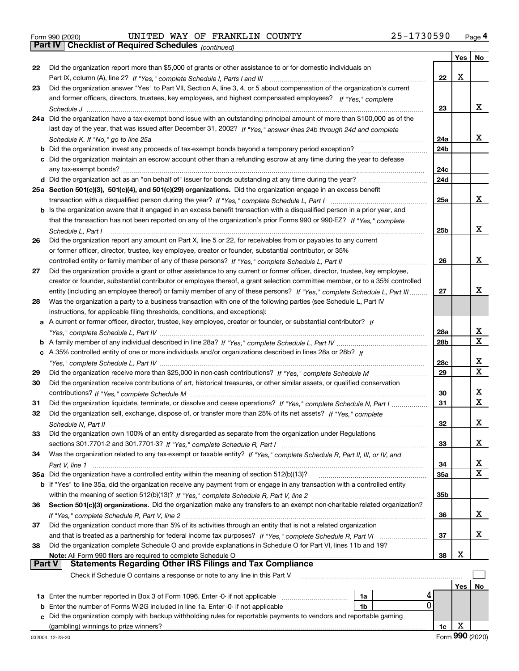*(continued)*

|               |                                                                                                                              |                 | Yes | No |
|---------------|------------------------------------------------------------------------------------------------------------------------------|-----------------|-----|----|
| 22            | Did the organization report more than \$5,000 of grants or other assistance to or for domestic individuals on                |                 |     |    |
|               |                                                                                                                              | 22              | X   |    |
| 23            | Did the organization answer "Yes" to Part VII, Section A, line 3, 4, or 5 about compensation of the organization's current   |                 |     |    |
|               | and former officers, directors, trustees, key employees, and highest compensated employees? If "Yes," complete               |                 |     |    |
|               |                                                                                                                              | 23              |     | x  |
|               | 24a Did the organization have a tax-exempt bond issue with an outstanding principal amount of more than \$100,000 as of the  |                 |     |    |
|               | last day of the year, that was issued after December 31, 2002? If "Yes," answer lines 24b through 24d and complete           |                 |     |    |
|               |                                                                                                                              | 24a             |     | x  |
|               | <b>b</b> Did the organization invest any proceeds of tax-exempt bonds beyond a temporary period exception?                   | 24b             |     |    |
|               | c Did the organization maintain an escrow account other than a refunding escrow at any time during the year to defease       |                 |     |    |
|               |                                                                                                                              | 24c             |     |    |
|               |                                                                                                                              | 24d             |     |    |
|               | 25a Section 501(c)(3), 501(c)(4), and 501(c)(29) organizations. Did the organization engage in an excess benefit             |                 |     |    |
|               |                                                                                                                              | 25a             |     | x  |
|               | b Is the organization aware that it engaged in an excess benefit transaction with a disqualified person in a prior year, and |                 |     |    |
|               | that the transaction has not been reported on any of the organization's prior Forms 990 or 990-EZ? If "Yes," complete        |                 |     |    |
|               | Schedule L. Part I                                                                                                           | 25 <sub>b</sub> |     | х  |
| 26            | Did the organization report any amount on Part X, line 5 or 22, for receivables from or payables to any current              |                 |     |    |
|               | or former officer, director, trustee, key employee, creator or founder, substantial contributor, or 35%                      |                 |     |    |
|               | controlled entity or family member of any of these persons? If "Yes," complete Schedule L, Part II                           | 26              |     | x  |
| 27            | Did the organization provide a grant or other assistance to any current or former officer, director, trustee, key employee,  |                 |     |    |
|               | creator or founder, substantial contributor or employee thereof, a grant selection committee member, or to a 35% controlled  |                 |     | x  |
|               | entity (including an employee thereof) or family member of any of these persons? If "Yes," complete Schedule L, Part III     | 27              |     |    |
| 28            | Was the organization a party to a business transaction with one of the following parties (see Schedule L, Part IV            |                 |     |    |
|               | instructions, for applicable filing thresholds, conditions, and exceptions):                                                 |                 |     |    |
|               | a A current or former officer, director, trustee, key employee, creator or founder, or substantial contributor? If           | 28a             |     | X  |
|               |                                                                                                                              | 28 <sub>b</sub> |     | X  |
|               | c A 35% controlled entity of one or more individuals and/or organizations described in lines 28a or 28b? If                  |                 |     |    |
|               |                                                                                                                              | 28c             |     | х  |
| 29            |                                                                                                                              | 29              |     | х  |
| 30            | Did the organization receive contributions of art, historical treasures, or other similar assets, or qualified conservation  |                 |     |    |
|               |                                                                                                                              | 30              |     | X  |
| 31            | Did the organization liquidate, terminate, or dissolve and cease operations? If "Yes," complete Schedule N, Part I           | 31              |     | X  |
| 32            | Did the organization sell, exchange, dispose of, or transfer more than 25% of its net assets? If "Yes," complete             |                 |     |    |
|               |                                                                                                                              | 32              |     | x  |
| 33            | Did the organization own 100% of an entity disregarded as separate from the organization under Regulations                   |                 |     |    |
|               |                                                                                                                              | 33              |     | x  |
| 34            | Was the organization related to any tax-exempt or taxable entity? If "Yes," complete Schedule R, Part II, III, or IV, and    |                 |     |    |
|               |                                                                                                                              | 34              |     | x  |
|               | 35a Did the organization have a controlled entity within the meaning of section 512(b)(13)?                                  | 35a             |     | X  |
|               | b If "Yes" to line 35a, did the organization receive any payment from or engage in any transaction with a controlled entity  |                 |     |    |
|               |                                                                                                                              | 35 <sub>b</sub> |     |    |
| 36            | Section 501(c)(3) organizations. Did the organization make any transfers to an exempt non-charitable related organization?   |                 |     |    |
|               |                                                                                                                              | 36              |     | X  |
| 37            | Did the organization conduct more than 5% of its activities through an entity that is not a related organization             |                 |     |    |
|               |                                                                                                                              | 37              |     | x  |
| 38            | Did the organization complete Schedule O and provide explanations in Schedule O for Part VI, lines 11b and 19?               |                 |     |    |
|               | Note: All Form 990 filers are required to complete Schedule O                                                                | 38              | х   |    |
| <b>Part V</b> | <b>Statements Regarding Other IRS Filings and Tax Compliance</b>                                                             |                 |     |    |
|               | Check if Schedule O contains a response or note to any line in this Part V                                                   |                 |     |    |
|               |                                                                                                                              |                 | Yes | No |
|               | 4<br>1a                                                                                                                      |                 |     |    |
|               | 0<br><b>b</b> Enter the number of Forms W-2G included in line 1a. Enter -0- if not applicable<br>1b                          |                 |     |    |
| c             | Did the organization comply with backup withholding rules for reportable payments to vendors and reportable gaming           |                 | х   |    |
|               | (gambling) winnings to prize winners?                                                                                        | 1c              |     |    |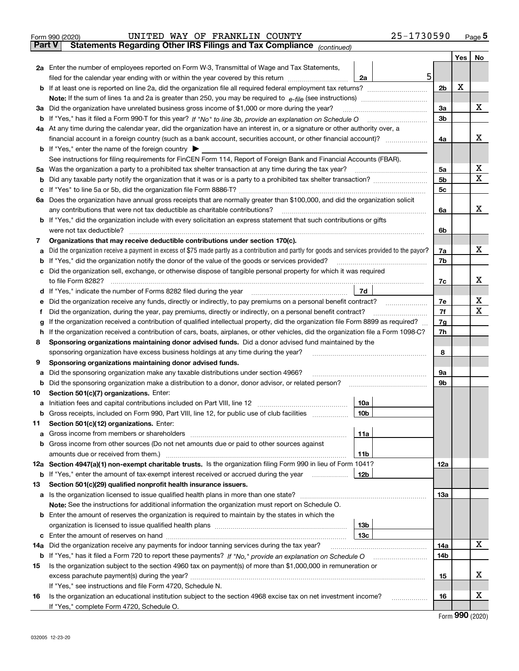|        | Form 990 (2020) | UNITED WAY OF FRANKLIN COUNTY                                                                                                                                                                                                  |                 | 25-1730590 |                |     | $_{\text{Page}}$ 5 |
|--------|-----------------|--------------------------------------------------------------------------------------------------------------------------------------------------------------------------------------------------------------------------------|-----------------|------------|----------------|-----|--------------------|
| Part V |                 | Statements Regarding Other IRS Filings and Tax Compliance (continued)                                                                                                                                                          |                 |            |                |     |                    |
|        |                 |                                                                                                                                                                                                                                |                 |            |                | Yes | No                 |
|        |                 | 2a Enter the number of employees reported on Form W-3, Transmittal of Wage and Tax Statements,                                                                                                                                 |                 |            |                |     |                    |
|        |                 | filed for the calendar year ending with or within the year covered by this return                                                                                                                                              | 2a              | 5          |                |     |                    |
|        |                 |                                                                                                                                                                                                                                |                 |            | 2 <sub>b</sub> | x   |                    |
|        |                 |                                                                                                                                                                                                                                |                 |            |                |     |                    |
| За     |                 | Did the organization have unrelated business gross income of \$1,000 or more during the year?                                                                                                                                  |                 |            | 3a             |     | x                  |
| b      |                 |                                                                                                                                                                                                                                |                 |            | 3 <sub>b</sub> |     |                    |
|        |                 | 4a At any time during the calendar year, did the organization have an interest in, or a signature or other authority over, a                                                                                                   |                 |            |                |     |                    |
|        |                 | financial account in a foreign country (such as a bank account, securities account, or other financial account)?                                                                                                               |                 |            | 4a             |     | x                  |
|        |                 | <b>b</b> If "Yes," enter the name of the foreign country $\blacktriangleright$                                                                                                                                                 |                 |            |                |     |                    |
|        |                 | See instructions for filing requirements for FinCEN Form 114, Report of Foreign Bank and Financial Accounts (FBAR).                                                                                                            |                 |            |                |     |                    |
| 5a     |                 | Was the organization a party to a prohibited tax shelter transaction at any time during the tax year?                                                                                                                          |                 |            | 5a             |     | x                  |
| b      |                 |                                                                                                                                                                                                                                |                 |            | 5 <sub>b</sub> |     | X                  |
| с      |                 |                                                                                                                                                                                                                                |                 |            | 5c             |     |                    |
|        |                 | 6a Does the organization have annual gross receipts that are normally greater than \$100,000, and did the organization solicit                                                                                                 |                 |            |                |     |                    |
|        |                 | any contributions that were not tax deductible as charitable contributions?                                                                                                                                                    |                 |            | 6a             |     | x                  |
|        |                 | <b>b</b> If "Yes," did the organization include with every solicitation an express statement that such contributions or gifts                                                                                                  |                 |            |                |     |                    |
|        |                 | were not tax deductible?                                                                                                                                                                                                       |                 |            | 6b             |     |                    |
| 7      |                 | Organizations that may receive deductible contributions under section 170(c).                                                                                                                                                  |                 |            |                |     |                    |
| a      |                 | Did the organization receive a payment in excess of \$75 made partly as a contribution and partly for goods and services provided to the payor?                                                                                |                 |            | 7a             |     | x                  |
| b      |                 | If "Yes," did the organization notify the donor of the value of the goods or services provided?                                                                                                                                |                 |            | 7b             |     |                    |
|        |                 | Did the organization sell, exchange, or otherwise dispose of tangible personal property for which it was required                                                                                                              |                 |            |                |     |                    |
|        |                 |                                                                                                                                                                                                                                |                 |            | 7c             |     | x                  |
| d      |                 |                                                                                                                                                                                                                                | 7d              |            |                |     |                    |
| е      |                 | Did the organization receive any funds, directly or indirectly, to pay premiums on a personal benefit contract?                                                                                                                |                 |            | 7e             |     | х                  |
| f      |                 | Did the organization, during the year, pay premiums, directly or indirectly, on a personal benefit contract?                                                                                                                   |                 |            | 7f             |     | x                  |
| g      |                 | If the organization received a contribution of qualified intellectual property, did the organization file Form 8899 as required?                                                                                               |                 |            | 7g             |     |                    |
| h      |                 | If the organization received a contribution of cars, boats, airplanes, or other vehicles, did the organization file a Form 1098-C?                                                                                             |                 |            | 7h             |     |                    |
| 8      |                 | Sponsoring organizations maintaining donor advised funds. Did a donor advised fund maintained by the                                                                                                                           |                 |            |                |     |                    |
|        |                 | sponsoring organization have excess business holdings at any time during the year?                                                                                                                                             |                 |            | 8              |     |                    |
| 9      |                 | Sponsoring organizations maintaining donor advised funds.                                                                                                                                                                      |                 |            | 9а             |     |                    |
| a<br>b |                 | Did the sponsoring organization make any taxable distributions under section 4966?<br>Did the sponsoring organization make a distribution to a donor, donor advisor, or related person?                                        |                 |            | 9b             |     |                    |
| 10     |                 | Section 501(c)(7) organizations. Enter:                                                                                                                                                                                        |                 |            |                |     |                    |
|        |                 | a Initiation fees and capital contributions included on Part VIII, line 12 [111] [11] [12] [11] [12] [11] [12] [11] [12] [11] [12] [11] [12] [11] [12] [11] [12] [11] [12] [11] [12] [11] [12] [11] [12] [11] [12] [11] [12] [ | 10a             |            |                |     |                    |
|        |                 | Gross receipts, included on Form 990, Part VIII, line 12, for public use of club facilities                                                                                                                                    | 10b             |            |                |     |                    |
| 11     |                 | Section 501(c)(12) organizations. Enter:                                                                                                                                                                                       |                 |            |                |     |                    |
| a      |                 | Gross income from members or shareholders                                                                                                                                                                                      | 11a             |            |                |     |                    |
| b      |                 | Gross income from other sources (Do not net amounts due or paid to other sources against                                                                                                                                       |                 |            |                |     |                    |
|        |                 |                                                                                                                                                                                                                                | 11 <sub>b</sub> |            |                |     |                    |
|        |                 | 12a Section 4947(a)(1) non-exempt charitable trusts. Is the organization filing Form 990 in lieu of Form 1041?                                                                                                                 |                 |            | 12a            |     |                    |
|        |                 | <b>b</b> If "Yes," enter the amount of tax-exempt interest received or accrued during the year                                                                                                                                 | 12b             |            |                |     |                    |
| 13     |                 | Section 501(c)(29) qualified nonprofit health insurance issuers.                                                                                                                                                               |                 |            |                |     |                    |
|        |                 | a Is the organization licensed to issue qualified health plans in more than one state?                                                                                                                                         |                 |            | 13a            |     |                    |
|        |                 | Note: See the instructions for additional information the organization must report on Schedule O.                                                                                                                              |                 |            |                |     |                    |
|        |                 | <b>b</b> Enter the amount of reserves the organization is required to maintain by the states in which the                                                                                                                      |                 |            |                |     |                    |
|        |                 |                                                                                                                                                                                                                                | 13 <sub>b</sub> |            |                |     |                    |
| c      |                 |                                                                                                                                                                                                                                | 13 <sub>c</sub> |            |                |     |                    |
| 14a    |                 | Did the organization receive any payments for indoor tanning services during the tax year?                                                                                                                                     |                 |            | 14a            |     | X                  |
|        |                 | <b>b</b> If "Yes," has it filed a Form 720 to report these payments? If "No," provide an explanation on Schedule O                                                                                                             |                 |            | 14b            |     |                    |
| 15     |                 | Is the organization subject to the section 4960 tax on payment(s) of more than \$1,000,000 in remuneration or                                                                                                                  |                 |            |                |     |                    |
|        |                 |                                                                                                                                                                                                                                |                 |            | 15             |     | x                  |
|        |                 | If "Yes," see instructions and file Form 4720, Schedule N.                                                                                                                                                                     |                 |            |                |     |                    |
| 16     |                 | Is the organization an educational institution subject to the section 4968 excise tax on net investment income?                                                                                                                |                 |            | 16             |     | х                  |
|        |                 | If "Yes," complete Form 4720, Schedule O.                                                                                                                                                                                      |                 |            |                |     | $\mathbf{QQ}$      |
|        |                 |                                                                                                                                                                                                                                |                 |            |                |     |                    |

Form (2020) **990**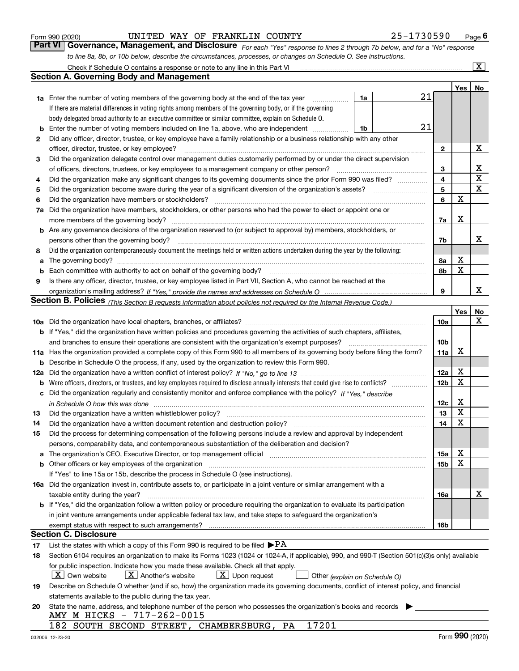|  | Form 990 (2020) |
|--|-----------------|
|  |                 |

*For each "Yes" response to lines 2 through 7b below, and for a "No" response to line 8a, 8b, or 10b below, describe the circumstances, processes, or changes on Schedule O. See instructions.* Form 990 (2020) **CONVICTED WAY OF FRANKLIN COUNTY** 25 – 1730590 Page 6<br>**Part VI Governance, Management, and Disclosure** For each "Yes" response to lines 2 through 7b below, and for a "No" response Check if Schedule O contains a response or note to any line in this Part VI

|     | Check if Schedule O contains a response or note to any line in this Part VI                                                                                                                                                    |    |    |                 |     | $\mathbf{X}$ |
|-----|--------------------------------------------------------------------------------------------------------------------------------------------------------------------------------------------------------------------------------|----|----|-----------------|-----|--------------|
|     | Section A. Governing Body and Management                                                                                                                                                                                       |    |    |                 |     |              |
|     |                                                                                                                                                                                                                                |    |    |                 | Yes | No           |
|     | <b>1a</b> Enter the number of voting members of the governing body at the end of the tax year                                                                                                                                  | 1a | 21 |                 |     |              |
|     | If there are material differences in voting rights among members of the governing body, or if the governing                                                                                                                    |    |    |                 |     |              |
|     | body delegated broad authority to an executive committee or similar committee, explain on Schedule O.                                                                                                                          |    |    |                 |     |              |
| b   | Enter the number of voting members included on line 1a, above, who are independent                                                                                                                                             | 1b | 21 |                 |     |              |
| 2   | Did any officer, director, trustee, or key employee have a family relationship or a business relationship with any other                                                                                                       |    |    |                 |     |              |
|     | officer, director, trustee, or key employee?                                                                                                                                                                                   |    |    | $\mathbf{2}$    |     | х            |
| 3   | Did the organization delegate control over management duties customarily performed by or under the direct supervision                                                                                                          |    |    |                 |     |              |
|     | of officers, directors, trustees, or key employees to a management company or other person?                                                                                                                                    |    |    | 3               |     | х            |
| 4   | Did the organization make any significant changes to its governing documents since the prior Form 990 was filed?                                                                                                               |    |    | 4               |     | X            |
| 5   |                                                                                                                                                                                                                                |    |    | 5               |     | х            |
| 6   | Did the organization have members or stockholders?                                                                                                                                                                             |    |    | 6               | X   |              |
| 7a  | Did the organization have members, stockholders, or other persons who had the power to elect or appoint one or                                                                                                                 |    |    |                 |     |              |
|     | more members of the governing body?                                                                                                                                                                                            |    |    | 7a              | х   |              |
|     | <b>b</b> Are any governance decisions of the organization reserved to (or subject to approval by) members, stockholders, or                                                                                                    |    |    |                 |     |              |
|     | persons other than the governing body?                                                                                                                                                                                         |    |    | 7b              |     | x            |
| 8   | Did the organization contemporaneously document the meetings held or written actions undertaken during the year by the following:                                                                                              |    |    |                 |     |              |
| a   | The governing body? [[11] matter and the contract of the contract of the contract of the contract of the contract of the contract of the contract of the contract of the contract of the contract of the contract of the contr |    |    | 8а              | х   |              |
| b   |                                                                                                                                                                                                                                |    |    | 8b              | X   |              |
| 9   | Is there any officer, director, trustee, or key employee listed in Part VII, Section A, who cannot be reached at the                                                                                                           |    |    |                 |     |              |
|     |                                                                                                                                                                                                                                |    |    | 9               |     | х            |
|     | <b>Section B. Policies</b> (This Section B requests information about policies not required by the Internal Revenue Code.)                                                                                                     |    |    |                 |     |              |
|     |                                                                                                                                                                                                                                |    |    |                 | Yes | No           |
|     |                                                                                                                                                                                                                                |    |    | 10a             |     | x            |
|     | <b>b</b> If "Yes," did the organization have written policies and procedures governing the activities of such chapters, affiliates,                                                                                            |    |    |                 |     |              |
|     | and branches to ensure their operations are consistent with the organization's exempt purposes?                                                                                                                                |    |    | 10 <sub>b</sub> |     |              |
|     | 11a Has the organization provided a complete copy of this Form 990 to all members of its governing body before filing the form?                                                                                                |    |    | 11a             | X   |              |
| b   | Describe in Schedule O the process, if any, used by the organization to review this Form 990.                                                                                                                                  |    |    |                 |     |              |
| 12a |                                                                                                                                                                                                                                |    |    | 12a             | X   |              |
| b   |                                                                                                                                                                                                                                |    |    | 12 <sub>b</sub> | X   |              |
|     | c Did the organization regularly and consistently monitor and enforce compliance with the policy? If "Yes." describe                                                                                                           |    |    |                 |     |              |
|     | in Schedule O how this was done www.communication.com/www.communications.com/www.communications.com/                                                                                                                           |    |    | 12c             | х   |              |
| 13  | Did the organization have a written whistleblower policy?                                                                                                                                                                      |    |    | 13              | X   |              |
| 14  | Did the organization have a written document retention and destruction policy?                                                                                                                                                 |    |    | 14              | X   |              |
| 15  | Did the process for determining compensation of the following persons include a review and approval by independent                                                                                                             |    |    |                 |     |              |
|     | persons, comparability data, and contemporaneous substantiation of the deliberation and decision?                                                                                                                              |    |    |                 |     |              |
| a   | The organization's CEO, Executive Director, or top management official manufactured content of the organization's CEO, Executive Director, or top management official                                                          |    |    | 15a             | х   |              |
|     | <b>b</b> Other officers or key employees of the organization                                                                                                                                                                   |    |    | 15b             | х   |              |
|     | If "Yes" to line 15a or 15b, describe the process in Schedule O (see instructions).                                                                                                                                            |    |    |                 |     |              |
|     | 16a Did the organization invest in, contribute assets to, or participate in a joint venture or similar arrangement with a                                                                                                      |    |    |                 |     |              |
|     | taxable entity during the year?                                                                                                                                                                                                |    |    | 16a             |     | х            |
|     | b If "Yes," did the organization follow a written policy or procedure requiring the organization to evaluate its participation                                                                                                 |    |    |                 |     |              |
|     | in joint venture arrangements under applicable federal tax law, and take steps to safeguard the organization's                                                                                                                 |    |    |                 |     |              |
|     | exempt status with respect to such arrangements?                                                                                                                                                                               |    |    | 16b             |     |              |
|     | <b>Section C. Disclosure</b>                                                                                                                                                                                                   |    |    |                 |     |              |
| 17  | List the states with which a copy of this Form 990 is required to be filed $\blacktriangleright$ PA                                                                                                                            |    |    |                 |     |              |
| 18  | Section 6104 requires an organization to make its Forms 1023 (1024 or 1024-A, if applicable), 990, and 990-T (Section 501(c)(3)s only) available                                                                               |    |    |                 |     |              |
|     | for public inspection. Indicate how you made these available. Check all that apply.                                                                                                                                            |    |    |                 |     |              |
|     | $X$ Own website<br>$X$ Another's website<br>$\lfloor x \rfloor$ Upon request<br>Other (explain on Schedule O)                                                                                                                  |    |    |                 |     |              |
| 19  | Describe on Schedule O whether (and if so, how) the organization made its governing documents, conflict of interest policy, and financial                                                                                      |    |    |                 |     |              |
|     | statements available to the public during the tax year.                                                                                                                                                                        |    |    |                 |     |              |
| 20  | State the name, address, and telephone number of the person who possesses the organization's books and records                                                                                                                 |    |    |                 |     |              |
|     | AMY M HICKS - 717-262-0015                                                                                                                                                                                                     |    |    |                 |     |              |
|     | 17201<br>182 SOUTH SECOND STREET, CHAMBERSBURG,<br>PA                                                                                                                                                                          |    |    |                 |     |              |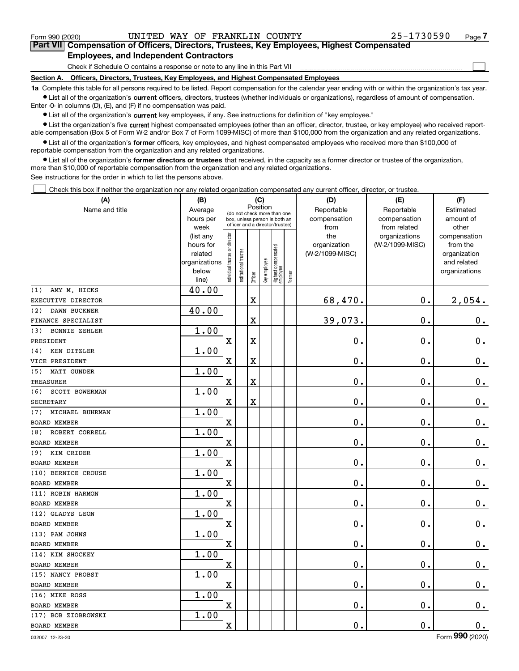$\mathcal{L}^{\text{max}}$ 

### **7Part VII Compensation of Officers, Directors, Trustees, Key Employees, Highest Compensated Employees, and Independent Contractors**

Check if Schedule O contains a response or note to any line in this Part VII

**Section A. Officers, Directors, Trustees, Key Employees, and Highest Compensated Employees**

**1a**  Complete this table for all persons required to be listed. Report compensation for the calendar year ending with or within the organization's tax year. **•** List all of the organization's current officers, directors, trustees (whether individuals or organizations), regardless of amount of compensation.

Enter -0- in columns (D), (E), and (F) if no compensation was paid.

 $\bullet$  List all of the organization's  $\,$ current key employees, if any. See instructions for definition of "key employee."

**•** List the organization's five current highest compensated employees (other than an officer, director, trustee, or key employee) who received reportable compensation (Box 5 of Form W-2 and/or Box 7 of Form 1099-MISC) of more than \$100,000 from the organization and any related organizations.

**•** List all of the organization's former officers, key employees, and highest compensated employees who received more than \$100,000 of reportable compensation from the organization and any related organizations.

**former directors or trustees**  ¥ List all of the organization's that received, in the capacity as a former director or trustee of the organization, more than \$10,000 of reportable compensation from the organization and any related organizations.

See instructions for the order in which to list the persons above.

Check this box if neither the organization nor any related organization compensated any current officer, director, or trustee.  $\mathcal{L}^{\text{max}}$ 

| (A)                         | (B)                                                                  |                               |                                                                                                             |                         | (C)          |                                 |        | (D)                                    | (E)                                        | (F)                                                                      |
|-----------------------------|----------------------------------------------------------------------|-------------------------------|-------------------------------------------------------------------------------------------------------------|-------------------------|--------------|---------------------------------|--------|----------------------------------------|--------------------------------------------|--------------------------------------------------------------------------|
| Name and title              | Average<br>hours per<br>week                                         |                               | Position<br>(do not check more than one<br>box, unless person is both an<br>officer and a director/trustee) |                         |              |                                 |        | Reportable<br>compensation<br>from     | Reportable<br>compensation<br>from related | Estimated<br>amount of<br>other                                          |
|                             | (list any<br>hours for<br>related<br>organizations<br>below<br>line) | ndividual trustee or director | nstitutional trustee                                                                                        | Officer                 | Key employee | Highest compensated<br>employee | Former | the<br>organization<br>(W-2/1099-MISC) | organizations<br>(W-2/1099-MISC)           | compensation<br>from the<br>organization<br>and related<br>organizations |
| AMY M. HICKS<br>(1)         | 40.00                                                                |                               |                                                                                                             |                         |              |                                 |        |                                        |                                            |                                                                          |
| EXECUTIVE DIRECTOR          |                                                                      |                               |                                                                                                             | X                       |              |                                 |        | 68,470.                                | $\mathbf 0$ .                              | 2,054.                                                                   |
| (2)<br>DAWN BUCKNER         | 40.00                                                                |                               |                                                                                                             |                         |              |                                 |        |                                        |                                            |                                                                          |
| FINANCE SPECIALIST          |                                                                      |                               |                                                                                                             | X                       |              |                                 |        | 39,073.                                | $\mathbf 0$ .                              | $\mathbf 0$ .                                                            |
| <b>BONNIE ZEHLER</b><br>(3) | 1.00                                                                 |                               |                                                                                                             |                         |              |                                 |        |                                        |                                            |                                                                          |
| PRESIDENT                   |                                                                      | X                             |                                                                                                             | X                       |              |                                 |        | 0.                                     | $\mathbf 0$ .                              | $\mathbf 0$ .                                                            |
| KEN DITZLER<br>(4)          | 1.00                                                                 |                               |                                                                                                             |                         |              |                                 |        |                                        |                                            |                                                                          |
| VICE PRESIDENT              |                                                                      | $\mathbf X$                   |                                                                                                             | X                       |              |                                 |        | 0.                                     | $\mathbf 0$ .                              | $\mathbf 0$ .                                                            |
| MATT GUNDER<br>(5)          | 1.00                                                                 |                               |                                                                                                             |                         |              |                                 |        |                                        |                                            |                                                                          |
| <b>TREASURER</b>            |                                                                      | $\mathbf X$                   |                                                                                                             | $\overline{\textbf{X}}$ |              |                                 |        | 0.                                     | $\mathbf 0$ .                              | $\mathbf 0$ .                                                            |
| (6)<br>SCOTT BOWERMAN       | 1.00                                                                 |                               |                                                                                                             |                         |              |                                 |        |                                        |                                            |                                                                          |
| <b>SECRETARY</b>            |                                                                      | $\mathbf X$                   |                                                                                                             | X                       |              |                                 |        | 0.                                     | $\mathbf 0$ .                              | $\mathbf 0$ .                                                            |
| MICHAEL BUHRMAN<br>(7)      | 1.00                                                                 |                               |                                                                                                             |                         |              |                                 |        |                                        |                                            |                                                                          |
| <b>BOARD MEMBER</b>         |                                                                      | $\mathbf X$                   |                                                                                                             |                         |              |                                 |        | 0.                                     | $\mathbf 0$ .                              | $\mathbf 0$ .                                                            |
| ROBERT CORRELL<br>(8)       | 1.00                                                                 |                               |                                                                                                             |                         |              |                                 |        |                                        |                                            |                                                                          |
| BOARD MEMBER                |                                                                      | $\mathbf X$                   |                                                                                                             |                         |              |                                 |        | 0.                                     | $\mathbf 0$ .                              | $\mathbf 0$ .                                                            |
| KIM CRIDER<br>(9)           | 1.00                                                                 |                               |                                                                                                             |                         |              |                                 |        |                                        |                                            |                                                                          |
| <b>BOARD MEMBER</b>         |                                                                      | $\mathbf X$                   |                                                                                                             |                         |              |                                 |        | 0.                                     | $\mathbf 0$ .                              | $\mathbf 0$ .                                                            |
| (10) BERNICE CROUSE         | 1.00                                                                 |                               |                                                                                                             |                         |              |                                 |        |                                        |                                            |                                                                          |
| <b>BOARD MEMBER</b>         |                                                                      | $\overline{\mathbf{X}}$       |                                                                                                             |                         |              |                                 |        | 0.                                     | $\mathbf 0$ .                              | $\mathbf 0$ .                                                            |
| (11) ROBIN HARMON           | 1.00                                                                 |                               |                                                                                                             |                         |              |                                 |        |                                        |                                            |                                                                          |
| <b>BOARD MEMBER</b>         |                                                                      | $\mathbf X$                   |                                                                                                             |                         |              |                                 |        | 0.                                     | $\mathbf 0$ .                              | $\mathbf 0$ .                                                            |
| (12) GLADYS LEON            | 1.00                                                                 |                               |                                                                                                             |                         |              |                                 |        |                                        |                                            |                                                                          |
| <b>BOARD MEMBER</b>         |                                                                      | $\mathbf X$                   |                                                                                                             |                         |              |                                 |        | 0.                                     | $\mathbf 0$ .                              | $\mathbf 0$ .                                                            |
| (13) PAM JOHNS              | 1.00                                                                 |                               |                                                                                                             |                         |              |                                 |        |                                        |                                            |                                                                          |
| BOARD MEMBER                |                                                                      | $\mathbf X$                   |                                                                                                             |                         |              |                                 |        | 0.                                     | $\mathbf 0$ .                              | $\mathbf 0$ .                                                            |
| (14) KIM SHOCKEY            | 1.00                                                                 |                               |                                                                                                             |                         |              |                                 |        |                                        |                                            |                                                                          |
| <b>BOARD MEMBER</b>         |                                                                      | $\overline{\mathbf{X}}$       |                                                                                                             |                         |              |                                 |        | 0.                                     | $\mathbf 0$ .                              | $\mathbf 0$ .                                                            |
| (15) NANCY PROBST           | 1.00                                                                 |                               |                                                                                                             |                         |              |                                 |        |                                        |                                            |                                                                          |
| <b>BOARD MEMBER</b>         |                                                                      | $\mathbf X$                   |                                                                                                             |                         |              |                                 |        | 0.                                     | $\mathbf 0$ .                              | $0_{.}$                                                                  |
| (16) MIKE ROSS              | 1.00                                                                 |                               |                                                                                                             |                         |              |                                 |        |                                        |                                            |                                                                          |
| BOARD MEMBER                |                                                                      | $\mathbf X$                   |                                                                                                             |                         |              |                                 |        | 0.                                     | $\mathbf 0$ .                              | $0_{.}$                                                                  |
| (17) BOB ZIOBROWSKI         | 1.00                                                                 |                               |                                                                                                             |                         |              |                                 |        |                                        |                                            |                                                                          |
| <b>BOARD MEMBER</b>         |                                                                      | $\mathbf x$                   |                                                                                                             |                         |              |                                 |        | 0.                                     | $\mathbf 0$ .                              | 0.                                                                       |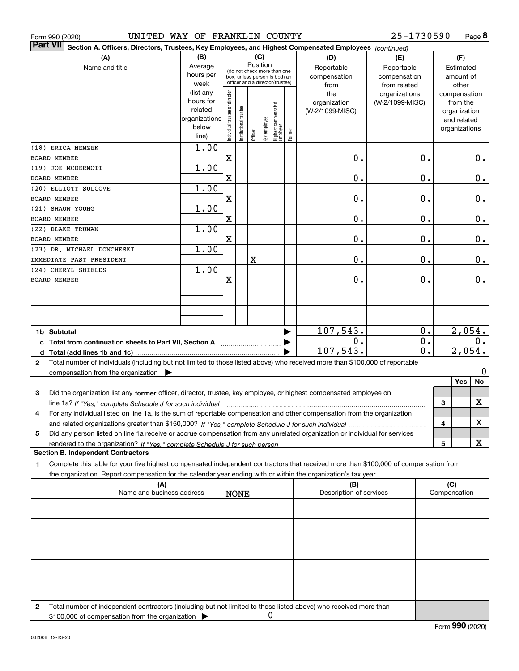| Form 990 (2020) | UNITED WAY OF FRANKLIN COUNTY                                                                                                                                                                                                                          |                                                        |                                |                      |         |                 |                                                                  |        |                                                                | 25-1730590                                                       |                                                                | Page 8       |
|-----------------|--------------------------------------------------------------------------------------------------------------------------------------------------------------------------------------------------------------------------------------------------------|--------------------------------------------------------|--------------------------------|----------------------|---------|-----------------|------------------------------------------------------------------|--------|----------------------------------------------------------------|------------------------------------------------------------------|----------------------------------------------------------------|--------------|
| <b>Part VII</b> | Section A. Officers, Directors, Trustees, Key Employees, and Highest Compensated Employees (continued)                                                                                                                                                 |                                                        |                                |                      |         |                 |                                                                  |        |                                                                |                                                                  |                                                                |              |
|                 | (A)<br>Name and title                                                                                                                                                                                                                                  | (B)<br>Average                                         |                                |                      |         | (C)<br>Position | (do not check more than one                                      |        | (D)<br>Reportable                                              | (E)<br>Reportable                                                | (F)<br>Estimated                                               |              |
|                 |                                                                                                                                                                                                                                                        | hours per<br>week<br>(list any<br>hours for<br>related | Individual trustee or director |                      |         |                 | box, unless person is both an<br>officer and a director/trustee) |        | compensation<br>from<br>the<br>organization<br>(W-2/1099-MISC) | compensation<br>from related<br>organizations<br>(W-2/1099-MISC) | amount of<br>other<br>compensation<br>from the<br>organization |              |
|                 |                                                                                                                                                                                                                                                        | organizations<br>below<br>line)                        |                                | nstitutional trustee | Officer | key employee    | Highest compensated<br>  employee                                | Former |                                                                |                                                                  | and related<br>organizations                                   |              |
| BOARD MEMBER    | (18) ERICA NEMZEK                                                                                                                                                                                                                                      | 1.00                                                   | X                              |                      |         |                 |                                                                  |        | 0.                                                             | 0.                                                               |                                                                | $0_{.}$      |
|                 | (19) JOE MCDERMOTT                                                                                                                                                                                                                                     | 1.00                                                   |                                |                      |         |                 |                                                                  |        |                                                                |                                                                  |                                                                |              |
| BOARD MEMBER    |                                                                                                                                                                                                                                                        |                                                        | $\mathbf X$                    |                      |         |                 |                                                                  |        | Ο.                                                             | 0.                                                               |                                                                | 0.           |
|                 | (20) ELLIOTT SULCOVE                                                                                                                                                                                                                                   | 1.00                                                   |                                |                      |         |                 |                                                                  |        |                                                                |                                                                  |                                                                |              |
| BOARD MEMBER    |                                                                                                                                                                                                                                                        |                                                        | $\mathbf X$                    |                      |         |                 |                                                                  |        | Ο.                                                             | Ο.                                                               |                                                                | 0.           |
|                 | (21) SHAUN YOUNG                                                                                                                                                                                                                                       | 1.00                                                   |                                |                      |         |                 |                                                                  |        |                                                                |                                                                  |                                                                |              |
| BOARD MEMBER    |                                                                                                                                                                                                                                                        |                                                        | $\mathbf X$                    |                      |         |                 |                                                                  |        | Ο.                                                             | Ο.                                                               |                                                                | 0.           |
|                 | (22) BLAKE TRUMAN                                                                                                                                                                                                                                      | 1.00                                                   |                                |                      |         |                 |                                                                  |        |                                                                |                                                                  |                                                                |              |
| BOARD MEMBER    | (23) DR. MICHAEL DONCHESKI                                                                                                                                                                                                                             | 1.00                                                   | $\mathbf X$                    |                      |         |                 |                                                                  |        | Ο.                                                             | Ο.                                                               |                                                                | 0.           |
|                 | IMMEDIATE PAST PRESIDENT                                                                                                                                                                                                                               |                                                        |                                |                      | X       |                 |                                                                  |        | Ο.                                                             | Ο.                                                               |                                                                | 0.           |
|                 | (24) CHERYL SHIELDS                                                                                                                                                                                                                                    | 1.00                                                   |                                |                      |         |                 |                                                                  |        |                                                                |                                                                  |                                                                |              |
| BOARD MEMBER    |                                                                                                                                                                                                                                                        |                                                        | $\mathbf X$                    |                      |         |                 |                                                                  |        | 0.                                                             | 0.                                                               |                                                                | 0.           |
|                 |                                                                                                                                                                                                                                                        |                                                        |                                |                      |         |                 |                                                                  |        |                                                                |                                                                  |                                                                |              |
|                 |                                                                                                                                                                                                                                                        |                                                        |                                |                      |         |                 |                                                                  |        |                                                                |                                                                  |                                                                |              |
|                 |                                                                                                                                                                                                                                                        |                                                        |                                |                      |         |                 |                                                                  |        |                                                                |                                                                  |                                                                |              |
|                 |                                                                                                                                                                                                                                                        |                                                        |                                |                      |         |                 |                                                                  |        |                                                                |                                                                  |                                                                |              |
| 1b Subtotal     |                                                                                                                                                                                                                                                        |                                                        |                                |                      |         |                 |                                                                  |        | 107,543.                                                       | 0.<br>0.                                                         |                                                                | 2,054.       |
|                 | c Total from continuation sheets to Part VII, Section A <b>manufarity</b> contains the Total Section A                                                                                                                                                 |                                                        |                                |                      |         |                 |                                                                  |        | Ο.<br>107,543.                                                 | $\overline{0}$ .                                                 |                                                                | 0.<br>2,054. |
| 2               | Total number of individuals (including but not limited to those listed above) who received more than \$100,000 of reportable                                                                                                                           |                                                        |                                |                      |         |                 |                                                                  |        |                                                                |                                                                  |                                                                |              |
|                 | compensation from the organization $\blacktriangleright$                                                                                                                                                                                               |                                                        |                                |                      |         |                 |                                                                  |        |                                                                |                                                                  |                                                                | 0            |
|                 |                                                                                                                                                                                                                                                        |                                                        |                                |                      |         |                 |                                                                  |        |                                                                |                                                                  | Yes                                                            | No           |
| 3               | Did the organization list any former officer, director, trustee, key employee, or highest compensated employee on                                                                                                                                      |                                                        |                                |                      |         |                 |                                                                  |        |                                                                |                                                                  |                                                                |              |
|                 | line 1a? If "Yes," complete Schedule J for such individual matches contained and the 1a? If "Yes," complete Schedule J for such individual                                                                                                             |                                                        |                                |                      |         |                 |                                                                  |        |                                                                |                                                                  | 3                                                              | х            |
| 4               | For any individual listed on line 1a, is the sum of reportable compensation and other compensation from the organization                                                                                                                               |                                                        |                                |                      |         |                 |                                                                  |        |                                                                |                                                                  | 4                                                              | х            |
| 5               | Did any person listed on line 1a receive or accrue compensation from any unrelated organization or individual for services                                                                                                                             |                                                        |                                |                      |         |                 |                                                                  |        |                                                                |                                                                  |                                                                |              |
|                 |                                                                                                                                                                                                                                                        |                                                        |                                |                      |         |                 |                                                                  |        |                                                                |                                                                  | 5                                                              | X            |
|                 | <b>Section B. Independent Contractors</b>                                                                                                                                                                                                              |                                                        |                                |                      |         |                 |                                                                  |        |                                                                |                                                                  |                                                                |              |
| 1.              | Complete this table for your five highest compensated independent contractors that received more than \$100,000 of compensation from<br>the organization. Report compensation for the calendar year ending with or within the organization's tax year. |                                                        |                                |                      |         |                 |                                                                  |        |                                                                |                                                                  |                                                                |              |
|                 | (A)<br>Name and business address                                                                                                                                                                                                                       |                                                        |                                | <b>NONE</b>          |         |                 |                                                                  |        | (B)<br>Description of services                                 |                                                                  | (C)<br>Compensation                                            |              |
|                 |                                                                                                                                                                                                                                                        |                                                        |                                |                      |         |                 |                                                                  |        |                                                                |                                                                  |                                                                |              |
|                 |                                                                                                                                                                                                                                                        |                                                        |                                |                      |         |                 |                                                                  |        |                                                                |                                                                  |                                                                |              |
|                 |                                                                                                                                                                                                                                                        |                                                        |                                |                      |         |                 |                                                                  |        |                                                                |                                                                  |                                                                |              |
|                 |                                                                                                                                                                                                                                                        |                                                        |                                |                      |         |                 |                                                                  |        |                                                                |                                                                  |                                                                |              |
|                 |                                                                                                                                                                                                                                                        |                                                        |                                |                      |         |                 |                                                                  |        |                                                                |                                                                  |                                                                |              |
|                 |                                                                                                                                                                                                                                                        |                                                        |                                |                      |         |                 |                                                                  |        |                                                                |                                                                  |                                                                |              |
| 2               | Total number of independent contractors (including but not limited to those listed above) who received more than<br>\$100,000 of compensation from the organization                                                                                    |                                                        |                                |                      |         | 0               |                                                                  |        |                                                                |                                                                  |                                                                |              |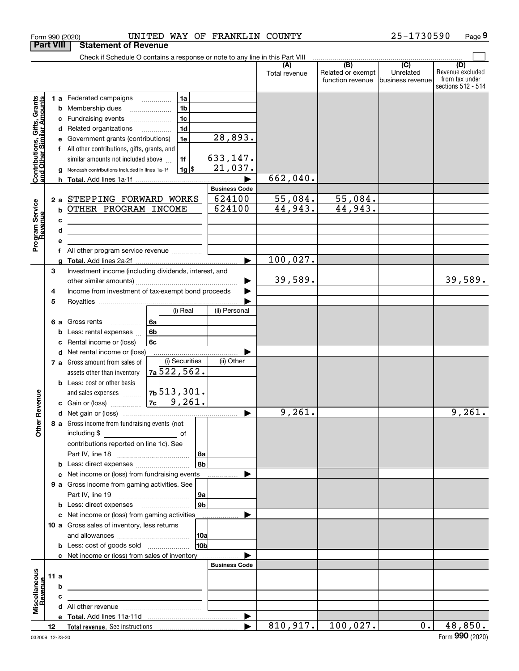|                                                           | <b>Part VIII</b> | <b>Statement of Revenue</b>                                                                                                                                                                                                                                          |                                                                                                                     |                                               |                                |                                                           |                                                 |                                                                 |
|-----------------------------------------------------------|------------------|----------------------------------------------------------------------------------------------------------------------------------------------------------------------------------------------------------------------------------------------------------------------|---------------------------------------------------------------------------------------------------------------------|-----------------------------------------------|--------------------------------|-----------------------------------------------------------|-------------------------------------------------|-----------------------------------------------------------------|
|                                                           |                  | Check if Schedule O contains a response or note to any line in this Part VIII                                                                                                                                                                                        |                                                                                                                     |                                               |                                |                                                           |                                                 |                                                                 |
|                                                           |                  |                                                                                                                                                                                                                                                                      |                                                                                                                     |                                               | Total revenue                  | $\overline{(B)}$<br>Related or exempt<br>function revenue | $\overline{C}$<br>Unrelated<br>business revenue | (D)<br>Revenue excluded<br>from tax under<br>sections 512 - 514 |
| Contributions, Gifts, Grants<br>and Other Similar Amounts | b<br>с<br>d<br>a | 1 a Federated campaigns<br>Membership dues<br>Fundraising events<br>Related organizations<br>Government grants (contributions)<br>All other contributions, gifts, grants, and<br>similar amounts not included above<br>Noncash contributions included in lines 1a-1f | 1a<br>1 <sub>b</sub><br>1 <sub>c</sub><br>1 <sub>d</sub><br>.<br>1e<br>1f<br>$1g$ \$                                | 28,893.<br>633,147.<br>21,037.                | 662,040.                       |                                                           |                                                 |                                                                 |
| Program Service<br>Revenue                                | b<br>c<br>d<br>f | 2 a STEPPING FORWARD WORKS<br>OTHER PROGRAM INCOME<br><u> 1980 - Johann Barn, amerikan bestemannten bestemannten bestemannten bestemannten bestemannten bestemannten b</u><br>All other program service revenue                                                      |                                                                                                                     | <b>Business Code</b><br>624100<br>624100<br>► | 55,084.<br>44,943.<br>100,027. | 55,084.<br>44,943.                                        |                                                 |                                                                 |
|                                                           | 3<br>4<br>5      | Investment income (including dividends, interest, and<br>Income from investment of tax-exempt bond proceeds                                                                                                                                                          | (i) Real                                                                                                            | (ii) Personal                                 | 39,589.                        |                                                           |                                                 | 39,589.                                                         |
|                                                           | 6а<br>b<br>d     | Gross rents<br>.<br>Less: rental expenses<br>Rental income or (loss)<br>Net rental income or (loss)                                                                                                                                                                  | 6a<br>6b<br>6c                                                                                                      |                                               |                                |                                                           |                                                 |                                                                 |
| Revenue                                                   |                  | 7 a Gross amount from sales of<br>assets other than inventory<br><b>b</b> Less: cost or other basis<br>and sales expenses<br>c Gain or (loss)                                                                                                                        | (i) Securities<br>7a 522, 562.<br>7b513,301.<br>$7c \ 9,261.$                                                       | (ii) Other                                    |                                |                                                           |                                                 |                                                                 |
| <b>Other</b>                                              |                  | 8 a Gross income from fundraising events (not<br>including \$<br>contributions reported on line 1c). See                                                                                                                                                             | and the contract of the contract of the contract of the contract of the contract of the contract of the contract of | ▶<br>∣8a<br>8b                                | 9,261.                         |                                                           |                                                 | 9,261.                                                          |
|                                                           |                  | <b>b</b> Less: direct expenses <i></i><br>c Net income or (loss) from fundraising events<br>9 a Gross income from gaming activities. See<br><b>b</b> Less: direct expenses <b>contained b</b> Less:<br>c Net income or (loss) from gaming activities                 |                                                                                                                     | .<br> 9a<br>9 <sub>b</sub>                    |                                |                                                           |                                                 |                                                                 |
|                                                           |                  | 10 a Gross sales of inventory, less returns<br><b>b</b> Less: cost of goods sold<br>c Net income or (loss) from sales of inventory                                                                                                                                   |                                                                                                                     | .<br> 10a<br>10bl                             |                                |                                                           |                                                 |                                                                 |
| Miscellaneous<br>Revenue                                  | 11 a<br>b<br>с   | <u> 1989 - Johann Stein, marwolaethau a bhann an t-Amhainn an t-Amhainn an t-Amhainn an t-Amhainn an t-Amhainn an</u><br><u> 1980 - Jan Sterling, mars and de la provincia de la provincia de la provincia de la provincia de la provincia</u>                       |                                                                                                                     | <b>Business Code</b>                          |                                |                                                           |                                                 |                                                                 |
|                                                           | 12               |                                                                                                                                                                                                                                                                      |                                                                                                                     | ▶<br>▶                                        | 810, 917.                      | 100,027.                                                  | $0$ .                                           | 48,850.                                                         |
|                                                           |                  |                                                                                                                                                                                                                                                                      |                                                                                                                     |                                               |                                |                                                           |                                                 |                                                                 |

Form 990 (2020) UNITED WAY OF FRANKLIN COUNTY 25-1730590 Page

**9**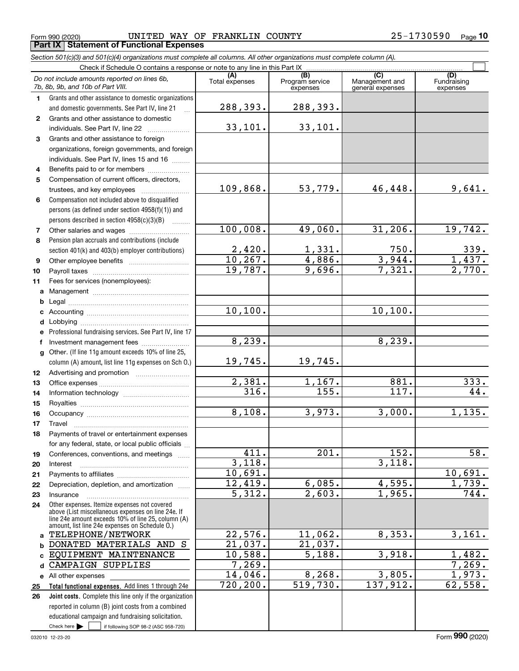Form 990 (2020) Page **Part IX Statement of Functional Expenses** UNITED WAY OF FRANKLIN COUNTY 25-1730590

*Section 501(c)(3) and 501(c)(4) organizations must complete all columns. All other organizations must complete column (A).*

|              | Do not include amounts reported on lines 6b,<br>7b, 8b, 9b, and 10b of Part VIII.                    | (A)<br>Total expenses | (B)<br>Program service<br>expenses | $\overline{C}$<br>Management and<br>general expenses | (D)<br>Fundraising<br>expenses |  |  |  |  |  |
|--------------|------------------------------------------------------------------------------------------------------|-----------------------|------------------------------------|------------------------------------------------------|--------------------------------|--|--|--|--|--|
| 1.           | Grants and other assistance to domestic organizations                                                |                       |                                    |                                                      |                                |  |  |  |  |  |
|              | and domestic governments. See Part IV, line 21                                                       | 288,393.              | 288,393.                           |                                                      |                                |  |  |  |  |  |
| $\mathbf{2}$ | Grants and other assistance to domestic                                                              |                       |                                    |                                                      |                                |  |  |  |  |  |
|              | individuals. See Part IV, line 22                                                                    | 33,101.               | 33,101.                            |                                                      |                                |  |  |  |  |  |
| 3            | Grants and other assistance to foreign                                                               |                       |                                    |                                                      |                                |  |  |  |  |  |
|              | organizations, foreign governments, and foreign                                                      |                       |                                    |                                                      |                                |  |  |  |  |  |
|              | individuals. See Part IV, lines 15 and 16                                                            |                       |                                    |                                                      |                                |  |  |  |  |  |
| 4            | Benefits paid to or for members                                                                      |                       |                                    |                                                      |                                |  |  |  |  |  |
| 5            | Compensation of current officers, directors,                                                         |                       |                                    |                                                      |                                |  |  |  |  |  |
|              |                                                                                                      | 109,868.              | 53,779.                            | 46,448.                                              | 9,641.                         |  |  |  |  |  |
| 6            | Compensation not included above to disqualified                                                      |                       |                                    |                                                      |                                |  |  |  |  |  |
|              | persons (as defined under section 4958(f)(1)) and                                                    |                       |                                    |                                                      |                                |  |  |  |  |  |
|              | persons described in section 4958(c)(3)(B)                                                           |                       |                                    |                                                      |                                |  |  |  |  |  |
| 7            |                                                                                                      | 100,008.              | 49,060.                            | 31,206.                                              | 19,742.                        |  |  |  |  |  |
| 8            | Pension plan accruals and contributions (include                                                     |                       |                                    |                                                      |                                |  |  |  |  |  |
|              | section 401(k) and 403(b) employer contributions)                                                    | 2,420.                | $\frac{1,331.}{4,886.}$            | 750.                                                 | 339.                           |  |  |  |  |  |
| 9            |                                                                                                      | 10, 267.              |                                    | 3,944.                                               | 1,437.                         |  |  |  |  |  |
| 10           |                                                                                                      | 19,787.               | 9,696.                             | 7,321.                                               | 2,770.                         |  |  |  |  |  |
| 11           | Fees for services (nonemployees):                                                                    |                       |                                    |                                                      |                                |  |  |  |  |  |
|              |                                                                                                      |                       |                                    |                                                      |                                |  |  |  |  |  |
|              |                                                                                                      |                       |                                    |                                                      |                                |  |  |  |  |  |
|              |                                                                                                      | 10, 100.              |                                    | 10, 100.                                             |                                |  |  |  |  |  |
|              |                                                                                                      |                       |                                    |                                                      |                                |  |  |  |  |  |
| е            | Professional fundraising services. See Part IV, line 17                                              |                       |                                    |                                                      |                                |  |  |  |  |  |
| f            | Investment management fees                                                                           | 8,239.                |                                    | 8, 239.                                              |                                |  |  |  |  |  |
|              | g Other. (If line 11g amount exceeds 10% of line 25,                                                 |                       |                                    |                                                      |                                |  |  |  |  |  |
|              | column (A) amount, list line 11g expenses on Sch 0.)                                                 | 19,745.               | 19,745.                            |                                                      |                                |  |  |  |  |  |
| 12           |                                                                                                      |                       |                                    |                                                      |                                |  |  |  |  |  |
| 13           |                                                                                                      | 2,381.                | 1,167.                             | 881.                                                 | 333.                           |  |  |  |  |  |
| 14           |                                                                                                      | 316.                  | 155.                               | 117.                                                 | 44.                            |  |  |  |  |  |
| 15           |                                                                                                      |                       | 3,973.                             |                                                      |                                |  |  |  |  |  |
| 16           |                                                                                                      | 8,108.                |                                    | 3,000.                                               | 1,135.                         |  |  |  |  |  |
| 17           | Travel                                                                                               |                       |                                    |                                                      |                                |  |  |  |  |  |
| 18           | Payments of travel or entertainment expenses                                                         |                       |                                    |                                                      |                                |  |  |  |  |  |
|              | for any federal, state, or local public officials                                                    | 411.                  | 201.                               | 152.                                                 | $\overline{58}$ .              |  |  |  |  |  |
| 19<br>20     | Conferences, conventions, and meetings<br>Interest                                                   | 3,118.                |                                    | 3,118.                                               |                                |  |  |  |  |  |
| 21           |                                                                                                      | 10,691.               |                                    |                                                      | 10,691.                        |  |  |  |  |  |
| 22           | Depreciation, depletion, and amortization                                                            | 12,419.               | 6,085.                             | 4,595.                                               | 1,739.                         |  |  |  |  |  |
| 23           | Insurance                                                                                            | 5,312.                | 2,603.                             | 1,965.                                               | 744.                           |  |  |  |  |  |
| 24           | Other expenses. Itemize expenses not covered                                                         |                       |                                    |                                                      |                                |  |  |  |  |  |
|              | above (List miscellaneous expenses on line 24e. If                                                   |                       |                                    |                                                      |                                |  |  |  |  |  |
|              | line 24e amount exceeds 10% of line 25, column (A)<br>amount, list line 24e expenses on Schedule 0.) |                       |                                    |                                                      |                                |  |  |  |  |  |
|              | a TELEPHONE/NETWORK                                                                                  | 22,576.               | 11,062.                            | 8,353.                                               | 3,161.                         |  |  |  |  |  |
|              | <b>b DONATED MATERIALS AND S</b>                                                                     | 21,037.               | 21,037.                            |                                                      |                                |  |  |  |  |  |
| c.           | EQUIPMENT MAINTENANCE                                                                                | 10,588.               | 5,188.                             | 3,918.                                               | 1,482.                         |  |  |  |  |  |
| d            | CAMPAIGN SUPPLIES                                                                                    | 7,269.                |                                    |                                                      | 7,269.                         |  |  |  |  |  |
|              | e All other expenses                                                                                 | 14,046.               | 8,268.                             | 3,805.                                               | 1,973.                         |  |  |  |  |  |
| 25           | Total functional expenses. Add lines 1 through 24e                                                   | 720, 200.             | 519,730.                           | 137,912.                                             | 62,558.                        |  |  |  |  |  |
| 26           | Joint costs. Complete this line only if the organization                                             |                       |                                    |                                                      |                                |  |  |  |  |  |
|              | reported in column (B) joint costs from a combined                                                   |                       |                                    |                                                      |                                |  |  |  |  |  |
|              | educational campaign and fundraising solicitation.                                                   |                       |                                    |                                                      |                                |  |  |  |  |  |
|              | Check here $\blacktriangleright$<br>if following SOP 98-2 (ASC 958-720)                              |                       |                                    |                                                      |                                |  |  |  |  |  |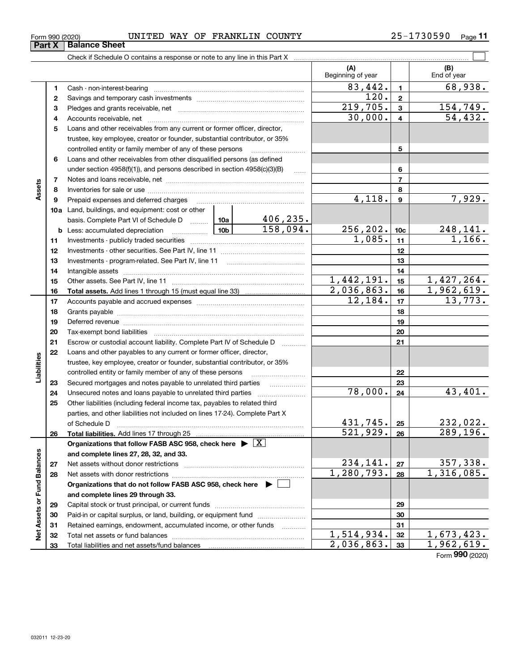| Form 990 (2020) | UNITED | <b>WAY</b> | OF. | FRANKLIN | <b>COUNTY</b> | −∩n590 Pau<br>כטכי: | $P$ age |  |
|-----------------|--------|------------|-----|----------|---------------|---------------------|---------|--|
|                 |        |            |     |          |               |                     |         |  |

 $\overline{\phantom{1}}$ 

| : Sheet                                                                                                                      |  |
|------------------------------------------------------------------------------------------------------------------------------|--|
| . Here shell be $\bigcap$ is a substitute of the second contract of the second best for the first $\bigcap_{i=1}^n A_i$ . We |  |

|                             |    | Check if Schedule O contains a response or note to any line in this Part X                                                                                                                                                     |            |           |                          |                         |                          |
|-----------------------------|----|--------------------------------------------------------------------------------------------------------------------------------------------------------------------------------------------------------------------------------|------------|-----------|--------------------------|-------------------------|--------------------------|
|                             |    |                                                                                                                                                                                                                                |            |           | (A)<br>Beginning of year |                         | (B)<br>End of year       |
|                             | 1  |                                                                                                                                                                                                                                |            |           | 83,442.                  | $\mathbf{1}$            | 68,938.                  |
|                             | 2  |                                                                                                                                                                                                                                |            |           | 120.                     | $\mathbf{2}$            |                          |
|                             | з  |                                                                                                                                                                                                                                |            |           | $\overline{219,705}$ .   | 3                       | 154,749.                 |
|                             | 4  |                                                                                                                                                                                                                                |            |           | 30,000.                  | $\overline{\mathbf{4}}$ | 54,432.                  |
|                             | 5  | Loans and other receivables from any current or former officer, director,                                                                                                                                                      |            |           |                          |                         |                          |
|                             |    | trustee, key employee, creator or founder, substantial contributor, or 35%                                                                                                                                                     |            |           |                          |                         |                          |
|                             |    | controlled entity or family member of any of these persons                                                                                                                                                                     |            |           |                          | 5                       |                          |
|                             | 6  | Loans and other receivables from other disqualified persons (as defined                                                                                                                                                        |            |           |                          |                         |                          |
|                             |    | under section 4958(f)(1)), and persons described in section 4958(c)(3)(B)                                                                                                                                                      |            | $\ldots$  |                          | 6                       |                          |
|                             | 7  |                                                                                                                                                                                                                                |            |           |                          | $\overline{7}$          |                          |
| Assets                      | 8  |                                                                                                                                                                                                                                |            |           |                          | 8                       |                          |
|                             | 9  | Prepaid expenses and deferred charges [11] [11] [11] [12] [12] [12] [12] [13] [13] [13] [13] [13] [13] [13] [1                                                                                                                 |            |           | 4,118.                   | 9                       | 7,929.                   |
|                             |    | 10a Land, buildings, and equipment: cost or other                                                                                                                                                                              |            |           |                          |                         |                          |
|                             |    | basis. Complete Part VI of Schedule D  10a                                                                                                                                                                                     |            | 406, 235. |                          |                         |                          |
|                             |    |                                                                                                                                                                                                                                | 158,094.   |           | 256, 202.                | 10c                     | 248,141.                 |
|                             | 11 |                                                                                                                                                                                                                                |            |           | 1,085.                   | 11                      | 1,166.                   |
|                             | 12 |                                                                                                                                                                                                                                |            |           |                          | 12                      |                          |
|                             | 13 |                                                                                                                                                                                                                                |            |           | 13                       |                         |                          |
|                             | 14 |                                                                                                                                                                                                                                |            |           | 14                       |                         |                          |
|                             | 15 |                                                                                                                                                                                                                                | 1,442,191. | 15        | 1,427,264.               |                         |                          |
|                             | 16 |                                                                                                                                                                                                                                |            |           | $\overline{2,036,863}$ . | 16                      | 1,962,619.               |
|                             | 17 |                                                                                                                                                                                                                                |            |           | 12,184.                  | 17                      | 13,773.                  |
|                             | 18 |                                                                                                                                                                                                                                |            | 18        |                          |                         |                          |
|                             | 19 | Deferred revenue manual contracts and contracts are all the contracts and contracts are contracted and contracts are contracted and contract are contracted and contract are contracted and contract are contracted and contra |            | 19        |                          |                         |                          |
|                             | 20 |                                                                                                                                                                                                                                |            | 20        |                          |                         |                          |
|                             | 21 | Escrow or custodial account liability. Complete Part IV of Schedule D                                                                                                                                                          |            |           |                          | 21                      |                          |
|                             | 22 | Loans and other payables to any current or former officer, director,                                                                                                                                                           |            |           |                          |                         |                          |
| Liabilities                 |    | trustee, key employee, creator or founder, substantial contributor, or 35%                                                                                                                                                     |            |           |                          |                         |                          |
|                             |    | controlled entity or family member of any of these persons                                                                                                                                                                     |            |           |                          | 22                      |                          |
|                             | 23 | Secured mortgages and notes payable to unrelated third parties <i>manufactured</i> mortgages and notes payable to unrelated third parties                                                                                      |            |           |                          | 23                      |                          |
|                             | 24 |                                                                                                                                                                                                                                |            |           | 78,000.                  | 24                      | 43,401.                  |
|                             | 25 | Other liabilities (including federal income tax, payables to related third                                                                                                                                                     |            |           |                          |                         |                          |
|                             |    | parties, and other liabilities not included on lines 17-24). Complete Part X                                                                                                                                                   |            |           |                          |                         |                          |
|                             |    | of Schedule D                                                                                                                                                                                                                  |            |           | 431,745.                 | 25                      | 232,022.                 |
|                             | 26 | Total liabilities. Add lines 17 through 25                                                                                                                                                                                     |            |           | 521,929.                 | 26                      | 289,196.                 |
|                             |    | Organizations that follow FASB ASC 958, check here $\triangleright \lfloor X \rfloor$                                                                                                                                          |            |           |                          |                         |                          |
|                             |    | and complete lines 27, 28, 32, and 33.                                                                                                                                                                                         |            |           |                          |                         |                          |
|                             | 27 | Net assets without donor restrictions                                                                                                                                                                                          |            |           | 234,141.                 | 27                      | 357,338.                 |
|                             | 28 |                                                                                                                                                                                                                                |            |           | 1, 280, 793.             | 28                      | $\overline{1,316,085}$ . |
|                             |    | Organizations that do not follow FASB ASC 958, check here ▶ □                                                                                                                                                                  |            |           |                          |                         |                          |
|                             |    | and complete lines 29 through 33.                                                                                                                                                                                              |            |           |                          |                         |                          |
|                             | 29 |                                                                                                                                                                                                                                |            |           |                          | 29                      |                          |
| Net Assets or Fund Balances | 30 | Paid-in or capital surplus, or land, building, or equipment fund                                                                                                                                                               |            |           |                          | 30                      |                          |
|                             | 31 | Retained earnings, endowment, accumulated income, or other funds                                                                                                                                                               |            |           |                          | 31                      |                          |
|                             | 32 |                                                                                                                                                                                                                                |            |           | 1,514,934.               | 32                      | 1,673,423.               |
|                             | 33 |                                                                                                                                                                                                                                |            |           | 2,036,863.               | 33                      | 1,962,619.               |

Form (2020) **990**

# **Part X Balance**<br>**Part X Balance**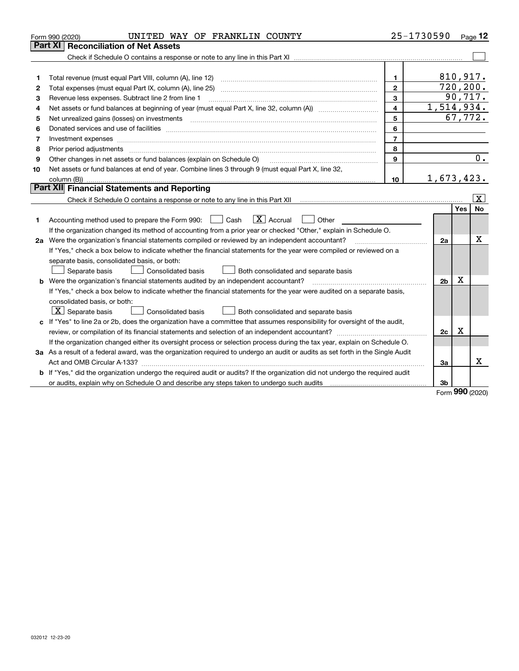|    | UNITED WAY OF FRANKLIN COUNTY<br>Form 990 (2020)                                                                                                                                             |                | 25-1730590     |           | Page 12         |  |
|----|----------------------------------------------------------------------------------------------------------------------------------------------------------------------------------------------|----------------|----------------|-----------|-----------------|--|
|    | Part XI<br><b>Reconciliation of Net Assets</b>                                                                                                                                               |                |                |           |                 |  |
|    |                                                                                                                                                                                              |                |                |           |                 |  |
|    |                                                                                                                                                                                              |                |                |           |                 |  |
| 1  |                                                                                                                                                                                              | $\mathbf{1}$   |                | 810,917.  |                 |  |
| 2  |                                                                                                                                                                                              | $\mathbf{2}$   |                | 720, 200. |                 |  |
| з  | Revenue less expenses. Subtract line 2 from line 1                                                                                                                                           | 3              | 1,514,934.     |           | 90,717.         |  |
| 4  | 4<br>Net assets or fund balances at beginning of year (must equal Part X, line 32, column (A)) <i>massets</i> or fund balances at beginning of year (must equal Part X, line 32, column (A)) |                |                |           |                 |  |
| 5  |                                                                                                                                                                                              | 5              |                |           | 67,772.         |  |
| 6  |                                                                                                                                                                                              | 6              |                |           |                 |  |
| 7  | Investment expenses www.communication.com/www.communication.com/www.communication.com/www.communication.com                                                                                  | $\overline{7}$ |                |           |                 |  |
| 8  | Prior period adjustments                                                                                                                                                                     | 8              |                |           |                 |  |
| 9  | Other changes in net assets or fund balances (explain on Schedule O)                                                                                                                         | 9              |                |           | 0.              |  |
| 10 | Net assets or fund balances at end of year. Combine lines 3 through 9 (must equal Part X, line 32,                                                                                           |                |                |           |                 |  |
|    |                                                                                                                                                                                              | 10             | 1,673,423.     |           |                 |  |
|    | Part XII Financial Statements and Reporting                                                                                                                                                  |                |                |           |                 |  |
|    |                                                                                                                                                                                              |                |                |           | $\vert X \vert$ |  |
|    |                                                                                                                                                                                              |                |                | Yes       | <b>No</b>       |  |
| 1  | $\boxed{\text{X}}$ Accrual<br>Accounting method used to prepare the Form 990: <u>June</u> Cash<br>Other                                                                                      |                |                |           |                 |  |
|    | If the organization changed its method of accounting from a prior year or checked "Other," explain in Schedule O.                                                                            |                |                |           |                 |  |
|    | 2a Were the organization's financial statements compiled or reviewed by an independent accountant?                                                                                           |                | 2a             |           | х               |  |
|    | If "Yes," check a box below to indicate whether the financial statements for the year were compiled or reviewed on a                                                                         |                |                |           |                 |  |
|    | separate basis, consolidated basis, or both:                                                                                                                                                 |                |                |           |                 |  |
|    | Separate basis<br>Consolidated basis<br>Both consolidated and separate basis                                                                                                                 |                |                |           |                 |  |
| b  | Were the organization's financial statements audited by an independent accountant?                                                                                                           |                | 2 <sub>b</sub> | Х         |                 |  |
|    | If "Yes," check a box below to indicate whether the financial statements for the year were audited on a separate basis,                                                                      |                |                |           |                 |  |
|    | consolidated basis, or both:                                                                                                                                                                 |                |                |           |                 |  |
|    | $X$ Separate basis<br><b>Consolidated basis</b><br>Both consolidated and separate basis                                                                                                      |                |                |           |                 |  |
|    | c If "Yes" to line 2a or 2b, does the organization have a committee that assumes responsibility for oversight of the audit,                                                                  |                |                |           |                 |  |
|    |                                                                                                                                                                                              |                | 2c             | Х         |                 |  |
|    | If the organization changed either its oversight process or selection process during the tax year, explain on Schedule O.                                                                    |                |                |           |                 |  |
|    | 3a As a result of a federal award, was the organization required to undergo an audit or audits as set forth in the Single Audit                                                              |                |                |           |                 |  |
|    |                                                                                                                                                                                              |                | За             |           | Χ               |  |
|    | <b>b</b> If "Yes," did the organization undergo the required audit or audits? If the organization did not undergo the required audit                                                         |                |                |           |                 |  |
|    | or audits, explain why on Schedule O and describe any steps taken to undergo such audits [11] content to under                                                                               |                | 3b             |           |                 |  |
|    |                                                                                                                                                                                              |                |                | nn n      |                 |  |

Form (2020) **990**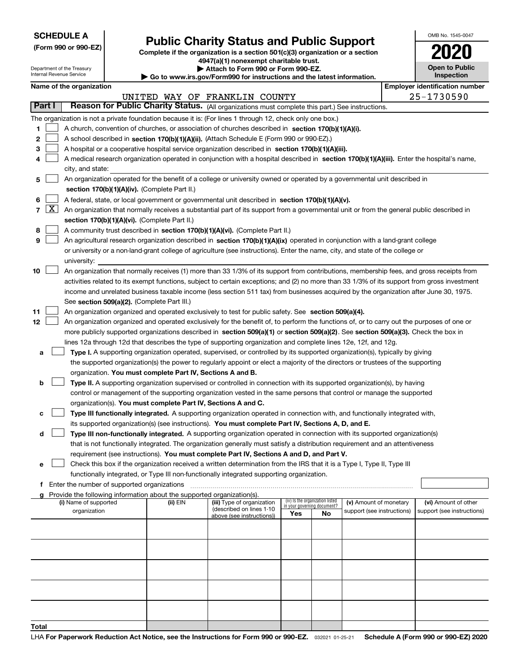| <b>SCHEDULE A</b> |
|-------------------|
|-------------------|

Department of the Treasury Internal Revenue Service

**(Form 990 or 990-EZ)**

### **Public Charity Status and Public Support**

**Complete if the organization is a section 501(c)(3) organization or a section 4947(a)(1) nonexempt charitable trust.**

**| Attach to Form 990 or Form 990-EZ.** 

**| Go to www.irs.gov/Form990 for instructions and the latest information.**

| OMB No 1545-0047                    |
|-------------------------------------|
| 2020                                |
| <b>Open to Public</b><br>Inspection |

|                 | Name of the organization                                                                                                                     |          |                                                        |                                                                |    |                            | <b>Employer identification number</b> |
|-----------------|----------------------------------------------------------------------------------------------------------------------------------------------|----------|--------------------------------------------------------|----------------------------------------------------------------|----|----------------------------|---------------------------------------|
|                 |                                                                                                                                              |          | UNITED WAY OF FRANKLIN COUNTY                          |                                                                |    |                            | 25-1730590                            |
| Part I          | Reason for Public Charity Status. (All organizations must complete this part.) See instructions.                                             |          |                                                        |                                                                |    |                            |                                       |
|                 | The organization is not a private foundation because it is: (For lines 1 through 12, check only one box.)                                    |          |                                                        |                                                                |    |                            |                                       |
| 1               | A church, convention of churches, or association of churches described in section 170(b)(1)(A)(i).                                           |          |                                                        |                                                                |    |                            |                                       |
| 2               | A school described in section 170(b)(1)(A)(ii). (Attach Schedule E (Form 990 or 990-EZ).)                                                    |          |                                                        |                                                                |    |                            |                                       |
| з               | A hospital or a cooperative hospital service organization described in section 170(b)(1)(A)(iii).                                            |          |                                                        |                                                                |    |                            |                                       |
| 4               | A medical research organization operated in conjunction with a hospital described in section 170(b)(1)(A)(iii). Enter the hospital's name,   |          |                                                        |                                                                |    |                            |                                       |
|                 | city, and state:                                                                                                                             |          |                                                        |                                                                |    |                            |                                       |
| 5               | An organization operated for the benefit of a college or university owned or operated by a governmental unit described in                    |          |                                                        |                                                                |    |                            |                                       |
|                 | section 170(b)(1)(A)(iv). (Complete Part II.)                                                                                                |          |                                                        |                                                                |    |                            |                                       |
| 6               | A federal, state, or local government or governmental unit described in section 170(b)(1)(A)(v).                                             |          |                                                        |                                                                |    |                            |                                       |
| $7 \mid X \mid$ | An organization that normally receives a substantial part of its support from a governmental unit or from the general public described in    |          |                                                        |                                                                |    |                            |                                       |
|                 | section 170(b)(1)(A)(vi). (Complete Part II.)                                                                                                |          |                                                        |                                                                |    |                            |                                       |
| 8               | A community trust described in section 170(b)(1)(A)(vi). (Complete Part II.)                                                                 |          |                                                        |                                                                |    |                            |                                       |
| 9               | An agricultural research organization described in section 170(b)(1)(A)(ix) operated in conjunction with a land-grant college                |          |                                                        |                                                                |    |                            |                                       |
|                 | or university or a non-land-grant college of agriculture (see instructions). Enter the name, city, and state of the college or               |          |                                                        |                                                                |    |                            |                                       |
|                 | university:                                                                                                                                  |          |                                                        |                                                                |    |                            |                                       |
| 10              | An organization that normally receives (1) more than 33 1/3% of its support from contributions, membership fees, and gross receipts from     |          |                                                        |                                                                |    |                            |                                       |
|                 | activities related to its exempt functions, subject to certain exceptions; and (2) no more than 33 1/3% of its support from gross investment |          |                                                        |                                                                |    |                            |                                       |
|                 | income and unrelated business taxable income (less section 511 tax) from businesses acquired by the organization after June 30, 1975.        |          |                                                        |                                                                |    |                            |                                       |
|                 | See section 509(a)(2). (Complete Part III.)                                                                                                  |          |                                                        |                                                                |    |                            |                                       |
| 11              | An organization organized and operated exclusively to test for public safety. See section 509(a)(4).                                         |          |                                                        |                                                                |    |                            |                                       |
| 12              | An organization organized and operated exclusively for the benefit of, to perform the functions of, or to carry out the purposes of one or   |          |                                                        |                                                                |    |                            |                                       |
|                 | more publicly supported organizations described in section 509(a)(1) or section 509(a)(2). See section 509(a)(3). Check the box in           |          |                                                        |                                                                |    |                            |                                       |
|                 | lines 12a through 12d that describes the type of supporting organization and complete lines 12e, 12f, and 12g.                               |          |                                                        |                                                                |    |                            |                                       |
| a               | Type I. A supporting organization operated, supervised, or controlled by its supported organization(s), typically by giving                  |          |                                                        |                                                                |    |                            |                                       |
|                 | the supported organization(s) the power to regularly appoint or elect a majority of the directors or trustees of the supporting              |          |                                                        |                                                                |    |                            |                                       |
|                 | organization. You must complete Part IV, Sections A and B.                                                                                   |          |                                                        |                                                                |    |                            |                                       |
| b               | Type II. A supporting organization supervised or controlled in connection with its supported organization(s), by having                      |          |                                                        |                                                                |    |                            |                                       |
|                 | control or management of the supporting organization vested in the same persons that control or manage the supported                         |          |                                                        |                                                                |    |                            |                                       |
|                 | organization(s). You must complete Part IV, Sections A and C.                                                                                |          |                                                        |                                                                |    |                            |                                       |
| с               | Type III functionally integrated. A supporting organization operated in connection with, and functionally integrated with,                   |          |                                                        |                                                                |    |                            |                                       |
|                 | its supported organization(s) (see instructions). You must complete Part IV, Sections A, D, and E.                                           |          |                                                        |                                                                |    |                            |                                       |
| d               | Type III non-functionally integrated. A supporting organization operated in connection with its supported organization(s)                    |          |                                                        |                                                                |    |                            |                                       |
|                 | that is not functionally integrated. The organization generally must satisfy a distribution requirement and an attentiveness                 |          |                                                        |                                                                |    |                            |                                       |
|                 | requirement (see instructions). You must complete Part IV, Sections A and D, and Part V.                                                     |          |                                                        |                                                                |    |                            |                                       |
| е               | Check this box if the organization received a written determination from the IRS that it is a Type I, Type II, Type III                      |          |                                                        |                                                                |    |                            |                                       |
|                 | functionally integrated, or Type III non-functionally integrated supporting organization.                                                    |          |                                                        |                                                                |    |                            |                                       |
|                 | f Enter the number of supported organizations                                                                                                |          |                                                        |                                                                |    |                            |                                       |
|                 | Provide the following information about the supported organization(s).                                                                       |          |                                                        |                                                                |    |                            |                                       |
|                 | (i) Name of supported                                                                                                                        | (ii) EIN | (iii) Type of organization<br>(described on lines 1-10 | (iv) Is the organization listed<br>in your governing document? |    | (v) Amount of monetary     | (vi) Amount of other                  |
|                 | organization                                                                                                                                 |          | above (see instructions))                              | Yes                                                            | No | support (see instructions) | support (see instructions)            |
|                 |                                                                                                                                              |          |                                                        |                                                                |    |                            |                                       |
|                 |                                                                                                                                              |          |                                                        |                                                                |    |                            |                                       |
|                 |                                                                                                                                              |          |                                                        |                                                                |    |                            |                                       |
|                 |                                                                                                                                              |          |                                                        |                                                                |    |                            |                                       |
|                 |                                                                                                                                              |          |                                                        |                                                                |    |                            |                                       |
|                 |                                                                                                                                              |          |                                                        |                                                                |    |                            |                                       |
|                 |                                                                                                                                              |          |                                                        |                                                                |    |                            |                                       |
|                 |                                                                                                                                              |          |                                                        |                                                                |    |                            |                                       |
|                 |                                                                                                                                              |          |                                                        |                                                                |    |                            |                                       |
| Total           |                                                                                                                                              |          |                                                        |                                                                |    |                            |                                       |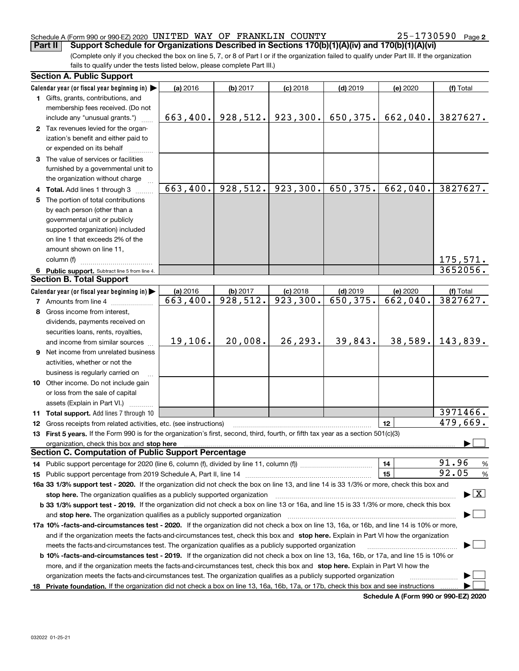### Schedule A (Form 990 or 990-EZ) 2020 Page UNITED WAY OF FRANKLIN COUNTY 25-1730590

(Complete only if you checked the box on line 5, 7, or 8 of Part I or if the organization failed to qualify under Part III. If the organization fails to qualify under the tests listed below, please complete Part III.) **Part II Support Schedule for Organizations Described in Sections 170(b)(1)(A)(iv) and 170(b)(1)(A)(vi)**

|    | <b>Section A. Public Support</b>                                                                                                               |          |           |            |            |          |                                          |  |
|----|------------------------------------------------------------------------------------------------------------------------------------------------|----------|-----------|------------|------------|----------|------------------------------------------|--|
|    | Calendar year (or fiscal year beginning in) $\blacktriangleright$                                                                              | (a) 2016 | (b) 2017  | $(c)$ 2018 | $(d)$ 2019 | (e) 2020 | (f) Total                                |  |
|    | 1 Gifts, grants, contributions, and                                                                                                            |          |           |            |            |          |                                          |  |
|    | membership fees received. (Do not                                                                                                              |          |           |            |            |          |                                          |  |
|    | include any "unusual grants.")                                                                                                                 | 663,400. | 928,512.  | 923,300.   | 650,375.   | 662,040. | 3827627.                                 |  |
|    | 2 Tax revenues levied for the organ-                                                                                                           |          |           |            |            |          |                                          |  |
|    | ization's benefit and either paid to                                                                                                           |          |           |            |            |          |                                          |  |
|    | or expended on its behalf                                                                                                                      |          |           |            |            |          |                                          |  |
|    | 3 The value of services or facilities                                                                                                          |          |           |            |            |          |                                          |  |
|    | furnished by a governmental unit to                                                                                                            |          |           |            |            |          |                                          |  |
|    | the organization without charge                                                                                                                |          |           |            |            |          |                                          |  |
|    | 4 Total. Add lines 1 through 3                                                                                                                 | 663,400. | 928,512.  | 923,300.   | 650,375.   | 662,040. | 3827627.                                 |  |
| 5. | The portion of total contributions                                                                                                             |          |           |            |            |          |                                          |  |
|    | by each person (other than a                                                                                                                   |          |           |            |            |          |                                          |  |
|    | governmental unit or publicly                                                                                                                  |          |           |            |            |          |                                          |  |
|    | supported organization) included                                                                                                               |          |           |            |            |          |                                          |  |
|    | on line 1 that exceeds 2% of the                                                                                                               |          |           |            |            |          |                                          |  |
|    | amount shown on line 11,                                                                                                                       |          |           |            |            |          |                                          |  |
|    | column (f)                                                                                                                                     |          |           |            |            |          | 175,571.                                 |  |
|    | 6 Public support. Subtract line 5 from line 4.                                                                                                 |          |           |            |            |          | 3652056.                                 |  |
|    | <b>Section B. Total Support</b>                                                                                                                |          |           |            |            |          |                                          |  |
|    | Calendar year (or fiscal year beginning in)                                                                                                    | (a) 2016 | (b) 2017  | $(c)$ 2018 | $(d)$ 2019 | (e) 2020 | (f) Total                                |  |
|    | <b>7</b> Amounts from line 4                                                                                                                   | 663,400. | 928, 512. | 923,300.   | 650, 375.  | 662,040. | 3827627.                                 |  |
|    | 8 Gross income from interest,                                                                                                                  |          |           |            |            |          |                                          |  |
|    | dividends, payments received on                                                                                                                |          |           |            |            |          |                                          |  |
|    | securities loans, rents, royalties,                                                                                                            |          |           |            |            |          |                                          |  |
|    | and income from similar sources                                                                                                                | 19,106.  | 20,008.   | 26, 293.   | 39,843.    | 38,589.  | 143,839.                                 |  |
|    | 9 Net income from unrelated business                                                                                                           |          |           |            |            |          |                                          |  |
|    | activities, whether or not the                                                                                                                 |          |           |            |            |          |                                          |  |
|    | business is regularly carried on                                                                                                               |          |           |            |            |          |                                          |  |
|    | 10 Other income. Do not include gain                                                                                                           |          |           |            |            |          |                                          |  |
|    | or loss from the sale of capital                                                                                                               |          |           |            |            |          |                                          |  |
|    | assets (Explain in Part VI.)                                                                                                                   |          |           |            |            |          |                                          |  |
|    | <b>11 Total support.</b> Add lines 7 through 10                                                                                                |          |           |            |            |          | 3971466.                                 |  |
|    | <b>12</b> Gross receipts from related activities, etc. (see instructions)                                                                      |          |           |            |            | 12       | 479,669.                                 |  |
|    | 13 First 5 years. If the Form 990 is for the organization's first, second, third, fourth, or fifth tax year as a section 501(c)(3)             |          |           |            |            |          |                                          |  |
|    | organization, check this box and stop here                                                                                                     |          |           |            |            |          |                                          |  |
|    | <b>Section C. Computation of Public Support Percentage</b>                                                                                     |          |           |            |            |          |                                          |  |
|    |                                                                                                                                                |          |           |            |            | 14       | 91.96<br>$\%$                            |  |
|    |                                                                                                                                                |          |           |            |            | 15       | 92.05<br>$\%$                            |  |
|    | 16a 33 1/3% support test - 2020. If the organization did not check the box on line 13, and line 14 is 33 1/3% or more, check this box and      |          |           |            |            |          |                                          |  |
|    | stop here. The organization qualifies as a publicly supported organization                                                                     |          |           |            |            |          | $\blacktriangleright$ $\boxed{\text{X}}$ |  |
|    | b 33 1/3% support test - 2019. If the organization did not check a box on line 13 or 16a, and line 15 is 33 1/3% or more, check this box       |          |           |            |            |          |                                          |  |
|    | and stop here. The organization qualifies as a publicly supported organization                                                                 |          |           |            |            |          |                                          |  |
|    | 17a 10% -facts-and-circumstances test - 2020. If the organization did not check a box on line 13, 16a, or 16b, and line 14 is 10% or more,     |          |           |            |            |          |                                          |  |
|    | and if the organization meets the facts and circumstances test, check this box and stop here. Explain in Part VI how the organization          |          |           |            |            |          |                                          |  |
|    | meets the facts-and-circumstances test. The organization qualifies as a publicly supported organization                                        |          |           |            |            |          |                                          |  |
|    | <b>b 10% -facts-and-circumstances test - 2019.</b> If the organization did not check a box on line 13, 16a, 16b, or 17a, and line 15 is 10% or |          |           |            |            |          |                                          |  |
|    | more, and if the organization meets the facts-and-circumstances test, check this box and stop here. Explain in Part VI how the                 |          |           |            |            |          |                                          |  |
|    | organization meets the facts-and-circumstances test. The organization qualifies as a publicly supported organization                           |          |           |            |            |          |                                          |  |
|    |                                                                                                                                                |          |           |            |            |          |                                          |  |
|    | 18 Private foundation. If the organization did not check a box on line 13, 16a, 16b, 17a, or 17b, check this box and see instructions          |          |           |            |            |          |                                          |  |

**Schedule A (Form 990 or 990-EZ) 2020**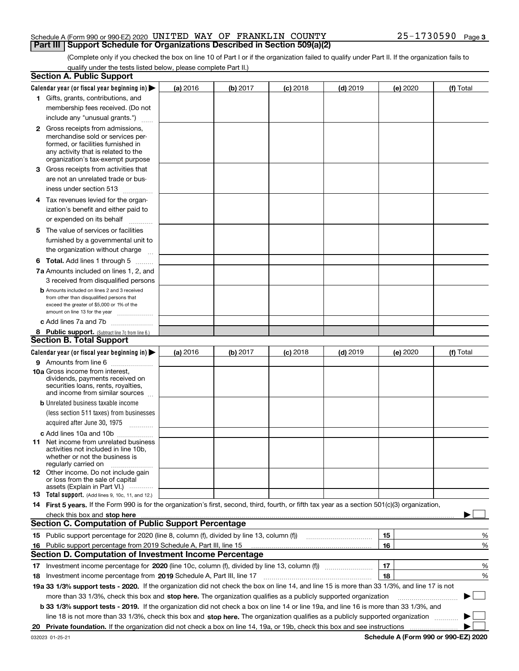### Schedule A (Form 990 or 990-EZ) 2020 Page UNITED WAY OF FRANKLIN COUNTY 25-1730590**Part III Support Schedule for Organizations Described in Section 509(a)(2)**

(Complete only if you checked the box on line 10 of Part I or if the organization failed to qualify under Part II. If the organization fails to qualify under the tests listed below, please complete Part II.)

|     | <b>Section A. Public Support</b>                                                                                                                                                                                               |          |          |            |            |          |             |
|-----|--------------------------------------------------------------------------------------------------------------------------------------------------------------------------------------------------------------------------------|----------|----------|------------|------------|----------|-------------|
|     | Calendar year (or fiscal year beginning in) $\blacktriangleright$                                                                                                                                                              | (a) 2016 | (b) 2017 | $(c)$ 2018 | $(d)$ 2019 | (e) 2020 | (f) Total   |
|     | 1 Gifts, grants, contributions, and                                                                                                                                                                                            |          |          |            |            |          |             |
|     | membership fees received. (Do not                                                                                                                                                                                              |          |          |            |            |          |             |
|     | include any "unusual grants.")                                                                                                                                                                                                 |          |          |            |            |          |             |
|     | <b>2</b> Gross receipts from admissions,                                                                                                                                                                                       |          |          |            |            |          |             |
|     | merchandise sold or services per-                                                                                                                                                                                              |          |          |            |            |          |             |
|     | formed, or facilities furnished in                                                                                                                                                                                             |          |          |            |            |          |             |
|     | any activity that is related to the<br>organization's tax-exempt purpose                                                                                                                                                       |          |          |            |            |          |             |
|     | 3 Gross receipts from activities that                                                                                                                                                                                          |          |          |            |            |          |             |
|     | are not an unrelated trade or bus-                                                                                                                                                                                             |          |          |            |            |          |             |
|     | iness under section 513                                                                                                                                                                                                        |          |          |            |            |          |             |
|     |                                                                                                                                                                                                                                |          |          |            |            |          |             |
|     | 4 Tax revenues levied for the organ-                                                                                                                                                                                           |          |          |            |            |          |             |
|     | ization's benefit and either paid to                                                                                                                                                                                           |          |          |            |            |          |             |
|     | or expended on its behalf<br>.                                                                                                                                                                                                 |          |          |            |            |          |             |
|     | 5 The value of services or facilities                                                                                                                                                                                          |          |          |            |            |          |             |
|     | furnished by a governmental unit to                                                                                                                                                                                            |          |          |            |            |          |             |
|     | the organization without charge                                                                                                                                                                                                |          |          |            |            |          |             |
|     | <b>6 Total.</b> Add lines 1 through 5                                                                                                                                                                                          |          |          |            |            |          |             |
|     | 7a Amounts included on lines 1, 2, and                                                                                                                                                                                         |          |          |            |            |          |             |
|     | 3 received from disqualified persons                                                                                                                                                                                           |          |          |            |            |          |             |
|     | <b>b</b> Amounts included on lines 2 and 3 received                                                                                                                                                                            |          |          |            |            |          |             |
|     | from other than disqualified persons that<br>exceed the greater of \$5,000 or 1% of the                                                                                                                                        |          |          |            |            |          |             |
|     | amount on line 13 for the year                                                                                                                                                                                                 |          |          |            |            |          |             |
|     | c Add lines 7a and 7b                                                                                                                                                                                                          |          |          |            |            |          |             |
|     | 8 Public support. (Subtract line 7c from line 6.)                                                                                                                                                                              |          |          |            |            |          |             |
|     | <b>Section B. Total Support</b>                                                                                                                                                                                                |          |          |            |            |          |             |
|     | Calendar year (or fiscal year beginning in) $\blacktriangleright$                                                                                                                                                              | (a) 2016 | (b) 2017 | $(c)$ 2018 | $(d)$ 2019 | (e) 2020 | (f) Total   |
|     | 9 Amounts from line 6                                                                                                                                                                                                          |          |          |            |            |          |             |
|     | <b>10a</b> Gross income from interest,                                                                                                                                                                                         |          |          |            |            |          |             |
|     | dividends, payments received on                                                                                                                                                                                                |          |          |            |            |          |             |
|     | securities loans, rents, royalties,<br>and income from similar sources                                                                                                                                                         |          |          |            |            |          |             |
|     | <b>b</b> Unrelated business taxable income                                                                                                                                                                                     |          |          |            |            |          |             |
|     | (less section 511 taxes) from businesses                                                                                                                                                                                       |          |          |            |            |          |             |
|     | acquired after June 30, 1975                                                                                                                                                                                                   |          |          |            |            |          |             |
|     | c Add lines 10a and 10b                                                                                                                                                                                                        |          |          |            |            |          |             |
|     | 11 Net income from unrelated business                                                                                                                                                                                          |          |          |            |            |          |             |
|     | activities not included in line 10b,                                                                                                                                                                                           |          |          |            |            |          |             |
|     | whether or not the business is                                                                                                                                                                                                 |          |          |            |            |          |             |
|     | regularly carried on<br><b>12</b> Other income. Do not include gain                                                                                                                                                            |          |          |            |            |          |             |
|     | or loss from the sale of capital                                                                                                                                                                                               |          |          |            |            |          |             |
|     | assets (Explain in Part VI.)                                                                                                                                                                                                   |          |          |            |            |          |             |
|     | 13 Total support. (Add lines 9, 10c, 11, and 12.)                                                                                                                                                                              |          |          |            |            |          |             |
|     | 14 First 5 years. If the Form 990 is for the organization's first, second, third, fourth, or fifth tax year as a section 501(c)(3) organization,                                                                               |          |          |            |            |          |             |
|     | check this box and stop here measurements and contain the state of the state of the state of the state of the state of the state of the state of the state of the state of the state of the state of the state of the state of |          |          |            |            |          |             |
|     | <b>Section C. Computation of Public Support Percentage</b>                                                                                                                                                                     |          |          |            |            |          |             |
|     |                                                                                                                                                                                                                                |          |          |            |            | 15       | %           |
| 16. | Public support percentage from 2019 Schedule A, Part III, line 15<br><b>Section D. Computation of Investment Income Percentage</b>                                                                                             |          |          |            |            | 16       | %           |
|     |                                                                                                                                                                                                                                |          |          |            |            |          |             |
|     | 17 Investment income percentage for 2020 (line 10c, column (f), divided by line 13, column (f))                                                                                                                                |          |          |            |            | 17       | %           |
|     | 18 Investment income percentage from 2019 Schedule A, Part III, line 17                                                                                                                                                        |          |          |            |            | 18       | %           |
|     | 19a 33 1/3% support tests - 2020. If the organization did not check the box on line 14, and line 15 is more than 33 1/3%, and line 17 is not                                                                                   |          |          |            |            |          |             |
|     | more than 33 1/3%, check this box and stop here. The organization qualifies as a publicly supported organization                                                                                                               |          |          |            |            |          | $\sim$<br>▶ |
|     | b 33 1/3% support tests - 2019. If the organization did not check a box on line 14 or line 19a, and line 16 is more than 33 1/3%, and                                                                                          |          |          |            |            |          |             |
|     | line 18 is not more than 33 1/3%, check this box and stop here. The organization qualifies as a publicly supported organization                                                                                                |          |          |            |            |          |             |
| 20  |                                                                                                                                                                                                                                |          |          |            |            |          |             |

**Schedule A (Form 990 or 990-EZ) 2020**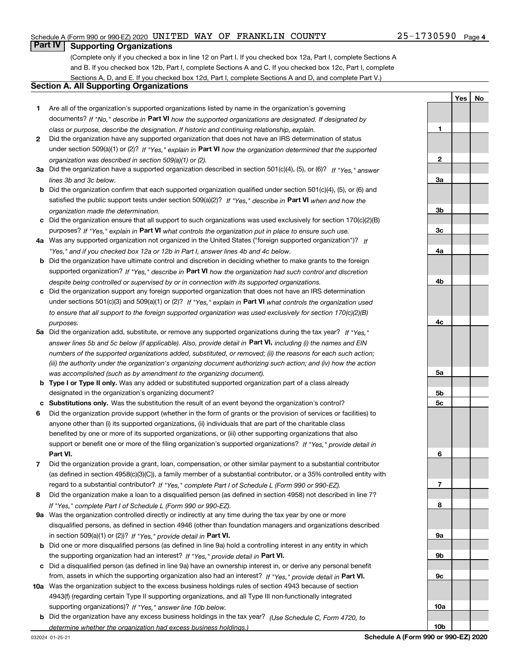### Schedule A (Form 990 or 990-EZ) 2020 Page UNITED WAY OF FRANKLIN COUNTY 25-1730590

### **Part IV Supporting Organizations**

(Complete only if you checked a box in line 12 on Part I. If you checked box 12a, Part I, complete Sections A and B. If you checked box 12b, Part I, complete Sections A and C. If you checked box 12c, Part I, complete Sections A, D, and E. If you checked box 12d, Part I, complete Sections A and D, and complete Part V.)

### **Section A. All Supporting Organizations**

- **1** Are all of the organization's supported organizations listed by name in the organization's governing documents? If "No," describe in **Part VI** how the supported organizations are designated. If designated by *class or purpose, describe the designation. If historic and continuing relationship, explain.*
- **2** Did the organization have any supported organization that does not have an IRS determination of status under section 509(a)(1) or (2)? If "Yes," explain in Part VI how the organization determined that the supported *organization was described in section 509(a)(1) or (2).*
- **3a** Did the organization have a supported organization described in section 501(c)(4), (5), or (6)? If "Yes," answer *lines 3b and 3c below.*
- **b** Did the organization confirm that each supported organization qualified under section 501(c)(4), (5), or (6) and satisfied the public support tests under section 509(a)(2)? If "Yes," describe in **Part VI** when and how the *organization made the determination.*
- **c**Did the organization ensure that all support to such organizations was used exclusively for section 170(c)(2)(B) purposes? If "Yes," explain in **Part VI** what controls the organization put in place to ensure such use.
- **4a***If* Was any supported organization not organized in the United States ("foreign supported organization")? *"Yes," and if you checked box 12a or 12b in Part I, answer lines 4b and 4c below.*
- **b** Did the organization have ultimate control and discretion in deciding whether to make grants to the foreign supported organization? If "Yes," describe in **Part VI** how the organization had such control and discretion *despite being controlled or supervised by or in connection with its supported organizations.*
- **c** Did the organization support any foreign supported organization that does not have an IRS determination under sections 501(c)(3) and 509(a)(1) or (2)? If "Yes," explain in **Part VI** what controls the organization used *to ensure that all support to the foreign supported organization was used exclusively for section 170(c)(2)(B) purposes.*
- **5a***If "Yes,"* Did the organization add, substitute, or remove any supported organizations during the tax year? answer lines 5b and 5c below (if applicable). Also, provide detail in **Part VI,** including (i) the names and EIN *numbers of the supported organizations added, substituted, or removed; (ii) the reasons for each such action; (iii) the authority under the organization's organizing document authorizing such action; and (iv) how the action was accomplished (such as by amendment to the organizing document).*
- **b** Type I or Type II only. Was any added or substituted supported organization part of a class already designated in the organization's organizing document?
- **cSubstitutions only.**  Was the substitution the result of an event beyond the organization's control?
- **6** Did the organization provide support (whether in the form of grants or the provision of services or facilities) to **Part VI.** *If "Yes," provide detail in* support or benefit one or more of the filing organization's supported organizations? anyone other than (i) its supported organizations, (ii) individuals that are part of the charitable class benefited by one or more of its supported organizations, or (iii) other supporting organizations that also
- **7**Did the organization provide a grant, loan, compensation, or other similar payment to a substantial contributor *If "Yes," complete Part I of Schedule L (Form 990 or 990-EZ).* regard to a substantial contributor? (as defined in section 4958(c)(3)(C)), a family member of a substantial contributor, or a 35% controlled entity with
- **8** Did the organization make a loan to a disqualified person (as defined in section 4958) not described in line 7? *If "Yes," complete Part I of Schedule L (Form 990 or 990-EZ).*
- **9a** Was the organization controlled directly or indirectly at any time during the tax year by one or more in section 509(a)(1) or (2))? If "Yes," *provide detail in* <code>Part VI.</code> disqualified persons, as defined in section 4946 (other than foundation managers and organizations described
- **b** Did one or more disqualified persons (as defined in line 9a) hold a controlling interest in any entity in which the supporting organization had an interest? If "Yes," provide detail in P**art VI**.
- **c**Did a disqualified person (as defined in line 9a) have an ownership interest in, or derive any personal benefit from, assets in which the supporting organization also had an interest? If "Yes," provide detail in P**art VI.**
- **10a** Was the organization subject to the excess business holdings rules of section 4943 because of section supporting organizations)? If "Yes," answer line 10b below. 4943(f) (regarding certain Type II supporting organizations, and all Type III non-functionally integrated
- **b** Did the organization have any excess business holdings in the tax year? (Use Schedule C, Form 4720, to *determine whether the organization had excess business holdings.)*

**10a**

**10b**

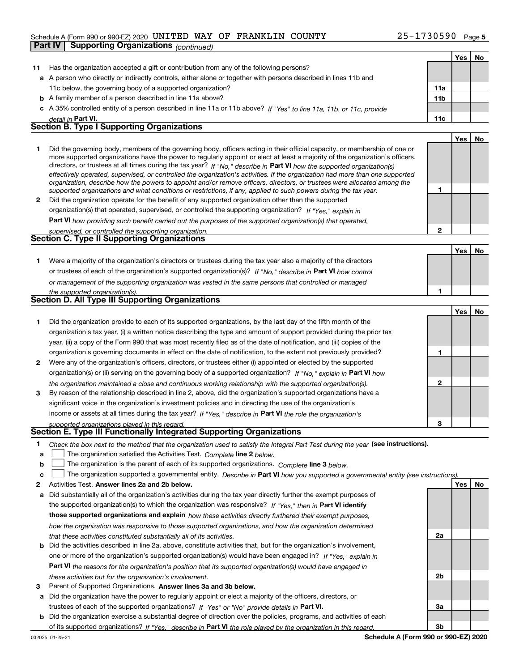### Schedule A (Form 990 or 990-EZ) 2020 Page UNITED WAY OF FRANKLIN COUNTY 25-1730590

|    | <b>Supporting Organizations (continued)</b><br><b>Part IV</b>                                                                                                                                                                                            |                 |     |    |
|----|----------------------------------------------------------------------------------------------------------------------------------------------------------------------------------------------------------------------------------------------------------|-----------------|-----|----|
|    |                                                                                                                                                                                                                                                          |                 | Yes | No |
| 11 | Has the organization accepted a gift or contribution from any of the following persons?                                                                                                                                                                  |                 |     |    |
|    | a A person who directly or indirectly controls, either alone or together with persons described in lines 11b and                                                                                                                                         |                 |     |    |
|    | 11c below, the governing body of a supported organization?                                                                                                                                                                                               | 11a             |     |    |
|    | <b>b</b> A family member of a person described in line 11a above?                                                                                                                                                                                        | 11 <sub>b</sub> |     |    |
|    | c A 35% controlled entity of a person described in line 11a or 11b above? If "Yes" to line 11a, 11b, or 11c, provide                                                                                                                                     |                 |     |    |
|    | detail in Part VI.                                                                                                                                                                                                                                       | 11c             |     |    |
|    | <b>Section B. Type I Supporting Organizations</b>                                                                                                                                                                                                        |                 |     |    |
|    |                                                                                                                                                                                                                                                          |                 | Yes | No |
| 1  | Did the governing body, members of the governing body, officers acting in their official capacity, or membership of one or                                                                                                                               |                 |     |    |
|    | more supported organizations have the power to regularly appoint or elect at least a majority of the organization's officers,<br>directors, or trustees at all times during the tax year? If "No," describe in Part VI how the supported organization(s) |                 |     |    |
|    | effectively operated, supervised, or controlled the organization's activities. If the organization had more than one supported                                                                                                                           |                 |     |    |
|    | organization, describe how the powers to appoint and/or remove officers, directors, or trustees were allocated among the                                                                                                                                 |                 |     |    |
|    | supported organizations and what conditions or restrictions, if any, applied to such powers during the tax year.                                                                                                                                         | 1               |     |    |
| 2  | Did the organization operate for the benefit of any supported organization other than the supported                                                                                                                                                      |                 |     |    |
|    | organization(s) that operated, supervised, or controlled the supporting organization? If "Yes," explain in                                                                                                                                               |                 |     |    |
|    | <b>Part VI</b> how providing such benefit carried out the purposes of the supported organization(s) that operated,                                                                                                                                       |                 |     |    |
|    | supervised, or controlled the supporting organization.<br><b>Section C. Type II Supporting Organizations</b>                                                                                                                                             | $\mathbf{2}$    |     |    |
|    |                                                                                                                                                                                                                                                          |                 |     |    |
|    |                                                                                                                                                                                                                                                          |                 | Yes | No |
| 1. | Were a majority of the organization's directors or trustees during the tax year also a majority of the directors                                                                                                                                         |                 |     |    |
|    | or trustees of each of the organization's supported organization(s)? If "No," describe in Part VI how control                                                                                                                                            |                 |     |    |
|    | or management of the supporting organization was vested in the same persons that controlled or managed                                                                                                                                                   |                 |     |    |
|    | the supported organization(s).<br><b>Section D. All Type III Supporting Organizations</b>                                                                                                                                                                | 1               |     |    |
|    |                                                                                                                                                                                                                                                          |                 | Yes | No |
| 1  | Did the organization provide to each of its supported organizations, by the last day of the fifth month of the                                                                                                                                           |                 |     |    |
|    | organization's tax year, (i) a written notice describing the type and amount of support provided during the prior tax                                                                                                                                    |                 |     |    |
|    | year, (ii) a copy of the Form 990 that was most recently filed as of the date of notification, and (iii) copies of the                                                                                                                                   |                 |     |    |
|    | organization's governing documents in effect on the date of notification, to the extent not previously provided?                                                                                                                                         | 1               |     |    |
| 2  | Were any of the organization's officers, directors, or trustees either (i) appointed or elected by the supported                                                                                                                                         |                 |     |    |
|    | organization(s) or (ii) serving on the governing body of a supported organization? If "No," explain in Part VI how                                                                                                                                       |                 |     |    |
|    | the organization maintained a close and continuous working relationship with the supported organization(s).                                                                                                                                              | 2               |     |    |
| 3  | By reason of the relationship described in line 2, above, did the organization's supported organizations have a                                                                                                                                          |                 |     |    |
|    | significant voice in the organization's investment policies and in directing the use of the organization's                                                                                                                                               |                 |     |    |
|    | income or assets at all times during the tax year? If "Yes," describe in Part VI the role the organization's                                                                                                                                             |                 |     |    |
|    | supported organizations played in this regard.                                                                                                                                                                                                           | З               |     |    |
|    | Section E. Type III Functionally Integrated Supporting Organizations                                                                                                                                                                                     |                 |     |    |
| 1  | Check the box next to the method that the organization used to satisfy the Integral Part Test during the year (see instructions).                                                                                                                        |                 |     |    |
| а  | The organization satisfied the Activities Test. Complete line 2 below.                                                                                                                                                                                   |                 |     |    |
| b  | The organization is the parent of each of its supported organizations. Complete line 3 below.                                                                                                                                                            |                 |     |    |
| c  | The organization supported a governmental entity. Describe in Part VI how you supported a governmental entity (see instructions).                                                                                                                        |                 |     |    |
| 2  | Activities Test. Answer lines 2a and 2b below.                                                                                                                                                                                                           |                 | Yes | No |

- **a** Did substantially all of the organization's activities during the tax year directly further the exempt purposes of **b** Did the activities described in line 2a, above, constitute activities that, but for the organization's involvement, the supported organization(s) to which the organization was responsive? If "Yes," then in **Part VI identify those supported organizations and explain**  *how these activities directly furthered their exempt purposes, how the organization was responsive to those supported organizations, and how the organization determined that these activities constituted substantially all of its activities.* one or more of the organization's supported organization(s) would have been engaged in? If "Yes," e*xplain in* 
	- **Part VI**  *the reasons for the organization's position that its supported organization(s) would have engaged in these activities but for the organization's involvement.*
- **3** Parent of Supported Organizations. Answer lines 3a and 3b below.
- **a** Did the organization have the power to regularly appoint or elect a majority of the officers, directors, or trustees of each of the supported organizations? If "Yes" or "No" provide details in P**art VI.**
- **b** Did the organization exercise a substantial degree of direction over the policies, programs, and activities of each of its supported organizations? If "Yes," describe in Part VI the role played by the organization in this regard.

**2a**

**2b**

**3a**

**3b**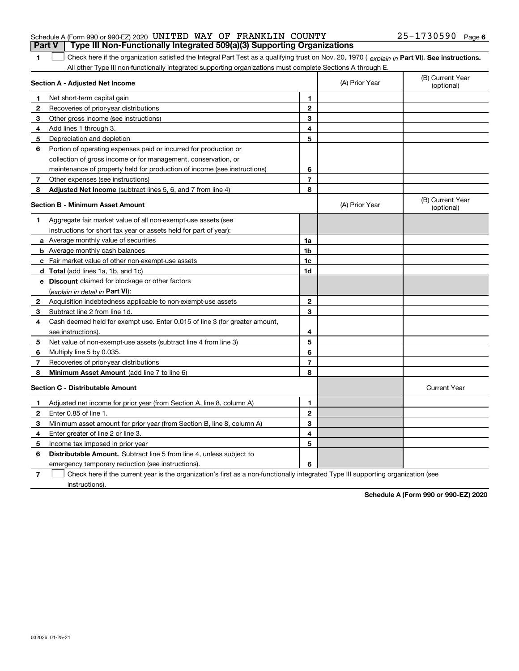|              | Section A - Adjusted Net Income                                             |                | (A) Prior Year | (B) Current Year<br>(optional) |
|--------------|-----------------------------------------------------------------------------|----------------|----------------|--------------------------------|
| 1            | Net short-term capital gain                                                 | 1              |                |                                |
| $\mathbf{2}$ | Recoveries of prior-year distributions                                      | $\mathbf{2}$   |                |                                |
| 3            | Other gross income (see instructions)                                       | 3              |                |                                |
| 4            | Add lines 1 through 3.                                                      | 4              |                |                                |
| 5            | Depreciation and depletion                                                  | 5              |                |                                |
| 6            | Portion of operating expenses paid or incurred for production or            |                |                |                                |
|              | collection of gross income or for management, conservation, or              |                |                |                                |
|              | maintenance of property held for production of income (see instructions)    | 6              |                |                                |
| 7            | Other expenses (see instructions)                                           | $\overline{7}$ |                |                                |
| 8            | <b>Adjusted Net Income</b> (subtract lines 5, 6, and 7 from line 4)         | 8              |                |                                |
|              | <b>Section B - Minimum Asset Amount</b>                                     |                | (A) Prior Year | (B) Current Year<br>(optional) |
| 1            | Aggregate fair market value of all non-exempt-use assets (see               |                |                |                                |
|              | instructions for short tax year or assets held for part of year):           |                |                |                                |
|              | <b>a</b> Average monthly value of securities                                | 1a             |                |                                |
|              | <b>b</b> Average monthly cash balances                                      | 1b             |                |                                |
|              | c Fair market value of other non-exempt-use assets                          | 1c             |                |                                |
|              | d Total (add lines 1a, 1b, and 1c)                                          | 1d             |                |                                |
|              | e Discount claimed for blockage or other factors                            |                |                |                                |
|              | (explain in detail in Part VI):                                             |                |                |                                |
| $\mathbf{2}$ | Acquisition indebtedness applicable to non-exempt-use assets                | $\mathbf{2}$   |                |                                |
| 3            | Subtract line 2 from line 1d.                                               | 3              |                |                                |
| 4            | Cash deemed held for exempt use. Enter 0.015 of line 3 (for greater amount, |                |                |                                |
|              | see instructions).                                                          | 4              |                |                                |
| 5            | Net value of non-exempt-use assets (subtract line 4 from line 3)            | 5              |                |                                |
| 6            | Multiply line 5 by 0.035.                                                   | 6              |                |                                |
| 7            | Recoveries of prior-year distributions                                      | $\overline{7}$ |                |                                |
| 8            | Minimum Asset Amount (add line 7 to line 6)                                 | 8              |                |                                |
|              | <b>Section C - Distributable Amount</b>                                     |                |                | <b>Current Year</b>            |
| 1            | Adjusted net income for prior year (from Section A, line 8, column A)       | 1              |                |                                |
| $\mathbf{2}$ | Enter 0.85 of line 1.                                                       | $\mathbf{2}$   |                |                                |
| 3            | Minimum asset amount for prior year (from Section B, line 8, column A)      | 3              |                |                                |
| 4            | Enter greater of line 2 or line 3.                                          | 4              |                |                                |
| 5            | Income tax imposed in prior year                                            | 5              |                |                                |
| 6            | Distributable Amount. Subtract line 5 from line 4, unless subject to        |                |                |                                |
|              | emergency temporary reduction (see instructions).                           | 6              |                |                                |

Check here if the current year is the organization's first as a non-functionally integrated Type III supporting organization (see

### **1**

1 Check here if the organization satisfied the Integral Part Test as a qualifying trust on Nov. 20, 1970 (explain in Part VI). See instructions. **Part V Type III Non-Functionally Integrated 509(a)(3) Supporting Organizations** 

All other Type III non-functionally integrated supporting organizations must complete Sections A through E.

**Schedule A (Form 990 or 990-EZ) 2020**

25-1730590 Page 6 Schedule A (Form 990 or 990-EZ) 2020 Page UNITED WAY OF FRANKLIN COUNTY 25-1730590

**7**

instructions).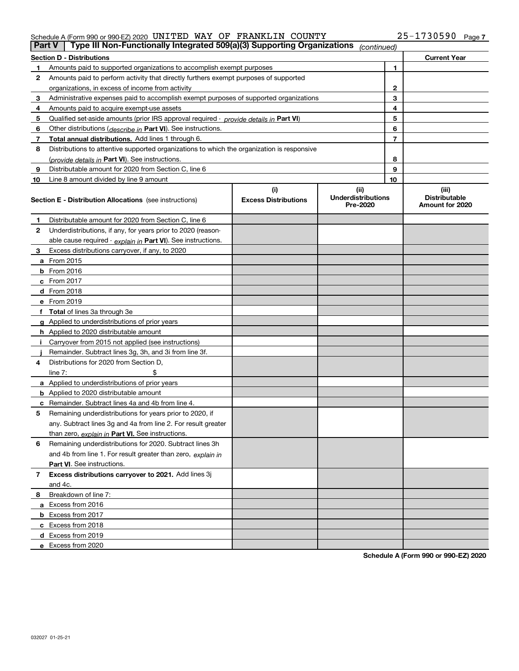### Schedule A (Form 990 or 990-EZ) 2020 Page UNITED WAY OF FRANKLIN COUNTY 25-1730590

| <b>Part V</b> | Type III Non-Functionally Integrated 509(a)(3) Supporting Organizations                    |                             | (continued)                           |    |                                         |
|---------------|--------------------------------------------------------------------------------------------|-----------------------------|---------------------------------------|----|-----------------------------------------|
|               | <b>Section D - Distributions</b>                                                           |                             |                                       |    | <b>Current Year</b>                     |
| 1             | Amounts paid to supported organizations to accomplish exempt purposes                      |                             | 1                                     |    |                                         |
| 2             | Amounts paid to perform activity that directly furthers exempt purposes of supported       |                             |                                       |    |                                         |
|               | organizations, in excess of income from activity                                           |                             | $\mathbf{2}$                          |    |                                         |
| 3             | Administrative expenses paid to accomplish exempt purposes of supported organizations      |                             | 3                                     |    |                                         |
| 4             | Amounts paid to acquire exempt-use assets                                                  |                             |                                       | 4  |                                         |
| 5             | Qualified set-aside amounts (prior IRS approval required - provide details in Part VI)     |                             |                                       | 5  |                                         |
| 6             | Other distributions ( <i>describe in</i> Part VI). See instructions.                       |                             |                                       | 6  |                                         |
| 7             | Total annual distributions. Add lines 1 through 6.                                         |                             |                                       | 7  |                                         |
| 8             | Distributions to attentive supported organizations to which the organization is responsive |                             |                                       |    |                                         |
|               | (provide details in Part VI). See instructions.                                            |                             |                                       | 8  |                                         |
| 9             | Distributable amount for 2020 from Section C, line 6                                       |                             |                                       | 9  |                                         |
| 10            | Line 8 amount divided by line 9 amount                                                     |                             |                                       | 10 |                                         |
|               |                                                                                            | (i)                         | (ii)                                  |    | (iii)                                   |
|               | Section E - Distribution Allocations (see instructions)                                    | <b>Excess Distributions</b> | <b>Underdistributions</b><br>Pre-2020 |    | <b>Distributable</b><br>Amount for 2020 |
| 1             | Distributable amount for 2020 from Section C, line 6                                       |                             |                                       |    |                                         |
| 2             | Underdistributions, if any, for years prior to 2020 (reason-                               |                             |                                       |    |                                         |
|               | able cause required - explain in Part VI). See instructions.                               |                             |                                       |    |                                         |
| 3             | Excess distributions carryover, if any, to 2020                                            |                             |                                       |    |                                         |
|               | <b>a</b> From 2015                                                                         |                             |                                       |    |                                         |
|               | <b>b</b> From 2016                                                                         |                             |                                       |    |                                         |
|               | c From 2017                                                                                |                             |                                       |    |                                         |
|               | <b>d</b> From 2018                                                                         |                             |                                       |    |                                         |
|               | e From 2019                                                                                |                             |                                       |    |                                         |
|               | f Total of lines 3a through 3e                                                             |                             |                                       |    |                                         |
|               | g Applied to underdistributions of prior years                                             |                             |                                       |    |                                         |
|               | <b>h</b> Applied to 2020 distributable amount                                              |                             |                                       |    |                                         |
|               | Carryover from 2015 not applied (see instructions)                                         |                             |                                       |    |                                         |
|               | Remainder. Subtract lines 3g, 3h, and 3i from line 3f.                                     |                             |                                       |    |                                         |
| 4             | Distributions for 2020 from Section D,                                                     |                             |                                       |    |                                         |
|               | line $7:$                                                                                  |                             |                                       |    |                                         |
|               | a Applied to underdistributions of prior years                                             |                             |                                       |    |                                         |
|               | <b>b</b> Applied to 2020 distributable amount                                              |                             |                                       |    |                                         |
|               | c Remainder. Subtract lines 4a and 4b from line 4.                                         |                             |                                       |    |                                         |
| 5             | Remaining underdistributions for years prior to 2020, if                                   |                             |                                       |    |                                         |
|               | any. Subtract lines 3g and 4a from line 2. For result greater                              |                             |                                       |    |                                         |
|               | than zero, explain in Part VI. See instructions.                                           |                             |                                       |    |                                         |
| 6             | Remaining underdistributions for 2020. Subtract lines 3h                                   |                             |                                       |    |                                         |
|               | and 4b from line 1. For result greater than zero, explain in                               |                             |                                       |    |                                         |
|               | Part VI. See instructions.                                                                 |                             |                                       |    |                                         |
| 7             | Excess distributions carryover to 2021. Add lines 3j                                       |                             |                                       |    |                                         |
|               | and 4c.                                                                                    |                             |                                       |    |                                         |
| 8             | Breakdown of line 7:                                                                       |                             |                                       |    |                                         |
|               | a Excess from 2016                                                                         |                             |                                       |    |                                         |
|               | <b>b</b> Excess from 2017                                                                  |                             |                                       |    |                                         |
|               | c Excess from 2018                                                                         |                             |                                       |    |                                         |
|               | d Excess from 2019                                                                         |                             |                                       |    |                                         |
|               | e Excess from 2020                                                                         |                             |                                       |    |                                         |
|               |                                                                                            |                             |                                       |    |                                         |

**Schedule A (Form 990 or 990-EZ) 2020**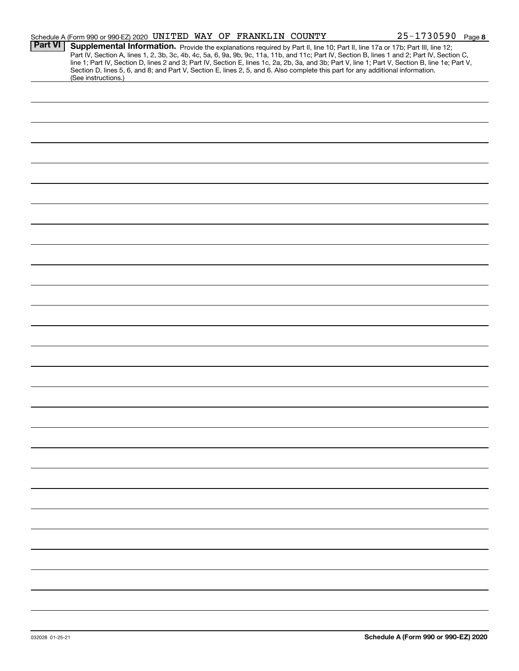|                | Schedule A (Form 990 or 990-EZ) 2020 UNITED WAY OF FRANKLIN COUNTY                                                                                                                                                                                                                                                                                                                                                                                                                                                                                                                          | 25-1730590 Page 8 |
|----------------|---------------------------------------------------------------------------------------------------------------------------------------------------------------------------------------------------------------------------------------------------------------------------------------------------------------------------------------------------------------------------------------------------------------------------------------------------------------------------------------------------------------------------------------------------------------------------------------------|-------------------|
| <b>Part VI</b> | Supplemental Information. Provide the explanations required by Part II, line 10; Part II, line 17a or 17b; Part III, line 12;<br>Part IV, Section A, lines 1, 2, 3b, 3c, 4b, 4c, 5a, 6, 9a, 9b, 9c, 11a, 11b, and 11c; Part IV, Section B, lines 1 and 2; Part IV, Section C,<br>line 1; Part IV, Section D, lines 2 and 3; Part IV, Section E, lines 1c, 2a, 2b, 3a, and 3b; Part V, line 1; Part V, Section B, line 1e; Part V,<br>Section D, lines 5, 6, and 8; and Part V, Section E, lines 2, 5, and 6. Also complete this part for any additional information.<br>(See instructions.) |                   |
|                |                                                                                                                                                                                                                                                                                                                                                                                                                                                                                                                                                                                             |                   |
|                |                                                                                                                                                                                                                                                                                                                                                                                                                                                                                                                                                                                             |                   |
|                |                                                                                                                                                                                                                                                                                                                                                                                                                                                                                                                                                                                             |                   |
|                |                                                                                                                                                                                                                                                                                                                                                                                                                                                                                                                                                                                             |                   |
|                |                                                                                                                                                                                                                                                                                                                                                                                                                                                                                                                                                                                             |                   |
|                |                                                                                                                                                                                                                                                                                                                                                                                                                                                                                                                                                                                             |                   |
|                |                                                                                                                                                                                                                                                                                                                                                                                                                                                                                                                                                                                             |                   |
|                |                                                                                                                                                                                                                                                                                                                                                                                                                                                                                                                                                                                             |                   |
|                |                                                                                                                                                                                                                                                                                                                                                                                                                                                                                                                                                                                             |                   |
|                |                                                                                                                                                                                                                                                                                                                                                                                                                                                                                                                                                                                             |                   |
|                |                                                                                                                                                                                                                                                                                                                                                                                                                                                                                                                                                                                             |                   |
|                |                                                                                                                                                                                                                                                                                                                                                                                                                                                                                                                                                                                             |                   |
|                |                                                                                                                                                                                                                                                                                                                                                                                                                                                                                                                                                                                             |                   |
|                |                                                                                                                                                                                                                                                                                                                                                                                                                                                                                                                                                                                             |                   |
|                |                                                                                                                                                                                                                                                                                                                                                                                                                                                                                                                                                                                             |                   |
|                |                                                                                                                                                                                                                                                                                                                                                                                                                                                                                                                                                                                             |                   |
|                |                                                                                                                                                                                                                                                                                                                                                                                                                                                                                                                                                                                             |                   |
|                |                                                                                                                                                                                                                                                                                                                                                                                                                                                                                                                                                                                             |                   |
|                |                                                                                                                                                                                                                                                                                                                                                                                                                                                                                                                                                                                             |                   |
|                |                                                                                                                                                                                                                                                                                                                                                                                                                                                                                                                                                                                             |                   |
|                |                                                                                                                                                                                                                                                                                                                                                                                                                                                                                                                                                                                             |                   |
|                |                                                                                                                                                                                                                                                                                                                                                                                                                                                                                                                                                                                             |                   |
|                |                                                                                                                                                                                                                                                                                                                                                                                                                                                                                                                                                                                             |                   |
|                |                                                                                                                                                                                                                                                                                                                                                                                                                                                                                                                                                                                             |                   |
|                |                                                                                                                                                                                                                                                                                                                                                                                                                                                                                                                                                                                             |                   |
|                |                                                                                                                                                                                                                                                                                                                                                                                                                                                                                                                                                                                             |                   |
|                |                                                                                                                                                                                                                                                                                                                                                                                                                                                                                                                                                                                             |                   |
|                |                                                                                                                                                                                                                                                                                                                                                                                                                                                                                                                                                                                             |                   |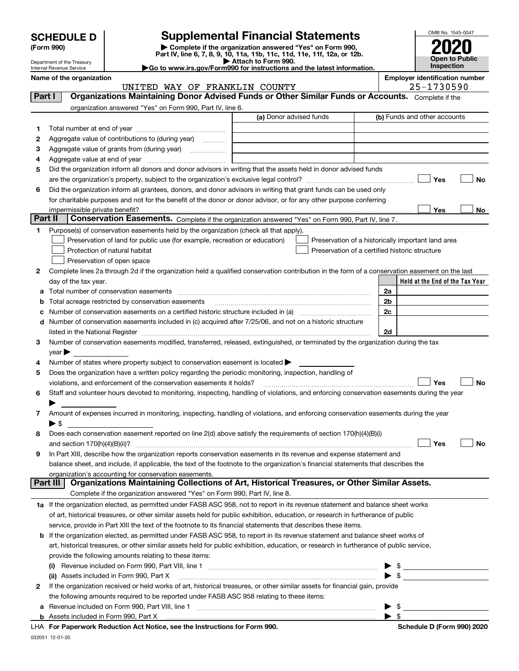| <b>SCHEDULE D</b> |  |
|-------------------|--|
|-------------------|--|

| (Form 990) |  |  |
|------------|--|--|
|------------|--|--|

### **SCHEDULE D Supplemental Financial Statements**

(Form 990)<br>
Pepartment of the Treasury<br>
Department of the Treasury<br>
Department of the Treasury<br>
Department of the Treasury<br> **Co to www.irs.gov/Form990 for instructions and the latest information.**<br> **Co to www.irs.gov/Form9** 



Department of the Treasury Internal Revenue Service Name of the organization **Name of the organization** 

|         | UNITED WAY OF FRANKLIN COUNTY                                                                                                                                                                                                 |                         |                          | 25-1730590                                         |
|---------|-------------------------------------------------------------------------------------------------------------------------------------------------------------------------------------------------------------------------------|-------------------------|--------------------------|----------------------------------------------------|
| Part I  | Organizations Maintaining Donor Advised Funds or Other Similar Funds or Accounts. Complete if the                                                                                                                             |                         |                          |                                                    |
|         | organization answered "Yes" on Form 990, Part IV, line 6.                                                                                                                                                                     |                         |                          |                                                    |
|         |                                                                                                                                                                                                                               | (a) Donor advised funds |                          | (b) Funds and other accounts                       |
| 1       |                                                                                                                                                                                                                               |                         |                          |                                                    |
| 2       | Aggregate value of contributions to (during year)                                                                                                                                                                             |                         |                          |                                                    |
| з       | Aggregate value of grants from (during year)                                                                                                                                                                                  |                         |                          |                                                    |
| 4       |                                                                                                                                                                                                                               |                         |                          |                                                    |
| 5       | Did the organization inform all donors and donor advisors in writing that the assets held in donor advised funds                                                                                                              |                         |                          |                                                    |
|         |                                                                                                                                                                                                                               |                         |                          | Yes<br>No                                          |
| 6       | Did the organization inform all grantees, donors, and donor advisors in writing that grant funds can be used only                                                                                                             |                         |                          |                                                    |
|         | for charitable purposes and not for the benefit of the donor or donor advisor, or for any other purpose conferring                                                                                                            |                         |                          |                                                    |
|         | impermissible private benefit?                                                                                                                                                                                                |                         |                          | Yes<br>No                                          |
| Part II | Conservation Easements. Complete if the organization answered "Yes" on Form 990, Part IV, line 7.                                                                                                                             |                         |                          |                                                    |
| 1.      | Purpose(s) of conservation easements held by the organization (check all that apply).                                                                                                                                         |                         |                          |                                                    |
|         | Preservation of land for public use (for example, recreation or education)                                                                                                                                                    |                         |                          | Preservation of a historically important land area |
|         | Protection of natural habitat                                                                                                                                                                                                 |                         |                          | Preservation of a certified historic structure     |
|         | Preservation of open space                                                                                                                                                                                                    |                         |                          |                                                    |
|         |                                                                                                                                                                                                                               |                         |                          |                                                    |
| 2       | Complete lines 2a through 2d if the organization held a qualified conservation contribution in the form of a conservation easement on the last                                                                                |                         |                          |                                                    |
|         | day of the tax year.                                                                                                                                                                                                          |                         |                          | Held at the End of the Tax Year                    |
| а       |                                                                                                                                                                                                                               |                         | 2a                       |                                                    |
| b       | Total acreage restricted by conservation easements                                                                                                                                                                            |                         | 2b                       |                                                    |
| с       |                                                                                                                                                                                                                               |                         | 2c                       |                                                    |
|         | d Number of conservation easements included in (c) acquired after 7/25/06, and not on a historic structure                                                                                                                    |                         |                          |                                                    |
|         | listed in the National Register [111] Marshall Register [11] Marshall Register [11] Marshall Register [11] Marshall Register [11] Marshall Register [11] Marshall Register [11] Marshall Register [11] Marshall Register [11] |                         | 2d                       |                                                    |
| З.      | Number of conservation easements modified, transferred, released, extinguished, or terminated by the organization during the tax                                                                                              |                         |                          |                                                    |
|         | $year \blacktriangleright$                                                                                                                                                                                                    |                         |                          |                                                    |
| 4       | Number of states where property subject to conservation easement is located >                                                                                                                                                 |                         |                          |                                                    |
| 5       | Does the organization have a written policy regarding the periodic monitoring, inspection, handling of                                                                                                                        |                         |                          |                                                    |
|         | violations, and enforcement of the conservation easements it holds?                                                                                                                                                           |                         |                          | Yes<br><b>No</b>                                   |
| 6       | Staff and volunteer hours devoted to monitoring, inspecting, handling of violations, and enforcing conservation easements during the year                                                                                     |                         |                          |                                                    |
|         |                                                                                                                                                                                                                               |                         |                          |                                                    |
| 7       | Amount of expenses incurred in monitoring, inspecting, handling of violations, and enforcing conservation easements during the year                                                                                           |                         |                          |                                                    |
|         | $\blacktriangleright$ \$                                                                                                                                                                                                      |                         |                          |                                                    |
| 8       | Does each conservation easement reported on line 2(d) above satisfy the requirements of section 170(h)(4)(B)(i)                                                                                                               |                         |                          |                                                    |
|         |                                                                                                                                                                                                                               |                         |                          | Yes<br>No                                          |
| 9       | In Part XIII, describe how the organization reports conservation easements in its revenue and expense statement and                                                                                                           |                         |                          |                                                    |
|         | balance sheet, and include, if applicable, the text of the footnote to the organization's financial statements that describes the                                                                                             |                         |                          |                                                    |
|         | organization's accounting for conservation easements.                                                                                                                                                                         |                         |                          |                                                    |
|         | Organizations Maintaining Collections of Art, Historical Treasures, or Other Similar Assets.<br>Part III                                                                                                                      |                         |                          |                                                    |
|         | Complete if the organization answered "Yes" on Form 990, Part IV, line 8.                                                                                                                                                     |                         |                          |                                                    |
|         | 1a If the organization elected, as permitted under FASB ASC 958, not to report in its revenue statement and balance sheet works                                                                                               |                         |                          |                                                    |
|         | of art, historical treasures, or other similar assets held for public exhibition, education, or research in furtherance of public                                                                                             |                         |                          |                                                    |
|         | service, provide in Part XIII the text of the footnote to its financial statements that describes these items.                                                                                                                |                         |                          |                                                    |
|         | b If the organization elected, as permitted under FASB ASC 958, to report in its revenue statement and balance sheet works of                                                                                                 |                         |                          |                                                    |
|         | art, historical treasures, or other similar assets held for public exhibition, education, or research in furtherance of public service,                                                                                       |                         |                          |                                                    |
|         | provide the following amounts relating to these items:                                                                                                                                                                        |                         |                          |                                                    |
|         |                                                                                                                                                                                                                               |                         |                          | \$                                                 |
|         | (ii) Assets included in Form 990, Part X                                                                                                                                                                                      |                         | $\blacktriangleright$ \$ |                                                    |
| 2       | If the organization received or held works of art, historical treasures, or other similar assets for financial gain, provide                                                                                                  |                         |                          |                                                    |
|         | the following amounts required to be reported under FASB ASC 958 relating to these items:                                                                                                                                     |                         |                          |                                                    |
| а       | Revenue included on Form 990, Part VIII, line 1 [2000] [2000] [2000] [2000] [3000] [3000] [3000] [3000] [3000                                                                                                                 |                         | ▶                        | \$                                                 |
|         |                                                                                                                                                                                                                               |                         | $\blacktriangleright$ \$ |                                                    |
|         | LHA For Paperwork Reduction Act Notice, see the Instructions for Form 990.                                                                                                                                                    |                         |                          | Schedule D (Form 990) 2020                         |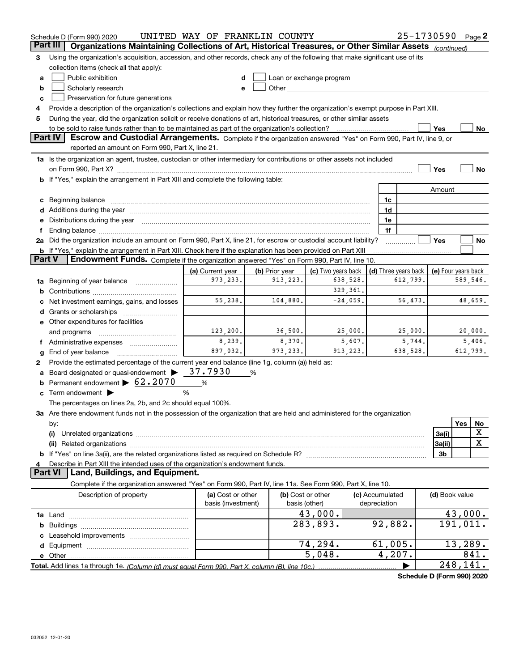| Part III<br>Organizations Maintaining Collections of Art, Historical Treasures, or Other Similar Assets<br>(continued)<br>Using the organization's acquisition, accession, and other records, check any of the following that make significant use of its<br>3<br>collection items (check all that apply):<br>Public exhibition<br>Loan or exchange program<br>a<br>Scholarly research<br>b<br>e<br>Preservation for future generations<br>c<br>Provide a description of the organization's collections and explain how they further the organization's exempt purpose in Part XIII.<br>4<br>During the year, did the organization solicit or receive donations of art, historical treasures, or other similar assets<br>5<br>to be sold to raise funds rather than to be maintained as part of the organization's collection?<br>Yes<br>No<br><b>Part IV</b><br>Escrow and Custodial Arrangements. Complete if the organization answered "Yes" on Form 990, Part IV, line 9, or<br>reported an amount on Form 990, Part X, line 21.<br>1a Is the organization an agent, trustee, custodian or other intermediary for contributions or other assets not included<br><b>No</b><br>Yes<br>b If "Yes," explain the arrangement in Part XIII and complete the following table:<br>Amount<br>c Beginning balance measurements and the contract of the contract of the contract of the contract of the contract of the contract of the contract of the contract of the contract of the contract of the contract of the contr<br>1c<br>1d<br>Distributions during the year manufactured and an account of the state of the state of the state of the state o<br>1e<br>е<br>1f<br>2a Did the organization include an amount on Form 990, Part X, line 21, for escrow or custodial account liability?<br>Yes<br>No<br><b>b</b> If "Yes," explain the arrangement in Part XIII. Check here if the explanation has been provided on Part XIII<br><b>Part V</b><br>Endowment Funds. Complete if the organization answered "Yes" on Form 990, Part IV, line 10.<br>(c) Two years back<br>(d) Three years back<br>(a) Current year<br>(b) Prior year<br>(e) Four years back<br>973, 233.<br>589,546.<br>913,223.<br>638,528.<br>612,799.<br>Beginning of year balance<br>1a<br>329, 361.<br>b<br>55,238.<br>48,659.<br>104,880.<br>$-24,059$ .<br>56,473.<br>Net investment earnings, gains, and losses<br>d<br>e Other expenditures for facilities<br>123, 200.<br>36,500.<br>25,000.<br>25,000.<br>20,000.<br>and programs<br>8,239.<br>8,370.<br>5,607.<br>5,744.<br>5,406.<br>Ť.<br>897,032.<br>973, 233.<br>913, 223.<br>638,528.<br>612,799.<br>End of year balance<br>g<br>Provide the estimated percentage of the current year end balance (line 1g, column (a)) held as:<br>2<br>Board designated or quasi-endowment $\blacktriangleright$ 37.7930<br>%<br>Permanent endowment > 62.2070<br>%<br>c Term endowment $\blacktriangleright$<br>%<br>The percentages on lines 2a, 2b, and 2c should equal 100%.<br>3a Are there endowment funds not in the possession of the organization that are held and administered for the organization<br>Yes<br>No<br>by:<br>х<br>3a(i)<br>(i)<br>X<br>3a(ii)<br>3 <sub>b</sub><br>Describe in Part XIII the intended uses of the organization's endowment funds.<br>4<br><b>Part VI</b><br>Land, Buildings, and Equipment.<br>Complete if the organization answered "Yes" on Form 990, Part IV, line 11a. See Form 990, Part X, line 10.<br>(b) Cost or other<br>Description of property<br>(a) Cost or other<br>(c) Accumulated<br>(d) Book value<br>basis (investment)<br>depreciation<br>basis (other)<br>43,000.<br>43,000.<br>283,893.<br>191,011.<br>92,882.<br>74,294.<br>61,005.<br>13,289.<br>5,048.<br>4,207.<br>841.<br>248,141. | Schedule D (Form 990) 2020 | UNITED WAY OF FRANKLIN COUNTY |  |  | 25-1730590 |  | Page $2$ |
|----------------------------------------------------------------------------------------------------------------------------------------------------------------------------------------------------------------------------------------------------------------------------------------------------------------------------------------------------------------------------------------------------------------------------------------------------------------------------------------------------------------------------------------------------------------------------------------------------------------------------------------------------------------------------------------------------------------------------------------------------------------------------------------------------------------------------------------------------------------------------------------------------------------------------------------------------------------------------------------------------------------------------------------------------------------------------------------------------------------------------------------------------------------------------------------------------------------------------------------------------------------------------------------------------------------------------------------------------------------------------------------------------------------------------------------------------------------------------------------------------------------------------------------------------------------------------------------------------------------------------------------------------------------------------------------------------------------------------------------------------------------------------------------------------------------------------------------------------------------------------------------------------------------------------------------------------------------------------------------------------------------------------------------------------------------------------------------------------------------------------------------------------------------------------------------------------------------------------------------------------------------------------------------------------------------------------------------------------------------------------------------------------------------------------------------------------------------------------------------------------------------------------------------------------------------------------------------------------------------------------------------------------------------------------------------------------------------------------------------------------------------------------------------------------------------------------------------------------------------------------------------------------------------------------------------------------------------------------------------------------------------------------------------------------------------------------------------------------------------------------------------------------------------------------------------------------------------------------------------------------------------------------------------------------------------------------------------------------------------------------------------------------------------------------------------------------------------------------------------------------------------------------------------------------------------------------------------------------------------------------------------------------------------------------------------------------------------------------------------------------------------------------|----------------------------|-------------------------------|--|--|------------|--|----------|
|                                                                                                                                                                                                                                                                                                                                                                                                                                                                                                                                                                                                                                                                                                                                                                                                                                                                                                                                                                                                                                                                                                                                                                                                                                                                                                                                                                                                                                                                                                                                                                                                                                                                                                                                                                                                                                                                                                                                                                                                                                                                                                                                                                                                                                                                                                                                                                                                                                                                                                                                                                                                                                                                                                                                                                                                                                                                                                                                                                                                                                                                                                                                                                                                                                                                                                                                                                                                                                                                                                                                                                                                                                                                                                                                                                            |                            |                               |  |  |            |  |          |
|                                                                                                                                                                                                                                                                                                                                                                                                                                                                                                                                                                                                                                                                                                                                                                                                                                                                                                                                                                                                                                                                                                                                                                                                                                                                                                                                                                                                                                                                                                                                                                                                                                                                                                                                                                                                                                                                                                                                                                                                                                                                                                                                                                                                                                                                                                                                                                                                                                                                                                                                                                                                                                                                                                                                                                                                                                                                                                                                                                                                                                                                                                                                                                                                                                                                                                                                                                                                                                                                                                                                                                                                                                                                                                                                                                            |                            |                               |  |  |            |  |          |
|                                                                                                                                                                                                                                                                                                                                                                                                                                                                                                                                                                                                                                                                                                                                                                                                                                                                                                                                                                                                                                                                                                                                                                                                                                                                                                                                                                                                                                                                                                                                                                                                                                                                                                                                                                                                                                                                                                                                                                                                                                                                                                                                                                                                                                                                                                                                                                                                                                                                                                                                                                                                                                                                                                                                                                                                                                                                                                                                                                                                                                                                                                                                                                                                                                                                                                                                                                                                                                                                                                                                                                                                                                                                                                                                                                            |                            |                               |  |  |            |  |          |
|                                                                                                                                                                                                                                                                                                                                                                                                                                                                                                                                                                                                                                                                                                                                                                                                                                                                                                                                                                                                                                                                                                                                                                                                                                                                                                                                                                                                                                                                                                                                                                                                                                                                                                                                                                                                                                                                                                                                                                                                                                                                                                                                                                                                                                                                                                                                                                                                                                                                                                                                                                                                                                                                                                                                                                                                                                                                                                                                                                                                                                                                                                                                                                                                                                                                                                                                                                                                                                                                                                                                                                                                                                                                                                                                                                            |                            |                               |  |  |            |  |          |
|                                                                                                                                                                                                                                                                                                                                                                                                                                                                                                                                                                                                                                                                                                                                                                                                                                                                                                                                                                                                                                                                                                                                                                                                                                                                                                                                                                                                                                                                                                                                                                                                                                                                                                                                                                                                                                                                                                                                                                                                                                                                                                                                                                                                                                                                                                                                                                                                                                                                                                                                                                                                                                                                                                                                                                                                                                                                                                                                                                                                                                                                                                                                                                                                                                                                                                                                                                                                                                                                                                                                                                                                                                                                                                                                                                            |                            |                               |  |  |            |  |          |
|                                                                                                                                                                                                                                                                                                                                                                                                                                                                                                                                                                                                                                                                                                                                                                                                                                                                                                                                                                                                                                                                                                                                                                                                                                                                                                                                                                                                                                                                                                                                                                                                                                                                                                                                                                                                                                                                                                                                                                                                                                                                                                                                                                                                                                                                                                                                                                                                                                                                                                                                                                                                                                                                                                                                                                                                                                                                                                                                                                                                                                                                                                                                                                                                                                                                                                                                                                                                                                                                                                                                                                                                                                                                                                                                                                            |                            |                               |  |  |            |  |          |
|                                                                                                                                                                                                                                                                                                                                                                                                                                                                                                                                                                                                                                                                                                                                                                                                                                                                                                                                                                                                                                                                                                                                                                                                                                                                                                                                                                                                                                                                                                                                                                                                                                                                                                                                                                                                                                                                                                                                                                                                                                                                                                                                                                                                                                                                                                                                                                                                                                                                                                                                                                                                                                                                                                                                                                                                                                                                                                                                                                                                                                                                                                                                                                                                                                                                                                                                                                                                                                                                                                                                                                                                                                                                                                                                                                            |                            |                               |  |  |            |  |          |
|                                                                                                                                                                                                                                                                                                                                                                                                                                                                                                                                                                                                                                                                                                                                                                                                                                                                                                                                                                                                                                                                                                                                                                                                                                                                                                                                                                                                                                                                                                                                                                                                                                                                                                                                                                                                                                                                                                                                                                                                                                                                                                                                                                                                                                                                                                                                                                                                                                                                                                                                                                                                                                                                                                                                                                                                                                                                                                                                                                                                                                                                                                                                                                                                                                                                                                                                                                                                                                                                                                                                                                                                                                                                                                                                                                            |                            |                               |  |  |            |  |          |
|                                                                                                                                                                                                                                                                                                                                                                                                                                                                                                                                                                                                                                                                                                                                                                                                                                                                                                                                                                                                                                                                                                                                                                                                                                                                                                                                                                                                                                                                                                                                                                                                                                                                                                                                                                                                                                                                                                                                                                                                                                                                                                                                                                                                                                                                                                                                                                                                                                                                                                                                                                                                                                                                                                                                                                                                                                                                                                                                                                                                                                                                                                                                                                                                                                                                                                                                                                                                                                                                                                                                                                                                                                                                                                                                                                            |                            |                               |  |  |            |  |          |
|                                                                                                                                                                                                                                                                                                                                                                                                                                                                                                                                                                                                                                                                                                                                                                                                                                                                                                                                                                                                                                                                                                                                                                                                                                                                                                                                                                                                                                                                                                                                                                                                                                                                                                                                                                                                                                                                                                                                                                                                                                                                                                                                                                                                                                                                                                                                                                                                                                                                                                                                                                                                                                                                                                                                                                                                                                                                                                                                                                                                                                                                                                                                                                                                                                                                                                                                                                                                                                                                                                                                                                                                                                                                                                                                                                            |                            |                               |  |  |            |  |          |
|                                                                                                                                                                                                                                                                                                                                                                                                                                                                                                                                                                                                                                                                                                                                                                                                                                                                                                                                                                                                                                                                                                                                                                                                                                                                                                                                                                                                                                                                                                                                                                                                                                                                                                                                                                                                                                                                                                                                                                                                                                                                                                                                                                                                                                                                                                                                                                                                                                                                                                                                                                                                                                                                                                                                                                                                                                                                                                                                                                                                                                                                                                                                                                                                                                                                                                                                                                                                                                                                                                                                                                                                                                                                                                                                                                            |                            |                               |  |  |            |  |          |
|                                                                                                                                                                                                                                                                                                                                                                                                                                                                                                                                                                                                                                                                                                                                                                                                                                                                                                                                                                                                                                                                                                                                                                                                                                                                                                                                                                                                                                                                                                                                                                                                                                                                                                                                                                                                                                                                                                                                                                                                                                                                                                                                                                                                                                                                                                                                                                                                                                                                                                                                                                                                                                                                                                                                                                                                                                                                                                                                                                                                                                                                                                                                                                                                                                                                                                                                                                                                                                                                                                                                                                                                                                                                                                                                                                            |                            |                               |  |  |            |  |          |
|                                                                                                                                                                                                                                                                                                                                                                                                                                                                                                                                                                                                                                                                                                                                                                                                                                                                                                                                                                                                                                                                                                                                                                                                                                                                                                                                                                                                                                                                                                                                                                                                                                                                                                                                                                                                                                                                                                                                                                                                                                                                                                                                                                                                                                                                                                                                                                                                                                                                                                                                                                                                                                                                                                                                                                                                                                                                                                                                                                                                                                                                                                                                                                                                                                                                                                                                                                                                                                                                                                                                                                                                                                                                                                                                                                            |                            |                               |  |  |            |  |          |
|                                                                                                                                                                                                                                                                                                                                                                                                                                                                                                                                                                                                                                                                                                                                                                                                                                                                                                                                                                                                                                                                                                                                                                                                                                                                                                                                                                                                                                                                                                                                                                                                                                                                                                                                                                                                                                                                                                                                                                                                                                                                                                                                                                                                                                                                                                                                                                                                                                                                                                                                                                                                                                                                                                                                                                                                                                                                                                                                                                                                                                                                                                                                                                                                                                                                                                                                                                                                                                                                                                                                                                                                                                                                                                                                                                            |                            |                               |  |  |            |  |          |
|                                                                                                                                                                                                                                                                                                                                                                                                                                                                                                                                                                                                                                                                                                                                                                                                                                                                                                                                                                                                                                                                                                                                                                                                                                                                                                                                                                                                                                                                                                                                                                                                                                                                                                                                                                                                                                                                                                                                                                                                                                                                                                                                                                                                                                                                                                                                                                                                                                                                                                                                                                                                                                                                                                                                                                                                                                                                                                                                                                                                                                                                                                                                                                                                                                                                                                                                                                                                                                                                                                                                                                                                                                                                                                                                                                            |                            |                               |  |  |            |  |          |
|                                                                                                                                                                                                                                                                                                                                                                                                                                                                                                                                                                                                                                                                                                                                                                                                                                                                                                                                                                                                                                                                                                                                                                                                                                                                                                                                                                                                                                                                                                                                                                                                                                                                                                                                                                                                                                                                                                                                                                                                                                                                                                                                                                                                                                                                                                                                                                                                                                                                                                                                                                                                                                                                                                                                                                                                                                                                                                                                                                                                                                                                                                                                                                                                                                                                                                                                                                                                                                                                                                                                                                                                                                                                                                                                                                            |                            |                               |  |  |            |  |          |
|                                                                                                                                                                                                                                                                                                                                                                                                                                                                                                                                                                                                                                                                                                                                                                                                                                                                                                                                                                                                                                                                                                                                                                                                                                                                                                                                                                                                                                                                                                                                                                                                                                                                                                                                                                                                                                                                                                                                                                                                                                                                                                                                                                                                                                                                                                                                                                                                                                                                                                                                                                                                                                                                                                                                                                                                                                                                                                                                                                                                                                                                                                                                                                                                                                                                                                                                                                                                                                                                                                                                                                                                                                                                                                                                                                            |                            |                               |  |  |            |  |          |
|                                                                                                                                                                                                                                                                                                                                                                                                                                                                                                                                                                                                                                                                                                                                                                                                                                                                                                                                                                                                                                                                                                                                                                                                                                                                                                                                                                                                                                                                                                                                                                                                                                                                                                                                                                                                                                                                                                                                                                                                                                                                                                                                                                                                                                                                                                                                                                                                                                                                                                                                                                                                                                                                                                                                                                                                                                                                                                                                                                                                                                                                                                                                                                                                                                                                                                                                                                                                                                                                                                                                                                                                                                                                                                                                                                            |                            |                               |  |  |            |  |          |
|                                                                                                                                                                                                                                                                                                                                                                                                                                                                                                                                                                                                                                                                                                                                                                                                                                                                                                                                                                                                                                                                                                                                                                                                                                                                                                                                                                                                                                                                                                                                                                                                                                                                                                                                                                                                                                                                                                                                                                                                                                                                                                                                                                                                                                                                                                                                                                                                                                                                                                                                                                                                                                                                                                                                                                                                                                                                                                                                                                                                                                                                                                                                                                                                                                                                                                                                                                                                                                                                                                                                                                                                                                                                                                                                                                            |                            |                               |  |  |            |  |          |
|                                                                                                                                                                                                                                                                                                                                                                                                                                                                                                                                                                                                                                                                                                                                                                                                                                                                                                                                                                                                                                                                                                                                                                                                                                                                                                                                                                                                                                                                                                                                                                                                                                                                                                                                                                                                                                                                                                                                                                                                                                                                                                                                                                                                                                                                                                                                                                                                                                                                                                                                                                                                                                                                                                                                                                                                                                                                                                                                                                                                                                                                                                                                                                                                                                                                                                                                                                                                                                                                                                                                                                                                                                                                                                                                                                            |                            |                               |  |  |            |  |          |
|                                                                                                                                                                                                                                                                                                                                                                                                                                                                                                                                                                                                                                                                                                                                                                                                                                                                                                                                                                                                                                                                                                                                                                                                                                                                                                                                                                                                                                                                                                                                                                                                                                                                                                                                                                                                                                                                                                                                                                                                                                                                                                                                                                                                                                                                                                                                                                                                                                                                                                                                                                                                                                                                                                                                                                                                                                                                                                                                                                                                                                                                                                                                                                                                                                                                                                                                                                                                                                                                                                                                                                                                                                                                                                                                                                            |                            |                               |  |  |            |  |          |
|                                                                                                                                                                                                                                                                                                                                                                                                                                                                                                                                                                                                                                                                                                                                                                                                                                                                                                                                                                                                                                                                                                                                                                                                                                                                                                                                                                                                                                                                                                                                                                                                                                                                                                                                                                                                                                                                                                                                                                                                                                                                                                                                                                                                                                                                                                                                                                                                                                                                                                                                                                                                                                                                                                                                                                                                                                                                                                                                                                                                                                                                                                                                                                                                                                                                                                                                                                                                                                                                                                                                                                                                                                                                                                                                                                            |                            |                               |  |  |            |  |          |
|                                                                                                                                                                                                                                                                                                                                                                                                                                                                                                                                                                                                                                                                                                                                                                                                                                                                                                                                                                                                                                                                                                                                                                                                                                                                                                                                                                                                                                                                                                                                                                                                                                                                                                                                                                                                                                                                                                                                                                                                                                                                                                                                                                                                                                                                                                                                                                                                                                                                                                                                                                                                                                                                                                                                                                                                                                                                                                                                                                                                                                                                                                                                                                                                                                                                                                                                                                                                                                                                                                                                                                                                                                                                                                                                                                            |                            |                               |  |  |            |  |          |
|                                                                                                                                                                                                                                                                                                                                                                                                                                                                                                                                                                                                                                                                                                                                                                                                                                                                                                                                                                                                                                                                                                                                                                                                                                                                                                                                                                                                                                                                                                                                                                                                                                                                                                                                                                                                                                                                                                                                                                                                                                                                                                                                                                                                                                                                                                                                                                                                                                                                                                                                                                                                                                                                                                                                                                                                                                                                                                                                                                                                                                                                                                                                                                                                                                                                                                                                                                                                                                                                                                                                                                                                                                                                                                                                                                            |                            |                               |  |  |            |  |          |
|                                                                                                                                                                                                                                                                                                                                                                                                                                                                                                                                                                                                                                                                                                                                                                                                                                                                                                                                                                                                                                                                                                                                                                                                                                                                                                                                                                                                                                                                                                                                                                                                                                                                                                                                                                                                                                                                                                                                                                                                                                                                                                                                                                                                                                                                                                                                                                                                                                                                                                                                                                                                                                                                                                                                                                                                                                                                                                                                                                                                                                                                                                                                                                                                                                                                                                                                                                                                                                                                                                                                                                                                                                                                                                                                                                            |                            |                               |  |  |            |  |          |
|                                                                                                                                                                                                                                                                                                                                                                                                                                                                                                                                                                                                                                                                                                                                                                                                                                                                                                                                                                                                                                                                                                                                                                                                                                                                                                                                                                                                                                                                                                                                                                                                                                                                                                                                                                                                                                                                                                                                                                                                                                                                                                                                                                                                                                                                                                                                                                                                                                                                                                                                                                                                                                                                                                                                                                                                                                                                                                                                                                                                                                                                                                                                                                                                                                                                                                                                                                                                                                                                                                                                                                                                                                                                                                                                                                            |                            |                               |  |  |            |  |          |
|                                                                                                                                                                                                                                                                                                                                                                                                                                                                                                                                                                                                                                                                                                                                                                                                                                                                                                                                                                                                                                                                                                                                                                                                                                                                                                                                                                                                                                                                                                                                                                                                                                                                                                                                                                                                                                                                                                                                                                                                                                                                                                                                                                                                                                                                                                                                                                                                                                                                                                                                                                                                                                                                                                                                                                                                                                                                                                                                                                                                                                                                                                                                                                                                                                                                                                                                                                                                                                                                                                                                                                                                                                                                                                                                                                            |                            |                               |  |  |            |  |          |
|                                                                                                                                                                                                                                                                                                                                                                                                                                                                                                                                                                                                                                                                                                                                                                                                                                                                                                                                                                                                                                                                                                                                                                                                                                                                                                                                                                                                                                                                                                                                                                                                                                                                                                                                                                                                                                                                                                                                                                                                                                                                                                                                                                                                                                                                                                                                                                                                                                                                                                                                                                                                                                                                                                                                                                                                                                                                                                                                                                                                                                                                                                                                                                                                                                                                                                                                                                                                                                                                                                                                                                                                                                                                                                                                                                            |                            |                               |  |  |            |  |          |
|                                                                                                                                                                                                                                                                                                                                                                                                                                                                                                                                                                                                                                                                                                                                                                                                                                                                                                                                                                                                                                                                                                                                                                                                                                                                                                                                                                                                                                                                                                                                                                                                                                                                                                                                                                                                                                                                                                                                                                                                                                                                                                                                                                                                                                                                                                                                                                                                                                                                                                                                                                                                                                                                                                                                                                                                                                                                                                                                                                                                                                                                                                                                                                                                                                                                                                                                                                                                                                                                                                                                                                                                                                                                                                                                                                            |                            |                               |  |  |            |  |          |
|                                                                                                                                                                                                                                                                                                                                                                                                                                                                                                                                                                                                                                                                                                                                                                                                                                                                                                                                                                                                                                                                                                                                                                                                                                                                                                                                                                                                                                                                                                                                                                                                                                                                                                                                                                                                                                                                                                                                                                                                                                                                                                                                                                                                                                                                                                                                                                                                                                                                                                                                                                                                                                                                                                                                                                                                                                                                                                                                                                                                                                                                                                                                                                                                                                                                                                                                                                                                                                                                                                                                                                                                                                                                                                                                                                            |                            |                               |  |  |            |  |          |
|                                                                                                                                                                                                                                                                                                                                                                                                                                                                                                                                                                                                                                                                                                                                                                                                                                                                                                                                                                                                                                                                                                                                                                                                                                                                                                                                                                                                                                                                                                                                                                                                                                                                                                                                                                                                                                                                                                                                                                                                                                                                                                                                                                                                                                                                                                                                                                                                                                                                                                                                                                                                                                                                                                                                                                                                                                                                                                                                                                                                                                                                                                                                                                                                                                                                                                                                                                                                                                                                                                                                                                                                                                                                                                                                                                            |                            |                               |  |  |            |  |          |
|                                                                                                                                                                                                                                                                                                                                                                                                                                                                                                                                                                                                                                                                                                                                                                                                                                                                                                                                                                                                                                                                                                                                                                                                                                                                                                                                                                                                                                                                                                                                                                                                                                                                                                                                                                                                                                                                                                                                                                                                                                                                                                                                                                                                                                                                                                                                                                                                                                                                                                                                                                                                                                                                                                                                                                                                                                                                                                                                                                                                                                                                                                                                                                                                                                                                                                                                                                                                                                                                                                                                                                                                                                                                                                                                                                            |                            |                               |  |  |            |  |          |
|                                                                                                                                                                                                                                                                                                                                                                                                                                                                                                                                                                                                                                                                                                                                                                                                                                                                                                                                                                                                                                                                                                                                                                                                                                                                                                                                                                                                                                                                                                                                                                                                                                                                                                                                                                                                                                                                                                                                                                                                                                                                                                                                                                                                                                                                                                                                                                                                                                                                                                                                                                                                                                                                                                                                                                                                                                                                                                                                                                                                                                                                                                                                                                                                                                                                                                                                                                                                                                                                                                                                                                                                                                                                                                                                                                            |                            |                               |  |  |            |  |          |
|                                                                                                                                                                                                                                                                                                                                                                                                                                                                                                                                                                                                                                                                                                                                                                                                                                                                                                                                                                                                                                                                                                                                                                                                                                                                                                                                                                                                                                                                                                                                                                                                                                                                                                                                                                                                                                                                                                                                                                                                                                                                                                                                                                                                                                                                                                                                                                                                                                                                                                                                                                                                                                                                                                                                                                                                                                                                                                                                                                                                                                                                                                                                                                                                                                                                                                                                                                                                                                                                                                                                                                                                                                                                                                                                                                            |                            |                               |  |  |            |  |          |
|                                                                                                                                                                                                                                                                                                                                                                                                                                                                                                                                                                                                                                                                                                                                                                                                                                                                                                                                                                                                                                                                                                                                                                                                                                                                                                                                                                                                                                                                                                                                                                                                                                                                                                                                                                                                                                                                                                                                                                                                                                                                                                                                                                                                                                                                                                                                                                                                                                                                                                                                                                                                                                                                                                                                                                                                                                                                                                                                                                                                                                                                                                                                                                                                                                                                                                                                                                                                                                                                                                                                                                                                                                                                                                                                                                            |                            |                               |  |  |            |  |          |
|                                                                                                                                                                                                                                                                                                                                                                                                                                                                                                                                                                                                                                                                                                                                                                                                                                                                                                                                                                                                                                                                                                                                                                                                                                                                                                                                                                                                                                                                                                                                                                                                                                                                                                                                                                                                                                                                                                                                                                                                                                                                                                                                                                                                                                                                                                                                                                                                                                                                                                                                                                                                                                                                                                                                                                                                                                                                                                                                                                                                                                                                                                                                                                                                                                                                                                                                                                                                                                                                                                                                                                                                                                                                                                                                                                            |                            |                               |  |  |            |  |          |
|                                                                                                                                                                                                                                                                                                                                                                                                                                                                                                                                                                                                                                                                                                                                                                                                                                                                                                                                                                                                                                                                                                                                                                                                                                                                                                                                                                                                                                                                                                                                                                                                                                                                                                                                                                                                                                                                                                                                                                                                                                                                                                                                                                                                                                                                                                                                                                                                                                                                                                                                                                                                                                                                                                                                                                                                                                                                                                                                                                                                                                                                                                                                                                                                                                                                                                                                                                                                                                                                                                                                                                                                                                                                                                                                                                            |                            |                               |  |  |            |  |          |
|                                                                                                                                                                                                                                                                                                                                                                                                                                                                                                                                                                                                                                                                                                                                                                                                                                                                                                                                                                                                                                                                                                                                                                                                                                                                                                                                                                                                                                                                                                                                                                                                                                                                                                                                                                                                                                                                                                                                                                                                                                                                                                                                                                                                                                                                                                                                                                                                                                                                                                                                                                                                                                                                                                                                                                                                                                                                                                                                                                                                                                                                                                                                                                                                                                                                                                                                                                                                                                                                                                                                                                                                                                                                                                                                                                            |                            |                               |  |  |            |  |          |
|                                                                                                                                                                                                                                                                                                                                                                                                                                                                                                                                                                                                                                                                                                                                                                                                                                                                                                                                                                                                                                                                                                                                                                                                                                                                                                                                                                                                                                                                                                                                                                                                                                                                                                                                                                                                                                                                                                                                                                                                                                                                                                                                                                                                                                                                                                                                                                                                                                                                                                                                                                                                                                                                                                                                                                                                                                                                                                                                                                                                                                                                                                                                                                                                                                                                                                                                                                                                                                                                                                                                                                                                                                                                                                                                                                            |                            |                               |  |  |            |  |          |
|                                                                                                                                                                                                                                                                                                                                                                                                                                                                                                                                                                                                                                                                                                                                                                                                                                                                                                                                                                                                                                                                                                                                                                                                                                                                                                                                                                                                                                                                                                                                                                                                                                                                                                                                                                                                                                                                                                                                                                                                                                                                                                                                                                                                                                                                                                                                                                                                                                                                                                                                                                                                                                                                                                                                                                                                                                                                                                                                                                                                                                                                                                                                                                                                                                                                                                                                                                                                                                                                                                                                                                                                                                                                                                                                                                            |                            |                               |  |  |            |  |          |
|                                                                                                                                                                                                                                                                                                                                                                                                                                                                                                                                                                                                                                                                                                                                                                                                                                                                                                                                                                                                                                                                                                                                                                                                                                                                                                                                                                                                                                                                                                                                                                                                                                                                                                                                                                                                                                                                                                                                                                                                                                                                                                                                                                                                                                                                                                                                                                                                                                                                                                                                                                                                                                                                                                                                                                                                                                                                                                                                                                                                                                                                                                                                                                                                                                                                                                                                                                                                                                                                                                                                                                                                                                                                                                                                                                            |                            |                               |  |  |            |  |          |
|                                                                                                                                                                                                                                                                                                                                                                                                                                                                                                                                                                                                                                                                                                                                                                                                                                                                                                                                                                                                                                                                                                                                                                                                                                                                                                                                                                                                                                                                                                                                                                                                                                                                                                                                                                                                                                                                                                                                                                                                                                                                                                                                                                                                                                                                                                                                                                                                                                                                                                                                                                                                                                                                                                                                                                                                                                                                                                                                                                                                                                                                                                                                                                                                                                                                                                                                                                                                                                                                                                                                                                                                                                                                                                                                                                            |                            |                               |  |  |            |  |          |
|                                                                                                                                                                                                                                                                                                                                                                                                                                                                                                                                                                                                                                                                                                                                                                                                                                                                                                                                                                                                                                                                                                                                                                                                                                                                                                                                                                                                                                                                                                                                                                                                                                                                                                                                                                                                                                                                                                                                                                                                                                                                                                                                                                                                                                                                                                                                                                                                                                                                                                                                                                                                                                                                                                                                                                                                                                                                                                                                                                                                                                                                                                                                                                                                                                                                                                                                                                                                                                                                                                                                                                                                                                                                                                                                                                            |                            |                               |  |  |            |  |          |
|                                                                                                                                                                                                                                                                                                                                                                                                                                                                                                                                                                                                                                                                                                                                                                                                                                                                                                                                                                                                                                                                                                                                                                                                                                                                                                                                                                                                                                                                                                                                                                                                                                                                                                                                                                                                                                                                                                                                                                                                                                                                                                                                                                                                                                                                                                                                                                                                                                                                                                                                                                                                                                                                                                                                                                                                                                                                                                                                                                                                                                                                                                                                                                                                                                                                                                                                                                                                                                                                                                                                                                                                                                                                                                                                                                            |                            |                               |  |  |            |  |          |
|                                                                                                                                                                                                                                                                                                                                                                                                                                                                                                                                                                                                                                                                                                                                                                                                                                                                                                                                                                                                                                                                                                                                                                                                                                                                                                                                                                                                                                                                                                                                                                                                                                                                                                                                                                                                                                                                                                                                                                                                                                                                                                                                                                                                                                                                                                                                                                                                                                                                                                                                                                                                                                                                                                                                                                                                                                                                                                                                                                                                                                                                                                                                                                                                                                                                                                                                                                                                                                                                                                                                                                                                                                                                                                                                                                            |                            |                               |  |  |            |  |          |
|                                                                                                                                                                                                                                                                                                                                                                                                                                                                                                                                                                                                                                                                                                                                                                                                                                                                                                                                                                                                                                                                                                                                                                                                                                                                                                                                                                                                                                                                                                                                                                                                                                                                                                                                                                                                                                                                                                                                                                                                                                                                                                                                                                                                                                                                                                                                                                                                                                                                                                                                                                                                                                                                                                                                                                                                                                                                                                                                                                                                                                                                                                                                                                                                                                                                                                                                                                                                                                                                                                                                                                                                                                                                                                                                                                            |                            |                               |  |  |            |  |          |
|                                                                                                                                                                                                                                                                                                                                                                                                                                                                                                                                                                                                                                                                                                                                                                                                                                                                                                                                                                                                                                                                                                                                                                                                                                                                                                                                                                                                                                                                                                                                                                                                                                                                                                                                                                                                                                                                                                                                                                                                                                                                                                                                                                                                                                                                                                                                                                                                                                                                                                                                                                                                                                                                                                                                                                                                                                                                                                                                                                                                                                                                                                                                                                                                                                                                                                                                                                                                                                                                                                                                                                                                                                                                                                                                                                            |                            |                               |  |  |            |  |          |
|                                                                                                                                                                                                                                                                                                                                                                                                                                                                                                                                                                                                                                                                                                                                                                                                                                                                                                                                                                                                                                                                                                                                                                                                                                                                                                                                                                                                                                                                                                                                                                                                                                                                                                                                                                                                                                                                                                                                                                                                                                                                                                                                                                                                                                                                                                                                                                                                                                                                                                                                                                                                                                                                                                                                                                                                                                                                                                                                                                                                                                                                                                                                                                                                                                                                                                                                                                                                                                                                                                                                                                                                                                                                                                                                                                            |                            |                               |  |  |            |  |          |
|                                                                                                                                                                                                                                                                                                                                                                                                                                                                                                                                                                                                                                                                                                                                                                                                                                                                                                                                                                                                                                                                                                                                                                                                                                                                                                                                                                                                                                                                                                                                                                                                                                                                                                                                                                                                                                                                                                                                                                                                                                                                                                                                                                                                                                                                                                                                                                                                                                                                                                                                                                                                                                                                                                                                                                                                                                                                                                                                                                                                                                                                                                                                                                                                                                                                                                                                                                                                                                                                                                                                                                                                                                                                                                                                                                            |                            |                               |  |  |            |  |          |
|                                                                                                                                                                                                                                                                                                                                                                                                                                                                                                                                                                                                                                                                                                                                                                                                                                                                                                                                                                                                                                                                                                                                                                                                                                                                                                                                                                                                                                                                                                                                                                                                                                                                                                                                                                                                                                                                                                                                                                                                                                                                                                                                                                                                                                                                                                                                                                                                                                                                                                                                                                                                                                                                                                                                                                                                                                                                                                                                                                                                                                                                                                                                                                                                                                                                                                                                                                                                                                                                                                                                                                                                                                                                                                                                                                            |                            |                               |  |  |            |  |          |
|                                                                                                                                                                                                                                                                                                                                                                                                                                                                                                                                                                                                                                                                                                                                                                                                                                                                                                                                                                                                                                                                                                                                                                                                                                                                                                                                                                                                                                                                                                                                                                                                                                                                                                                                                                                                                                                                                                                                                                                                                                                                                                                                                                                                                                                                                                                                                                                                                                                                                                                                                                                                                                                                                                                                                                                                                                                                                                                                                                                                                                                                                                                                                                                                                                                                                                                                                                                                                                                                                                                                                                                                                                                                                                                                                                            |                            |                               |  |  |            |  |          |
|                                                                                                                                                                                                                                                                                                                                                                                                                                                                                                                                                                                                                                                                                                                                                                                                                                                                                                                                                                                                                                                                                                                                                                                                                                                                                                                                                                                                                                                                                                                                                                                                                                                                                                                                                                                                                                                                                                                                                                                                                                                                                                                                                                                                                                                                                                                                                                                                                                                                                                                                                                                                                                                                                                                                                                                                                                                                                                                                                                                                                                                                                                                                                                                                                                                                                                                                                                                                                                                                                                                                                                                                                                                                                                                                                                            |                            |                               |  |  |            |  |          |
|                                                                                                                                                                                                                                                                                                                                                                                                                                                                                                                                                                                                                                                                                                                                                                                                                                                                                                                                                                                                                                                                                                                                                                                                                                                                                                                                                                                                                                                                                                                                                                                                                                                                                                                                                                                                                                                                                                                                                                                                                                                                                                                                                                                                                                                                                                                                                                                                                                                                                                                                                                                                                                                                                                                                                                                                                                                                                                                                                                                                                                                                                                                                                                                                                                                                                                                                                                                                                                                                                                                                                                                                                                                                                                                                                                            |                            |                               |  |  |            |  |          |
|                                                                                                                                                                                                                                                                                                                                                                                                                                                                                                                                                                                                                                                                                                                                                                                                                                                                                                                                                                                                                                                                                                                                                                                                                                                                                                                                                                                                                                                                                                                                                                                                                                                                                                                                                                                                                                                                                                                                                                                                                                                                                                                                                                                                                                                                                                                                                                                                                                                                                                                                                                                                                                                                                                                                                                                                                                                                                                                                                                                                                                                                                                                                                                                                                                                                                                                                                                                                                                                                                                                                                                                                                                                                                                                                                                            |                            |                               |  |  |            |  |          |

**Schedule D (Form 990) 2020**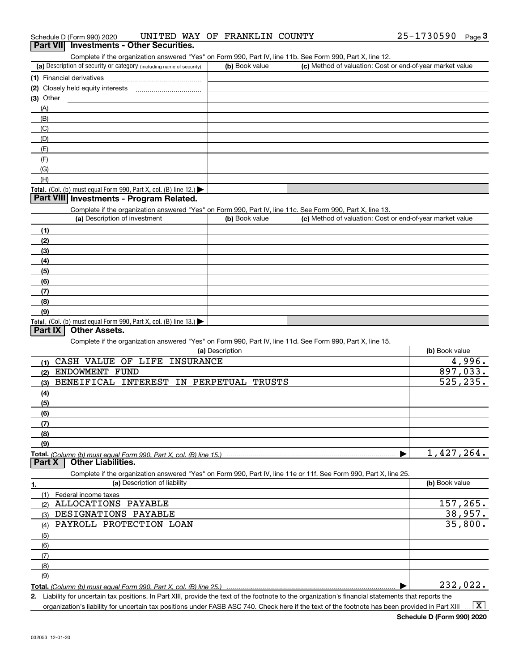| 25-1730590<br>UNITED WAY OF FRANKLIN COUNTY<br>Schedule D (Form 990) 2020 |  | Page |
|---------------------------------------------------------------------------|--|------|
|---------------------------------------------------------------------------|--|------|

### **Part VII Investments - Other Securities.**

Complete if the organization answered "Yes" on Form 990, Part IV, line 11b. See Form 990, Part X, line 12.

| (a) Description of security or category (including name of security)                          | (b) Book value | (c) Method of valuation: Cost or end-of-year market value |
|-----------------------------------------------------------------------------------------------|----------------|-----------------------------------------------------------|
| (1) Financial derivatives                                                                     |                |                                                           |
| (2) Closely held equity interests                                                             |                |                                                           |
| $(3)$ Other                                                                                   |                |                                                           |
| (A)                                                                                           |                |                                                           |
| (B)                                                                                           |                |                                                           |
| (C)                                                                                           |                |                                                           |
| (D)                                                                                           |                |                                                           |
| (E)                                                                                           |                |                                                           |
| (F)                                                                                           |                |                                                           |
| (G)                                                                                           |                |                                                           |
| (H)                                                                                           |                |                                                           |
| <b>Total.</b> (Col. (b) must equal Form 990, Part X, col. (B) line 12.) $\blacktriangleright$ |                |                                                           |

### **Part VIII Investments - Program Related.**

Complete if the organization answered "Yes" on Form 990, Part IV, line 11c. See Form 990, Part X, line 13.

| (a) Description of investment                                    | (b) Book value | (c) Method of valuation: Cost or end-of-year market value |
|------------------------------------------------------------------|----------------|-----------------------------------------------------------|
| (1)                                                              |                |                                                           |
| (2)                                                              |                |                                                           |
| $\frac{1}{2}$                                                    |                |                                                           |
| (4)                                                              |                |                                                           |
| $\left(5\right)$                                                 |                |                                                           |
| (6)                                                              |                |                                                           |
| (7)                                                              |                |                                                           |
| (8)                                                              |                |                                                           |
| (9)                                                              |                |                                                           |
| Total. (Col. (b) must equal Form 990, Part X, col. (B) line 13.) |                |                                                           |

### **Part IX Other Assets.**

Complete if the organization answered "Yes" on Form 990, Part IV, line 11d. See Form 990, Part X, line 15.

| (a) Description                                                                                                   | (b) Book value |
|-------------------------------------------------------------------------------------------------------------------|----------------|
| CASH VALUE<br>OF<br>LIFE<br><b>INSURANCE</b><br>(1)                                                               | 4,996.         |
| <b>ENDOWMENT</b><br>FUND<br>(2)                                                                                   | 897,033.       |
| <b>BENEIFICAL</b><br><b>INTEREST</b><br>IN<br>PERPETUAL<br>TRUSTS<br>(3)                                          | 525, 235.      |
| (4)                                                                                                               |                |
| (5)                                                                                                               |                |
| (6)                                                                                                               |                |
| (7)                                                                                                               |                |
| (8)                                                                                                               |                |
| (9)                                                                                                               |                |
|                                                                                                                   | 1,427,264.     |
| <b>Other Liabilities.</b><br>Part X                                                                               |                |
| Complete if the organization answered "Yes" on Form 990, Part IV, line 11e or 11f. See Form 990, Part X, line 25. |                |
| (a) Description of liability<br>1.                                                                                | (b) Book value |
| Federal income taxes<br>(1)                                                                                       |                |
| <b>ALLOCATIONS</b><br>PAYABLE<br>(2)                                                                              | 157,265.       |
| <b>DESIGNATIONS</b><br>PAYABLE<br>(3)                                                                             | 38,957.        |
| PAYROLL PROTECTION LOAN<br>(4)                                                                                    | 35,800.        |
| (5)                                                                                                               |                |
| (6)                                                                                                               |                |
| (7)                                                                                                               |                |
| (8)                                                                                                               |                |
| (9)                                                                                                               |                |
|                                                                                                                   |                |

*(Column (b) must equal Form 990, Part X, col. (B) line 25.)* 

**2.**Liability for uncertain tax positions. In Part XIII, provide the text of the footnote to the organization's financial statements that reports the organization's liability for uncertain tax positions under FASB ASC 740. Check here if the text of the footnote has been provided in Part XIII  $\vert$  X  $\vert$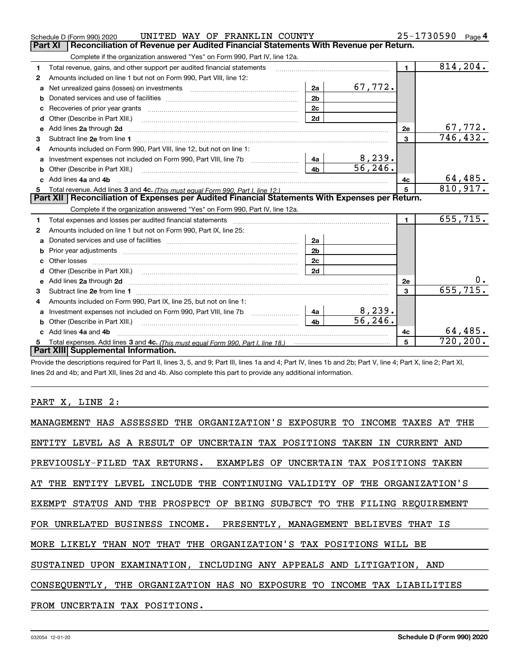|    | UNITED WAY OF FRANKLIN COUNTY<br>Schedule D (Form 990) 2020                                                                                                                                                                         |                |          |                | 25-1730590<br>Page $4$     |
|----|-------------------------------------------------------------------------------------------------------------------------------------------------------------------------------------------------------------------------------------|----------------|----------|----------------|----------------------------|
|    | Reconciliation of Revenue per Audited Financial Statements With Revenue per Return.<br>Part XI                                                                                                                                      |                |          |                |                            |
|    | Complete if the organization answered "Yes" on Form 990, Part IV, line 12a.                                                                                                                                                         |                |          |                |                            |
| 1  | Total revenue, gains, and other support per audited financial statements                                                                                                                                                            |                |          | $\blacksquare$ | 814, 204.                  |
| 2  | Amounts included on line 1 but not on Form 990, Part VIII, line 12:                                                                                                                                                                 |                |          |                |                            |
| a  | Net unrealized gains (losses) on investments [11] matter contracts and the unrealized gains (losses) on investments                                                                                                                 | 2a             | 67,772.  |                |                            |
|    |                                                                                                                                                                                                                                     | 2 <sub>b</sub> |          |                |                            |
|    |                                                                                                                                                                                                                                     | 2c             |          |                |                            |
| d  | Other (Describe in Part XIII.) <b>Construction Contract Construction</b> (Describe in Part XIII.)                                                                                                                                   | 2d             |          |                |                            |
| е  | Add lines 2a through 2d                                                                                                                                                                                                             |                |          | <b>2e</b>      | $\frac{67,772.}{746,432.}$ |
| з  |                                                                                                                                                                                                                                     |                |          | 3              |                            |
| 4  | Amounts included on Form 990, Part VIII, line 12, but not on line 1:                                                                                                                                                                |                |          |                |                            |
| a  |                                                                                                                                                                                                                                     | 4a             | 8,239.   |                |                            |
| b  |                                                                                                                                                                                                                                     | 4 <sub>h</sub> | 56, 246. |                |                            |
| c. | Add lines 4a and 4b                                                                                                                                                                                                                 |                |          | 4с             | 64,485.                    |
|    |                                                                                                                                                                                                                                     |                |          | 5              | 810,917.                   |
|    |                                                                                                                                                                                                                                     |                |          |                |                            |
|    | Part XII   Reconciliation of Expenses per Audited Financial Statements With Expenses per Return.                                                                                                                                    |                |          |                |                            |
|    | Complete if the organization answered "Yes" on Form 990, Part IV, line 12a.                                                                                                                                                         |                |          |                |                            |
| 1  | Total expenses and losses per audited financial statements [11] [11] contain the statements [11] [12] contained the statements [11] [12] and the statements [12] [12] and the statements [12] and the statements [12] and the       |                |          | $\blacksquare$ | 655,715.                   |
| 2  | Amounts included on line 1 but not on Form 990, Part IX, line 25:                                                                                                                                                                   |                |          |                |                            |
| a  |                                                                                                                                                                                                                                     | 2a             |          |                |                            |
| b  |                                                                                                                                                                                                                                     | 2 <sub>b</sub> |          |                |                            |
| c  |                                                                                                                                                                                                                                     | 2c             |          |                |                            |
| d  |                                                                                                                                                                                                                                     | 2d             |          |                |                            |
| е  | Add lines 2a through 2d <b>contained a contained a contained a contained a</b> contained a contact the set of the set of the set of the set of the set of the set of the set of the set of the set of the set of the set of the set |                |          | 2e             |                            |
| 3  |                                                                                                                                                                                                                                     |                |          | 3              | 655, 715.                  |
| 4  | Amounts included on Form 990, Part IX, line 25, but not on line 1:                                                                                                                                                                  |                |          |                |                            |
| а  |                                                                                                                                                                                                                                     | 4a             | 8,239.   |                |                            |
| b  |                                                                                                                                                                                                                                     | 4 <sub>b</sub> | 56, 246. |                |                            |
|    | Add lines 4a and 4b                                                                                                                                                                                                                 |                |          | 4c             | 64,485.                    |
|    | Part XIII Supplemental Information.                                                                                                                                                                                                 |                |          |                | $\overline{720,200}$ .     |

Provide the descriptions required for Part II, lines 3, 5, and 9; Part III, lines 1a and 4; Part IV, lines 1b and 2b; Part V, line 4; Part X, line 2; Part XI, lines 2d and 4b; and Part XII, lines 2d and 4b. Also complete this part to provide any additional information.

### PART X, LINE 2:

| MANAGEMENT HAS ASSESSED THE ORGANIZATION'S EXPOSURE TO INCOME TAXES AT THE |
|----------------------------------------------------------------------------|
| ENTITY LEVEL AS A RESULT OF UNCERTAIN TAX POSITIONS TAKEN IN CURRENT AND   |
| PREVIOUSLY-FILED TAX RETURNS. EXAMPLES OF UNCERTAIN TAX POSITIONS TAKEN    |
| AT THE ENTITY LEVEL INCLUDE THE CONTINUING VALIDITY OF THE ORGANIZATION'S  |
| EXEMPT STATUS AND THE PROSPECT OF BEING SUBJECT TO THE FILING REQUIREMENT  |
| FOR UNRELATED BUSINESS INCOME. PRESENTLY, MANAGEMENT BELIEVES THAT IS      |
| MORE LIKELY THAN NOT THAT THE ORGANIZATION'S TAX POSITIONS WILL BE         |
| SUSTAINED UPON EXAMINATION, INCLUDING ANY APPEALS AND LITIGATION, AND      |
| CONSEOUENTLY, THE ORGANIZATION HAS NO EXPOSURE TO INCOME TAX LIABILITIES   |
| FROM UNCERTAIN TAX POSITIONS.                                              |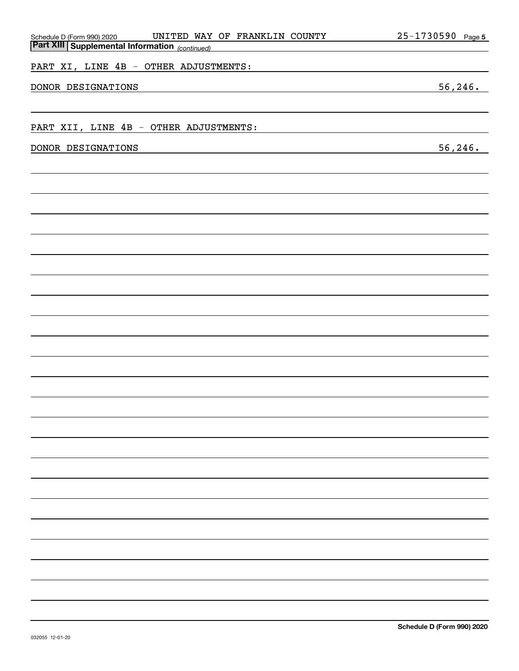| UNITED WAY OF FRANKLIN COUNTY                                                                  | <u>25-1730590 Page 5</u> |
|------------------------------------------------------------------------------------------------|--------------------------|
| Schedule D (Form 990) 2020 UNITED WAY<br><b>Part XIII Supplemental Information</b> (continued) |                          |
| PART XI, LINE 4B - OTHER ADJUSTMENTS:                                                          |                          |
|                                                                                                |                          |
| DONOR DESIGNATIONS                                                                             | 56, 246.                 |
|                                                                                                |                          |
|                                                                                                |                          |
| PART XII, LINE 4B - OTHER ADJUSTMENTS:                                                         |                          |
|                                                                                                |                          |
| DONOR DESIGNATIONS                                                                             | 56, 246.                 |
|                                                                                                |                          |
|                                                                                                |                          |
|                                                                                                |                          |
|                                                                                                |                          |
|                                                                                                |                          |
|                                                                                                |                          |
|                                                                                                |                          |
|                                                                                                |                          |
|                                                                                                |                          |
|                                                                                                |                          |
|                                                                                                |                          |
|                                                                                                |                          |
|                                                                                                |                          |
|                                                                                                |                          |
|                                                                                                |                          |
|                                                                                                |                          |
|                                                                                                |                          |
|                                                                                                |                          |
|                                                                                                |                          |
|                                                                                                |                          |
|                                                                                                |                          |
|                                                                                                |                          |
|                                                                                                |                          |
|                                                                                                |                          |
|                                                                                                |                          |
|                                                                                                |                          |
|                                                                                                |                          |
|                                                                                                |                          |
|                                                                                                |                          |
|                                                                                                |                          |
|                                                                                                |                          |
|                                                                                                |                          |
|                                                                                                |                          |
|                                                                                                |                          |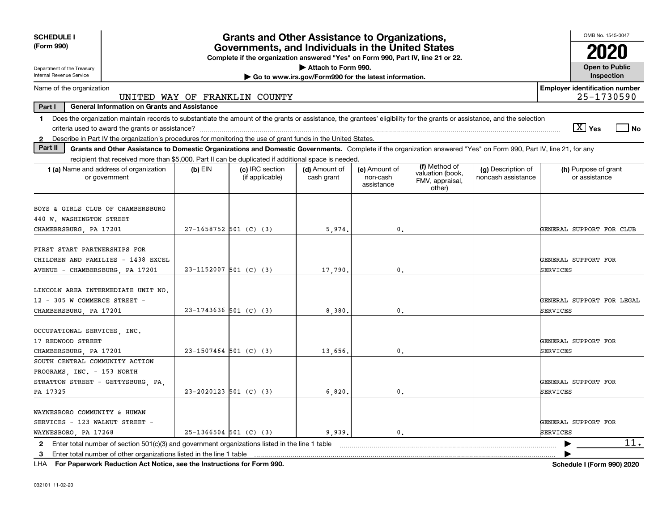| <b>SCHEDULE I</b>                                                                                                                                                             |                               | <b>Grants and Other Assistance to Organizations,</b>                                                                                  |                                                       |                                         |                                               |                                          | OMB No. 1545-0047                                   |
|-------------------------------------------------------------------------------------------------------------------------------------------------------------------------------|-------------------------------|---------------------------------------------------------------------------------------------------------------------------------------|-------------------------------------------------------|-----------------------------------------|-----------------------------------------------|------------------------------------------|-----------------------------------------------------|
| (Form 990)                                                                                                                                                                    |                               | Governments, and Individuals in the United States<br>Complete if the organization answered "Yes" on Form 990, Part IV, line 21 or 22. |                                                       |                                         |                                               |                                          | 2020                                                |
| Department of the Treasury                                                                                                                                                    |                               |                                                                                                                                       | Attach to Form 990.                                   |                                         |                                               |                                          | <b>Open to Public</b>                               |
| Internal Revenue Service                                                                                                                                                      |                               |                                                                                                                                       | Go to www.irs.gov/Form990 for the latest information. |                                         |                                               |                                          | Inspection                                          |
| Name of the organization                                                                                                                                                      | UNITED WAY OF FRANKLIN COUNTY |                                                                                                                                       |                                                       |                                         |                                               |                                          | <b>Employer identification number</b><br>25-1730590 |
| Part I<br><b>General Information on Grants and Assistance</b>                                                                                                                 |                               |                                                                                                                                       |                                                       |                                         |                                               |                                          |                                                     |
| 1 Does the organization maintain records to substantiate the amount of the grants or assistance, the grantees' eligibility for the grants or assistance, and the selection    |                               |                                                                                                                                       |                                                       |                                         |                                               |                                          |                                                     |
|                                                                                                                                                                               |                               |                                                                                                                                       |                                                       |                                         |                                               |                                          | $\sqrt{X}$ Yes<br>l No                              |
| Describe in Part IV the organization's procedures for monitoring the use of grant funds in the United States.<br>$\mathbf{2}$                                                 |                               |                                                                                                                                       |                                                       |                                         |                                               |                                          |                                                     |
| Part II<br>Grants and Other Assistance to Domestic Organizations and Domestic Governments. Complete if the organization answered "Yes" on Form 990, Part IV, line 21, for any |                               |                                                                                                                                       |                                                       |                                         |                                               |                                          |                                                     |
| recipient that received more than \$5,000. Part II can be duplicated if additional space is needed.                                                                           |                               |                                                                                                                                       |                                                       |                                         | (f) Method of                                 |                                          |                                                     |
| 1 (a) Name and address of organization<br>or government                                                                                                                       | $(b)$ EIN                     | (c) IRC section<br>(if applicable)                                                                                                    | (d) Amount of<br>cash grant                           | (e) Amount of<br>non-cash<br>assistance | valuation (book,<br>FMV, appraisal,<br>other) | (g) Description of<br>noncash assistance | (h) Purpose of grant<br>or assistance               |
| BOYS & GIRLS CLUB OF CHAMBERSBURG<br>440 W. WASHINGTON STREET                                                                                                                 |                               |                                                                                                                                       |                                                       |                                         |                                               |                                          |                                                     |
| CHAMEBRSBURG, PA 17201                                                                                                                                                        |                               | 27-1658752 501 (C) (3)                                                                                                                | 5,974                                                 | 0.                                      |                                               |                                          | GENERAL SUPPORT FOR CLUB                            |
| FIRST START PARTNERSHIPS FOR<br>CHILDREN AND FAMILIES - 1438 EXCEL<br>AVENUE - CHAMBERSBURG, PA 17201                                                                         |                               | $23 - 1152007$ 501 (C) (3)                                                                                                            | 17,790                                                | $\mathbf{0}$ .                          |                                               |                                          | GENERAL SUPPORT FOR<br>SERVICES                     |
| LINCOLN AREA INTERMEDIATE UNIT NO.<br>12 - 305 W COMMERCE STREET -<br>CHAMBERSBURG, PA 17201                                                                                  |                               | $23-1743636$ 501 (C) (3)                                                                                                              | 8,380                                                 | 0.                                      |                                               |                                          | GENERAL SUPPORT FOR LEGAL<br><b>SERVICES</b>        |
| OCCUPATIONAL SERVICES, INC.<br>17 REDWOOD STREET<br>CHAMBERSBURG, PA 17201                                                                                                    |                               | $23 - 1507464$ 501 (C) (3)                                                                                                            | 13,656                                                | $\mathbf 0$ .                           |                                               |                                          | GENERAL SUPPORT FOR<br><b>SERVICES</b>              |
| SOUTH CENTRAL COMMUNITY ACTION<br>PROGRAMS, INC. - 153 NORTH<br>STRATTON STREET - GETTYSBURG, PA,<br>PA 17325                                                                 |                               | $23-2020123$ 501 (C) (3)                                                                                                              | 6,820                                                 | $\mathbf{0}$ .                          |                                               |                                          | GENERAL SUPPORT FOR<br><b>SERVICES</b>              |
| WAYNESBORO COMMUNITY & HUMAN<br>SERVICES - 123 WALNUT STREET -<br>WAYNESBORO, PA 17268                                                                                        |                               | $25-1366504$ 501 (C) (3)                                                                                                              | 9.939                                                 | $\mathbf{0}$ .                          |                                               |                                          | GENERAL SUPPORT FOR<br><b>SERVICES</b>              |
| 2 Enter total number of section 501(c)(3) and government organizations listed in the line 1 table                                                                             |                               |                                                                                                                                       |                                                       |                                         |                                               |                                          | 11.                                                 |
| 3 Enter total number of other organizations listed in the line 1 table                                                                                                        |                               |                                                                                                                                       |                                                       |                                         |                                               |                                          |                                                     |

**For Paperwork Reduction Act Notice, see the Instructions for Form 990. Schedule I (Form 990) 2020** LHA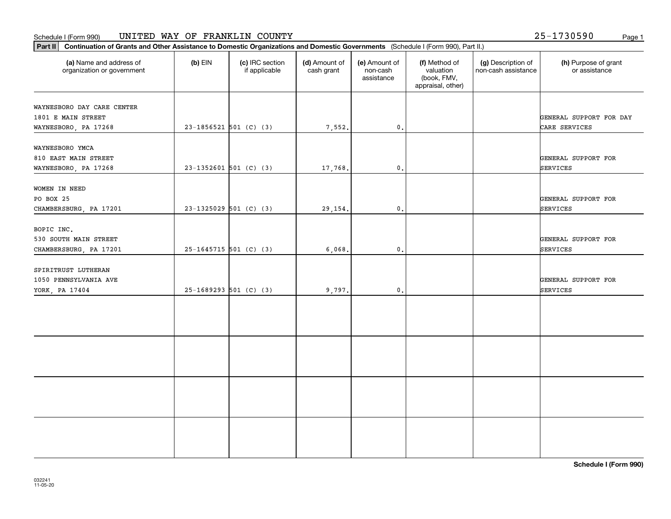#### Schedule I (Form 990) Page 1 UNITED WAY OF FRANKLIN COUNTY

**Part II Continuation of Grants and Other Assistance to Domestic Organizations and Domestic Governments**  (Schedule I (Form 990), Part II.)

032241 11-05-20

| (a) Name and address of<br>organization or government                    | $(b)$ EIN                  | (c) IRC section<br>if applicable | (d) Amount of<br>cash grant | (e) Amount of<br>non-cash<br>assistance | (f) Method of<br>valuation<br>(book, FMV,<br>appraisal, other) | (g) Description of<br>non-cash assistance | (h) Purpose of grant<br>or assistance    |
|--------------------------------------------------------------------------|----------------------------|----------------------------------|-----------------------------|-----------------------------------------|----------------------------------------------------------------|-------------------------------------------|------------------------------------------|
| WAYNESBORO DAY CARE CENTER<br>1801 E MAIN STREET<br>WAYNESBORO, PA 17268 | $23 - 1856521$ 501 (C) (3) |                                  | 7,552.                      | 0.                                      |                                                                |                                           | GENERAL SUPPORT FOR DAY<br>CARE SERVICES |
| WAYNESBORO YMCA<br>810 EAST MAIN STREET<br>WAYNESBORO, PA 17268          | $23-1352601$ 501 (C) (3)   |                                  | 17,768.                     | $\mathbf{0}$ .                          |                                                                |                                           | GENERAL SUPPORT FOR<br>SERVICES          |
| WOMEN IN NEED<br>PO BOX 25<br>CHAMBERSBURG, PA 17201                     | $23-1325029$ 501 (C) (3)   |                                  | 29,154.                     | 0.                                      |                                                                |                                           | GENERAL SUPPORT FOR<br>SERVICES          |
| BOPIC INC.<br>530 SOUTH MAIN STREET<br>CHAMBERSBURG, PA 17201            | $25-1645715$ 501 (C) (3)   |                                  | 6,068.                      | $\mathfrak{o}$ .                        |                                                                |                                           | GENERAL SUPPORT FOR<br><b>SERVICES</b>   |
| SPIRITRUST LUTHERAN<br>1050 PENNSYLVANIA AVE<br>YORK, PA 17404           | $25-1689293$ 501 (C) (3)   |                                  | 9,797.                      | $\mathbf{0}$ .                          |                                                                |                                           | GENERAL SUPPORT FOR<br><b>SERVICES</b>   |
|                                                                          |                            |                                  |                             |                                         |                                                                |                                           |                                          |
|                                                                          |                            |                                  |                             |                                         |                                                                |                                           |                                          |
|                                                                          |                            |                                  |                             |                                         |                                                                |                                           |                                          |
|                                                                          |                            |                                  |                             |                                         |                                                                |                                           |                                          |

**Schedule I (Form 990)**

25-1730590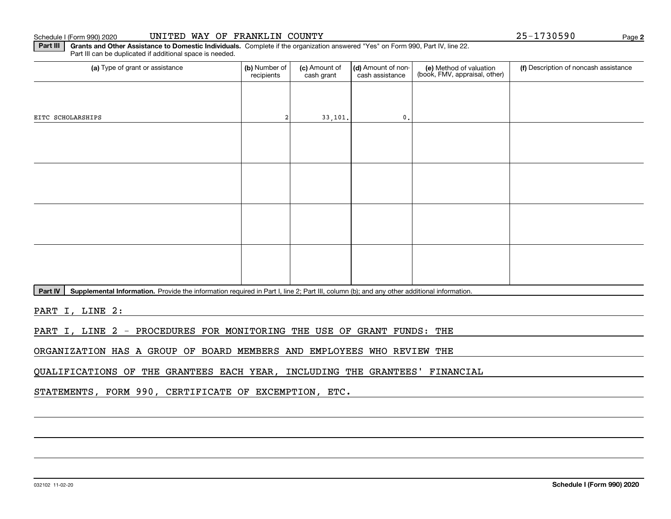Schedule I (Form 990) 2020

|  |  |  |  | UNITED WAY OF FRANKLIN COUNTY |  |
|--|--|--|--|-------------------------------|--|
|--|--|--|--|-------------------------------|--|

**2**25-1730590

**Part III** | Grants and Other Assistance to Domestic Individuals. Complete if the organization answered "Yes" on Form 990, Part IV, line 22. Part III can be duplicated if additional space is needed.

| (b) Number of<br>recipients | (c) Amount of<br>cash grant | cash assistance | (e) Method of valuation<br>(book, FMV, appraisal, other) | (f) Description of noncash assistance |
|-----------------------------|-----------------------------|-----------------|----------------------------------------------------------|---------------------------------------|
|                             |                             |                 |                                                          |                                       |
|                             |                             | $\mathfrak o$ . |                                                          |                                       |
|                             |                             |                 |                                                          |                                       |
|                             |                             |                 |                                                          |                                       |
|                             |                             |                 |                                                          |                                       |
|                             |                             |                 |                                                          |                                       |
|                             |                             |                 |                                                          |                                       |
|                             |                             |                 |                                                          |                                       |
|                             |                             |                 |                                                          |                                       |
|                             |                             |                 |                                                          |                                       |
|                             |                             |                 | 33,101.                                                  | (d) Amount of non-                    |

Part IV | Supplemental Information. Provide the information required in Part I, line 2; Part III, column (b); and any other additional information.

PART I, LINE 2:

PART I, LINE 2 - PROCEDURES FOR MONITORING THE USE OF GRANT FUNDS: THE

ORGANIZATION HAS A GROUP OF BOARD MEMBERS AND EMPLOYEES WHO REVIEW THE

QUALIFICATIONS OF THE GRANTEES EACH YEAR, INCLUDING THE GRANTEES' FINANCIAL

STATEMENTS, FORM 990, CERTIFICATE OF EXCEMPTION, ETC.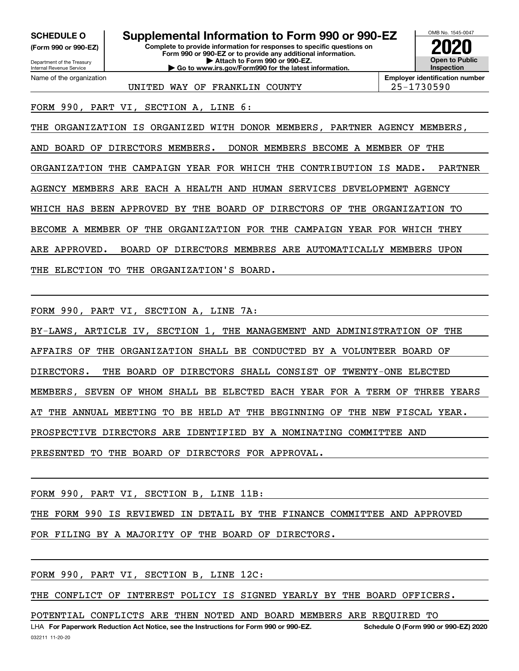**(Form 990 or 990-EZ)**

Department of the Treasury Internal Revenue Service Name of the organization

**Complete to provide information for responses to specific questions on Form 990 or 990-EZ or to provide any additional information. SCHEDULE O Supplemental Information to Form 990 or 990-EZ**

**| Attach to Form 990 or 990-EZ. | Go to www.irs.gov/Form990 for the latest information.** OMB No. 1545-0047 **Open to Public Inspection2020**

UNITED WAY OF FRANKLIN COUNTY 25-1730590

**Employer identification number**

FORM 990, PART VI, SECTION A, LINE 6:

THE ORGANIZATION IS ORGANIZED WITH DONOR MEMBERS, PARTNER AGENCY MEMBERS, AND BOARD OF DIRECTORS MEMBERS. DONOR MEMBERS BECOME A MEMBER OF THE ORGANIZATION THE CAMPAIGN YEAR FOR WHICH THE CONTRIBUTION IS MADE. PARTNER AGENCY MEMBERS ARE EACH A HEALTH AND HUMAN SERVICES DEVELOPMENT AGENCY WHICH HAS BEEN APPROVED BY THE BOARD OF DIRECTORS OF THE ORGANIZATION TO BECOME A MEMBER OF THE ORGANIZATION FOR THE CAMPAIGN YEAR FOR WHICH THEY ARE APPROVED. BOARD OF DIRECTORS MEMBRES ARE AUTOMATICALLY MEMBERS UPON THE ELECTION TO THE ORGANIZATION'S BOARD.

FORM 990, PART VI, SECTION A, LINE 7A:

BY-LAWS, ARTICLE IV, SECTION 1, THE MANAGEMENT AND ADMINISTRATION OF THE AFFAIRS OF THE ORGANIZATION SHALL BE CONDUCTED BY A VOLUNTEER BOARD OF DIRECTORS. THE BOARD OF DIRECTORS SHALL CONSIST OF TWENTY-ONE ELECTED MEMBERS, SEVEN OF WHOM SHALL BE ELECTED EACH YEAR FOR A TERM OF THREE YEARS AT THE ANNUAL MEETING TO BE HELD AT THE BEGINNING OF THE NEW FISCAL YEAR. PROSPECTIVE DIRECTORS ARE IDENTIFIED BY A NOMINATING COMMITTEE AND PRESENTED TO THE BOARD OF DIRECTORS FOR APPROVAL.

FORM 990, PART VI, SECTION B, LINE 11B:

THE FORM 990 IS REVIEWED IN DETAIL BY THE FINANCE COMMITTEE AND APPROVED

FOR FILING BY A MAJORITY OF THE BOARD OF DIRECTORS.

FORM 990, PART VI, SECTION B, LINE 12C:

THE CONFLICT OF INTEREST POLICY IS SIGNED YEARLY BY THE BOARD OFFICERS.

POTENTIAL CONFLICTS ARE THEN NOTED AND BOARD MEMBERS ARE REQUIRED TO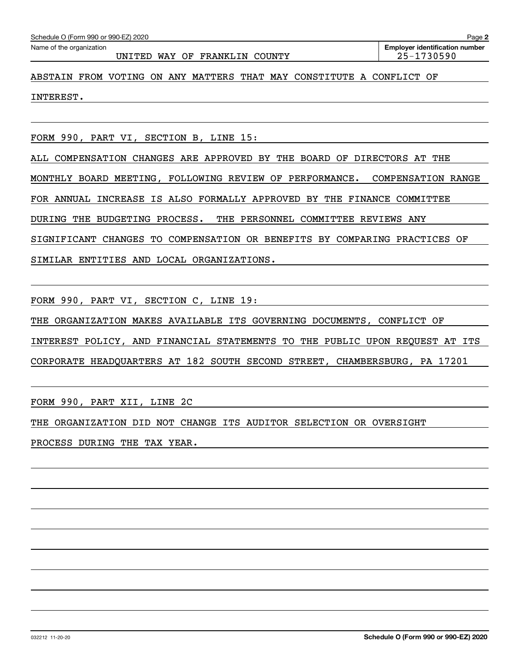#### UNITED WAY OF FRANKLIN COUNTY  $\vert$  25-1730590

### ABSTAIN FROM VOTING ON ANY MATTERS THAT MAY CONSTITUTE A CONFLICT OF

INTEREST.

FORM 990, PART VI, SECTION B, LINE 15:

ALL COMPENSATION CHANGES ARE APPROVED BY THE BOARD OF DIRECTORS AT THE MONTHLY BOARD MEETING, FOLLOWING REVIEW OF PERFORMANCE. COMPENSATION RANGE FOR ANNUAL INCREASE IS ALSO FORMALLY APPROVED BY THE FINANCE COMMITTEE DURING THE BUDGETING PROCESS. THE PERSONNEL COMMITTEE REVIEWS ANY SIGNIFICANT CHANGES TO COMPENSATION OR BENEFITS BY COMPARING PRACTICES OF SIMILAR ENTITIES AND LOCAL ORGANIZATIONS.

FORM 990, PART VI, SECTION C, LINE 19:

THE ORGANIZATION MAKES AVAILABLE ITS GOVERNING DOCUMENTS, CONFLICT OF

INTEREST POLICY, AND FINANCIAL STATEMENTS TO THE PUBLIC UPON REQUEST AT ITS

CORPORATE HEADQUARTERS AT 182 SOUTH SECOND STREET, CHAMBERSBURG, PA 17201

FORM 990, PART XII, LINE 2C

THE ORGANIZATION DID NOT CHANGE ITS AUDITOR SELECTION OR OVERSIGHT PROCESS DURING THE TAX YEAR.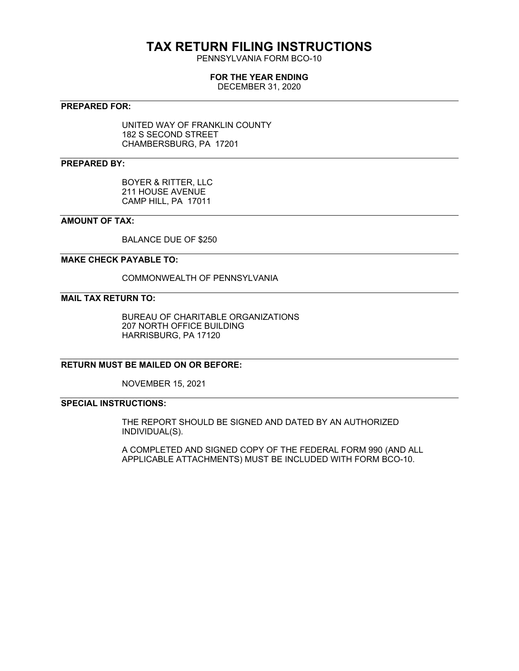### **TAX RETURN FILING INSTRUCTIONS**

PENNSYLVANIA FORM BCO-10

### **FOR THE YEAR ENDING**

DECEMBER 31, 2020

### **PREPARED FOR:**

UNITED WAY OF FRANKLIN COUNTY 182 S SECOND STREET CHAMBERSBURG, PA 17201

### **PREPARED BY:**

BOYER & RITTER, LLC 211 HOUSE AVENUE CAMP HILL, PA 17011

### **AMOUNT OF TAX:**

BALANCE DUE OF \$250

### **MAKE CHECK PAYABLE TO:**

COMMONWEALTH OF PENNSYLVANIA

### **MAIL TAX RETURN TO:**

BUREAU OF CHARITABLE ORGANIZATIONS 207 NORTH OFFICE BUILDING HARRISBURG, PA 17120

### **RETURN MUST BE MAILED ON OR BEFORE:**

NOVEMBER 15, 2021

### **SPECIAL INSTRUCTIONS:**

THE REPORT SHOULD BE SIGNED AND DATED BY AN AUTHORIZED INDIVIDUAL(S).

A COMPLETED AND SIGNED COPY OF THE FEDERAL FORM 990 (AND ALL APPLICABLE ATTACHMENTS) MUST BE INCLUDED WITH FORM BCO-10.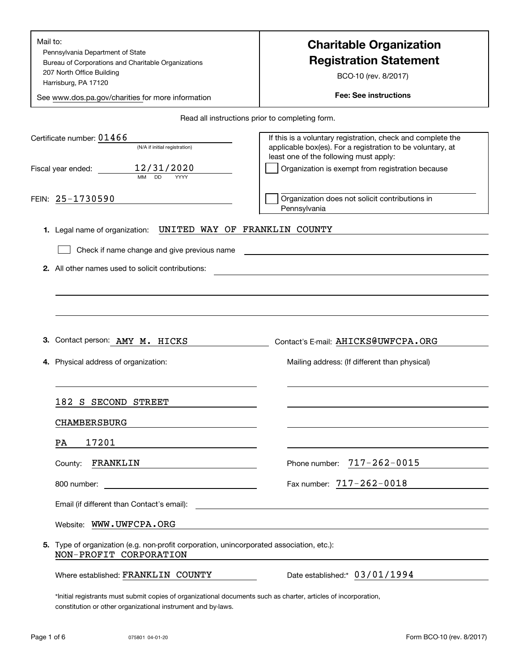| Mail to:<br>Pennsylvania Department of State<br>Bureau of Corporations and Charitable Organizations<br>207 North Office Building<br>Harrisburg, PA 17120<br>See www.dos.pa.gov/charities for more information                                       | <b>Charitable Organization</b><br><b>Registration Statement</b><br>BCO-10 (rev. 8/2017)<br><b>Fee: See instructions</b>                                                                                                 |
|-----------------------------------------------------------------------------------------------------------------------------------------------------------------------------------------------------------------------------------------------------|-------------------------------------------------------------------------------------------------------------------------------------------------------------------------------------------------------------------------|
|                                                                                                                                                                                                                                                     | Read all instructions prior to completing form.                                                                                                                                                                         |
| Certificate number: $01466$<br>(N/A if initial registration)<br>12/31/2020<br>Fiscal year ended:<br>MM<br><b>DD</b><br>YYYY                                                                                                                         | If this is a voluntary registration, check and complete the<br>applicable box(es). For a registration to be voluntary, at<br>least one of the following must apply:<br>Organization is exempt from registration because |
| FEIN: 25-1730590                                                                                                                                                                                                                                    | Organization does not solicit contributions in<br>Pennsylvania                                                                                                                                                          |
| UNITED WAY OF FRANKLIN COUNTY<br>1. Legal name of organization:<br>Check if name change and give previous name<br>2. All other names used to solicit contributions:                                                                                 | the control of the control of the control of the control of the control of the control of the control of the control of                                                                                                 |
| З.<br>Contact person: AMY M. HICKS<br>Physical address of organization:<br>4.                                                                                                                                                                       | Contact's E-mail: AHICKS@UWFCPA.ORG<br>Mailing address: (If different than physical)                                                                                                                                    |
| 182 S<br>SECOND STREET                                                                                                                                                                                                                              |                                                                                                                                                                                                                         |
| <b>CHAMBERSBURG</b>                                                                                                                                                                                                                                 |                                                                                                                                                                                                                         |
| 17201<br>PA<br>FRANKLIN<br>County:                                                                                                                                                                                                                  | $717 - 262 - 0015$<br>Phone number:                                                                                                                                                                                     |
| <u> 1989 - Johann Stoff, deutscher Stoffen und der Stoffen und der Stoffen und der Stoffen und der Stoffen und der Stoffen und der Stoffen und der Stoffen und der Stoffen und der Stoffen und der Stoffen und der Stoffen und d</u><br>800 number: | Fax number: $717 - 262 - 0018$                                                                                                                                                                                          |
|                                                                                                                                                                                                                                                     |                                                                                                                                                                                                                         |
| Website: WWW.UWFCPA.ORG                                                                                                                                                                                                                             |                                                                                                                                                                                                                         |
| 5. Type of organization (e.g. non-profit corporation, unincorporated association, etc.):<br>NON-PROFIT CORPORATION                                                                                                                                  |                                                                                                                                                                                                                         |
| Where established: FRANKLIN COUNTY                                                                                                                                                                                                                  | Date established: 03/01/1994                                                                                                                                                                                            |
| *Initial registrants must submit copies of organizational documents such as charter, articles of incorporation,<br>constitution or other organizational instrument and by-laws.                                                                     |                                                                                                                                                                                                                         |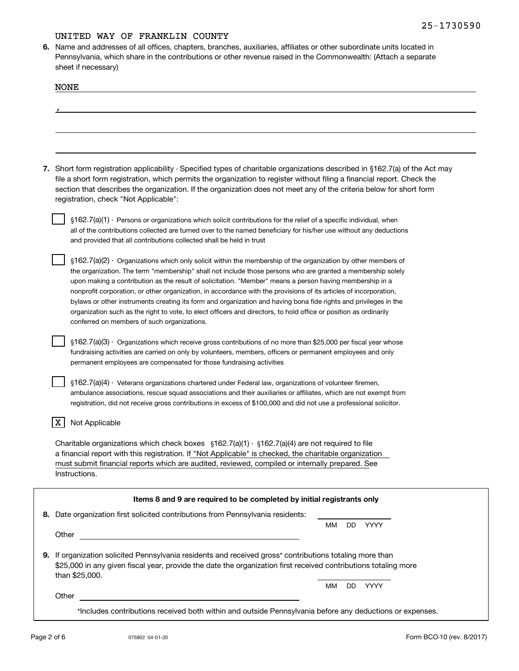**6.**Name and addresses of all offices, chapters, branches, auxiliaries, affiliates or other subordinate units located in Pennsylvania, which share in the contributions or other revenue raised in the Commonwealth: (Attach a separate sheet if necessary)

| <b>NONE</b>                                                                                                                                                                                                                                                                                                                                                                                                                                                                                                                                                                                                                                                                                                                                           |
|-------------------------------------------------------------------------------------------------------------------------------------------------------------------------------------------------------------------------------------------------------------------------------------------------------------------------------------------------------------------------------------------------------------------------------------------------------------------------------------------------------------------------------------------------------------------------------------------------------------------------------------------------------------------------------------------------------------------------------------------------------|
|                                                                                                                                                                                                                                                                                                                                                                                                                                                                                                                                                                                                                                                                                                                                                       |
|                                                                                                                                                                                                                                                                                                                                                                                                                                                                                                                                                                                                                                                                                                                                                       |
|                                                                                                                                                                                                                                                                                                                                                                                                                                                                                                                                                                                                                                                                                                                                                       |
| 7. Short form registration applicability - Specified types of charitable organizations described in §162.7(a) of the Act may<br>file a short form registration, which permits the organization to register without filing a financial report. Check the<br>section that describes the organization. If the organization does not meet any of the criteria below for short form<br>registration, check "Not Applicable":                                                                                                                                                                                                                                                                                                                               |
| §162.7(a)(1) - Persons or organizations which solicit contributions for the relief of a specific individual, when<br>all of the contributions collected are turned over to the named beneficiary for his/her use without any deductions<br>and provided that all contributions collected shall be held in trust                                                                                                                                                                                                                                                                                                                                                                                                                                       |
| §162.7(a)(2) - Organizations which only solicit within the membership of the organization by other members of<br>the organization. The term "membership" shall not include those persons who are granted a membership solely<br>upon making a contribution as the result of solicitation. "Member" means a person having membership in a<br>nonprofit corporation, or other organization, in accordance with the provisions of its articles of incorporation,<br>bylaws or other instruments creating its form and organization and having bona fide rights and privileges in the<br>organization such as the right to vote, to elect officers and directors, to hold office or position as ordinarily<br>conferred on members of such organizations. |
| §162.7(a)(3) - Organizations which receive gross contributions of no more than \$25,000 per fiscal year whose<br>fundraising activities are carried on only by volunteers, members, officers or permanent employees and only<br>permanent employees are compensated for those fundraising activities                                                                                                                                                                                                                                                                                                                                                                                                                                                  |
| §162.7(a)(4) - Veterans organizations chartered under Federal law, organizations of volunteer firemen,<br>ambulance associations, rescue squad associations and their auxiliaries or affiliates, which are not exempt from<br>registration, did not receive gross contributions in excess of \$100,000 and did not use a professional solicitor.                                                                                                                                                                                                                                                                                                                                                                                                      |
| X<br>Not Applicable                                                                                                                                                                                                                                                                                                                                                                                                                                                                                                                                                                                                                                                                                                                                   |
| Charitable organizations which check boxes $\S162.7(a)(1) \cdot \S162.7(a)(4)$ are not required to file<br>a financial report with this registration. If "Not Applicable" is checked, the charitable organization<br>must submit financial reports which are audited, reviewed, compiled or internally prepared. See<br>Instructions.                                                                                                                                                                                                                                                                                                                                                                                                                 |
| Items 8 and 9 are required to be completed by initial registrants only                                                                                                                                                                                                                                                                                                                                                                                                                                                                                                                                                                                                                                                                                |
| 8. Date organization first solicited contributions from Pennsylvania residents:<br>YYYY<br>MМ<br>DD.                                                                                                                                                                                                                                                                                                                                                                                                                                                                                                                                                                                                                                                  |
| Other                                                                                                                                                                                                                                                                                                                                                                                                                                                                                                                                                                                                                                                                                                                                                 |
| 9. If organization solicited Pennsylvania residents and received gross* contributions totaling more than<br>\$25,000 in any given fiscal year, provide the date the organization first received contributions totaling more<br>than \$25,000.                                                                                                                                                                                                                                                                                                                                                                                                                                                                                                         |
| DD YYYY<br>MМ<br>Other                                                                                                                                                                                                                                                                                                                                                                                                                                                                                                                                                                                                                                                                                                                                |
| *Includes contributions received both within and outside Pennsylvania before any deductions or expenses.                                                                                                                                                                                                                                                                                                                                                                                                                                                                                                                                                                                                                                              |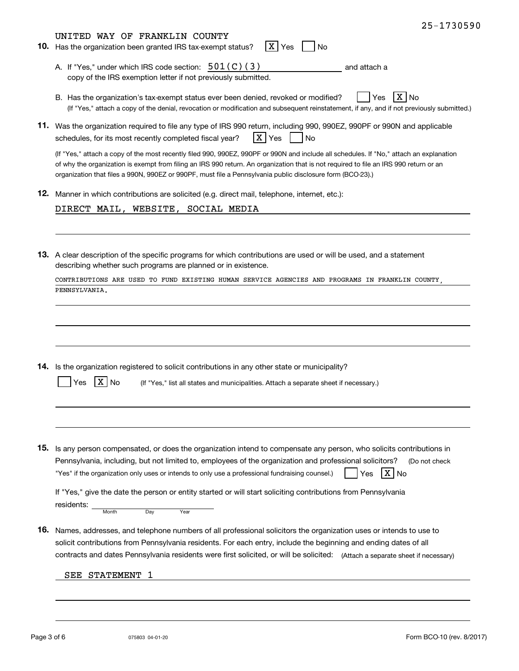|     | 25-1730590                                                                                                                                                                                                                                                                                                                                                                                     |
|-----|------------------------------------------------------------------------------------------------------------------------------------------------------------------------------------------------------------------------------------------------------------------------------------------------------------------------------------------------------------------------------------------------|
|     | UNITED WAY OF FRANKLIN COUNTY<br>X Yes<br>10. Has the organization been granted IRS tax-exempt status?<br>No                                                                                                                                                                                                                                                                                   |
|     | A. If "Yes," under which IRS code section: $501(C)(3)$<br>and attach a<br>copy of the IRS exemption letter if not previously submitted.                                                                                                                                                                                                                                                        |
|     | ΧI<br>Yes<br>B. Has the organization's tax-exempt status ever been denied, revoked or modified?<br>No<br>(If "Yes," attach a copy of the denial, revocation or modification and subsequent reinstatement, if any, and if not previously submitted.)                                                                                                                                            |
|     | 11. Was the organization required to file any type of IRS 990 return, including 990, 990EZ, 990PF or 990N and applicable<br>X Yes<br>schedules, for its most recently completed fiscal year?<br><b>No</b>                                                                                                                                                                                      |
|     | (If "Yes," attach a copy of the most recently filed 990, 990EZ, 990PF or 990N and include all schedules. If "No," attach an explanation<br>of why the organization is exempt from filing an IRS 990 return. An organization that is not required to file an IRS 990 return or an<br>organization that files a 990N, 990EZ or 990PF, must file a Pennsylvania public disclosure form (BCO-23).) |
|     | 12. Manner in which contributions are solicited (e.g. direct mail, telephone, internet, etc.):                                                                                                                                                                                                                                                                                                 |
|     | DIRECT MAIL, WEBSITE, SOCIAL MEDIA                                                                                                                                                                                                                                                                                                                                                             |
|     | 13. A clear description of the specific programs for which contributions are used or will be used, and a statement<br>describing whether such programs are planned or in existence.<br>CONTRIBUTIONS ARE USED TO FUND EXISTING HUMAN SERVICE AGENCIES AND PROGRAMS IN FRANKLIN COUNTY<br>PENNSYLVANIA.                                                                                         |
|     | 14. Is the organization registered to solicit contributions in any other state or municipality?<br>X No<br>(If "Yes," list all states and municipalities. Attach a separate sheet if necessary.)<br>Yes                                                                                                                                                                                        |
| 15. | Is any person compensated, or does the organization intend to compensate any person, who solicits contributions in                                                                                                                                                                                                                                                                             |
|     | Pennsylvania, including, but not limited to, employees of the organization and professional solicitors?<br>(Do not check<br>X  <br>"Yes" if the organization only uses or intends to only use a professional fundraising counsel.)<br>No<br>Yes                                                                                                                                                |
|     | If "Yes," give the date the person or entity started or will start soliciting contributions from Pennsylvania<br>residents:<br>Dav<br>Year<br>Month                                                                                                                                                                                                                                            |
| 16. | Names, addresses, and telephone numbers of all professional solicitors the organization uses or intends to use to<br>solicit contributions from Pennsylvania residents. For each entry, include the beginning and ending dates of all<br>contracts and dates Pennsylvania residents were first solicited, or will be solicited: (Attach a separate sheet if necessary)                         |
|     | <b>STATEMENT</b><br>SEE                                                                                                                                                                                                                                                                                                                                                                        |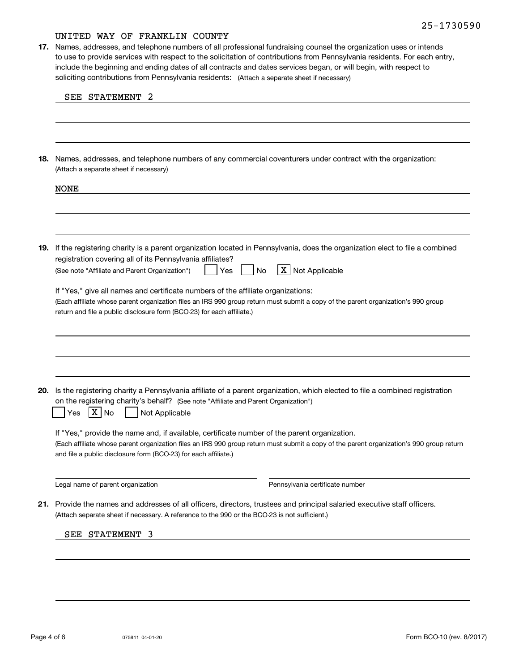soliciting contributions from Pennsylvania residents: (Attach a separate sheet if necessary) **17.** Names, addresses, and telephone numbers of all professional fundraising counsel the organization uses or intends to use to provide services with respect to the solicitation of contributions from Pennsylvania residents. For each entry, include the beginning and ending dates of all contracts and dates services began, or will begin, with respect to

| 18. | Names, addresses, and telephone numbers of any commercial coventurers under contract with the organization:<br>(Attach a separate sheet if necessary)                                                                                                                                                       |
|-----|-------------------------------------------------------------------------------------------------------------------------------------------------------------------------------------------------------------------------------------------------------------------------------------------------------------|
|     | <b>NONE</b>                                                                                                                                                                                                                                                                                                 |
|     |                                                                                                                                                                                                                                                                                                             |
| 19. | If the registering charity is a parent organization located in Pennsylvania, does the organization elect to file a combined<br>registration covering all of its Pennsylvania affiliates?<br>X Not Applicable<br>(See note "Affiliate and Parent Organization")<br>No<br>Yes                                 |
|     | If "Yes," give all names and certificate numbers of the affiliate organizations:<br>(Each affiliate whose parent organization files an IRS 990 group return must submit a copy of the parent organization's 990 group                                                                                       |
|     | return and file a public disclosure form (BCO-23) for each affiliate.)                                                                                                                                                                                                                                      |
|     |                                                                                                                                                                                                                                                                                                             |
| 20. | Is the registering charity a Pennsylvania affiliate of a parent organization, which elected to file a combined registration<br>on the registering charity's behalf? (See note "Affiliate and Parent Organization")<br>Not Applicable<br>X No<br>Yes                                                         |
|     | If "Yes," provide the name and, if available, certificate number of the parent organization.<br>(Each affiliate whose parent organization files an IRS 990 group return must submit a copy of the parent organization's 990 group return<br>and file a public disclosure form (BCO-23) for each affiliate.) |
|     | Legal name of parent organization<br>Pennsylvania certificate number                                                                                                                                                                                                                                        |
|     | 21. Provide the names and addresses of all officers, directors, trustees and principal salaried executive staff officers.<br>(Attach separate sheet if necessary. A reference to the 990 or the BCO-23 is not sufficient.)                                                                                  |
|     | SEE STATEMENT 3                                                                                                                                                                                                                                                                                             |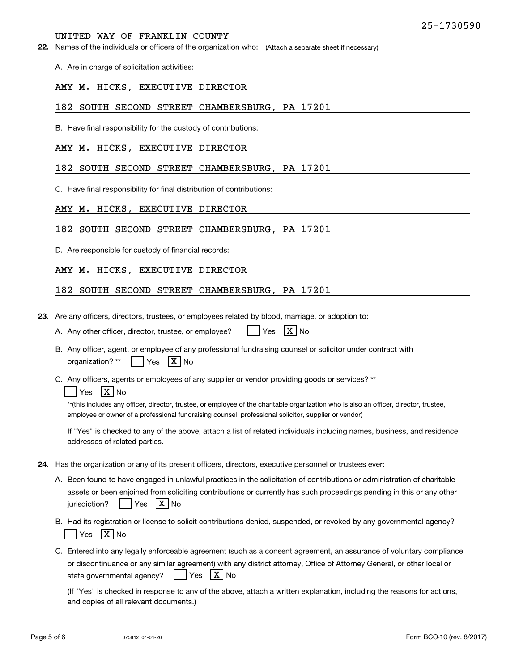**22.** Names of the individuals or officers of the organization who: (Attach a separate sheet if necessary)

A. Are in charge of solicitation activities:

### AMY M. HICKS, EXECUTIVE DIRECTOR

### 182 SOUTH SECOND STREET CHAMBERSBURG, PA 17201

B. Have final responsibility for the custody of contributions:

### AMY M. HICKS, EXECUTIVE DIRECTOR

### 182 SOUTH SECOND STREET CHAMBERSBURG, PA 17201

C. Have final responsibility for final distribution of contributions:

### AMY M. HICKS, EXECUTIVE DIRECTOR

#### 182 SOUTH SECOND STREET CHAMBERSBURG, PA 17201

D. Are responsible for custody of financial records:

### AMY M. HICKS, EXECUTIVE DIRECTOR

### 182 SOUTH SECOND STREET CHAMBERSBURG, PA 17201

**23.**Are any officers, directors, trustees, or employees related by blood, marriage, or adoption to:

|  | A. Any other officer, director, trustee, or employee? |  | $Yes$ $X No$ |  |  |
|--|-------------------------------------------------------|--|--------------|--|--|
|--|-------------------------------------------------------|--|--------------|--|--|

- B. Any officer, agent, or employee of any professional fundraising counsel or solicitor under contract with organization? \*\*  $\blacksquare$ es | X | No
- C. Any officers, agents or employees of any supplier or vendor providing goods or services? \*\*

### Yes |X|No

\*\*(this includes any officer, director, trustee, or employee of the charitable organization who is also an officer, director, trustee, employee or owner of a professional fundraising counsel, professional solicitor, supplier or vendor)

If "Yes" is checked to any of the above, attach a list of related individuals including names, business, and residence addresses of related parties.

- **24.**Has the organization or any of its present officers, directors, executive personnel or trustees ever:
	- A. Been found to have engaged in unlawful practices in the solicitation of contributions or administration of charitable assets or been enjoined from soliciting contributions or currently has such proceedings pending in this or any other jurisdiction?n? | |Yes |X|No
	- B. Had its registration or license to solicit contributions denied, suspended, or revoked by any governmental agency? Yes |X|No
	- C. Entered into any legally enforceable agreement (such as a consent agreement, an assurance of voluntary compliance or discontinuance or any similar agreement) with any district attorney, Office of Attorney General, or other local or state governmental agency? | Yes X No

(If "Yes" is checked in response to any of the above, attach a written explanation, including the reasons for actions, and copies of all relevant documents.)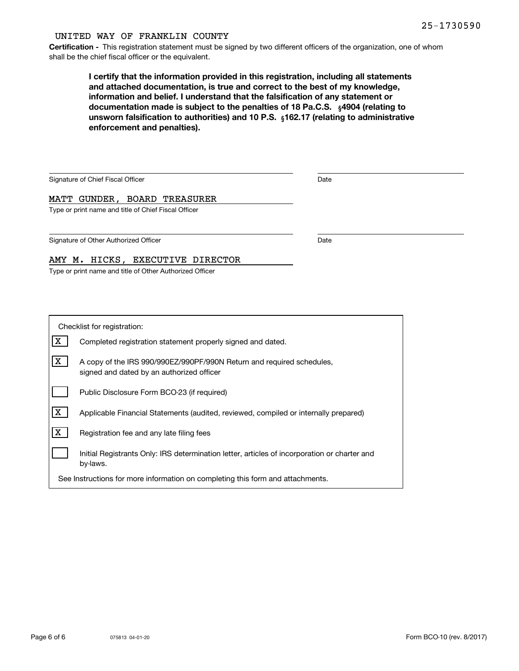**Certification -** This registration statement must be signed by two different officers of the organization, one of whom shall be the chief fiscal officer or the equivalent.

> documentation made is subject to the penalties of 18 Pa.C.S.  $\ _{\S}$ 4904 (relating to **<b>unsworn falsification to authorities) and 10 P.S.** <sub>§</sub>162.17 (relating to administrative **I certify that the information provided in this registration, including all statements and attached documentation, is true and correct to the best of my knowledge, information and belief. I understand that the falsification of any statement or enforcement and penalties).**

| Signature of Chief Fiscal Officer                        | Date |  |
|----------------------------------------------------------|------|--|
| MATT GUNDER, BOARD TREASURER                             |      |  |
| Type or print name and title of Chief Fiscal Officer     |      |  |
|                                                          |      |  |
| Signature of Other Authorized Officer                    | Date |  |
| AMY M. HICKS, EXECUTIVE DIRECTOR                         |      |  |
| Type or print name and title of Other Authorized Officer |      |  |

| Checklist for registration:                                                    |                                                                                                                    |  |  |  |
|--------------------------------------------------------------------------------|--------------------------------------------------------------------------------------------------------------------|--|--|--|
| x                                                                              | Completed registration statement properly signed and dated.                                                        |  |  |  |
| x                                                                              | A copy of the IRS 990/990EZ/990PF/990N Return and required schedules,<br>signed and dated by an authorized officer |  |  |  |
|                                                                                | Public Disclosure Form BCO-23 (if required)                                                                        |  |  |  |
| x                                                                              | Applicable Financial Statements (audited, reviewed, compiled or internally prepared)                               |  |  |  |
| x                                                                              | Registration fee and any late filing fees                                                                          |  |  |  |
|                                                                                | Initial Registrants Only: IRS determination letter, articles of incorporation or charter and<br>by-laws.           |  |  |  |
| See Instructions for more information on completing this form and attachments. |                                                                                                                    |  |  |  |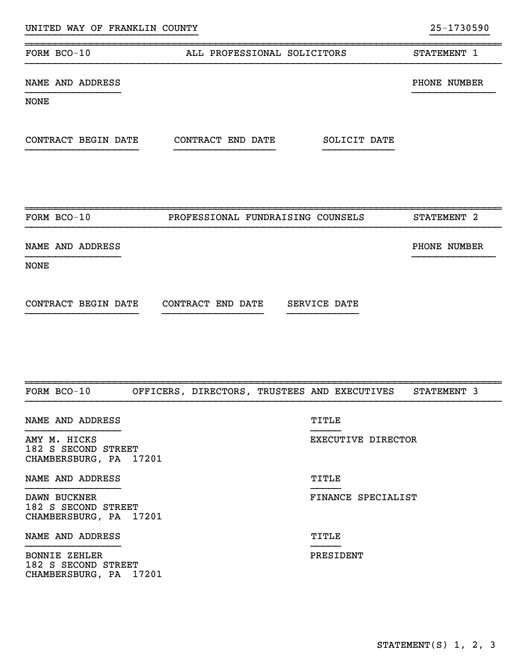| UNITED WAY OF FRANKLIN COUNTY       |                                              |                    | 25-1730590   |
|-------------------------------------|----------------------------------------------|--------------------|--------------|
| FORM BCO-10                         | ALL PROFESSIONAL SOLICITORS                  |                    | STATEMENT 1  |
| NAME AND ADDRESS                    |                                              |                    | PHONE NUMBER |
| <b>NONE</b>                         |                                              |                    |              |
|                                     |                                              | SOLICIT DATE       |              |
| FORM BCO-10                         | PROFESSIONAL FUNDRAISING COUNSELS            |                    | STATEMENT 2  |
| NAME AND ADDRESS                    |                                              |                    | PHONE NUMBER |
| <b>NONE</b>                         |                                              |                    |              |
| CONTRACT BEGIN DATE                 | CONTRACT END DATE                            | SERVICE DATE       |              |
| FORM BCO-10                         | OFFICERS, DIRECTORS, TRUSTEES AND EXECUTIVES |                    | STATEMENT 3  |
|                                     |                                              |                    |              |
| NAME AND ADDRESS                    |                                              | TITLE              |              |
| AMY M. HICKS<br>182 S SECOND STREET |                                              | EXECUTIVE DIRECTOR |              |

CHAMBERSBURG, PA 17201

NAME AND ADDRESS TITLE

DAWN BUCKNER FINANCE SPECIALIST 182 S SECOND STREET CHAMBERSBURG, PA 17201

}}}}}}}}}}}}}}}} }}}}}

}}}}}}}}}}}}}}}} }}}}}

NAME AND ADDRESS TITLE

BONNIE ZEHLER PRESIDENT 182 S SECOND STREET CHAMBERSBURG, PA 17201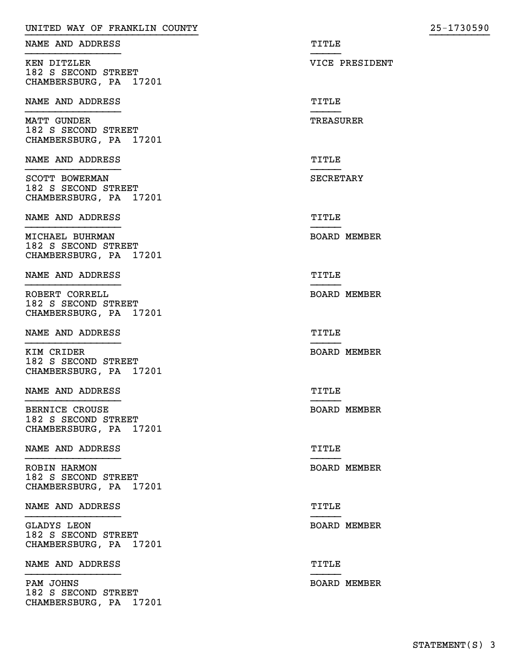| UNITED WAY OF FRANKLIN COUNTY                                    | 25-1730590          |
|------------------------------------------------------------------|---------------------|
| NAME AND ADDRESS                                                 | TITLE               |
| KEN DITZLER<br>182 S SECOND STREET<br>CHAMBERSBURG, PA 17201     | VICE PRESIDENT      |
| NAME AND ADDRESS                                                 | TITLE               |
| MATT GUNDER<br>182 S SECOND STREET<br>CHAMBERSBURG, PA 17201     | <b>TREASURER</b>    |
| NAME AND ADDRESS                                                 | TITLE               |
| SCOTT BOWERMAN<br>182 S SECOND STREET<br>CHAMBERSBURG, PA 17201  | SECRETARY           |
| NAME AND ADDRESS                                                 | TITLE               |
| MICHAEL BUHRMAN<br>182 S SECOND STREET<br>CHAMBERSBURG, PA 17201 | <b>BOARD MEMBER</b> |
| NAME AND ADDRESS                                                 | TITLE               |
| ROBERT CORRELL<br>182 S SECOND STREET<br>CHAMBERSBURG, PA 17201  | <b>BOARD MEMBER</b> |
| NAME AND ADDRESS                                                 | TITLE               |
| KIM CRIDER<br>182 S SECOND STREET<br>CHAMBERSBURG, PA 17201      | <b>BOARD MEMBER</b> |
| NAME AND ADDRESS                                                 | TITLE               |
| BERNICE CROUSE<br>182 S SECOND STREET<br>CHAMBERSBURG, PA 17201  | <b>BOARD MEMBER</b> |
| NAME AND ADDRESS                                                 | TITLE               |
| ROBIN HARMON<br>182 S SECOND STREET<br>CHAMBERSBURG, PA 17201    | <b>BOARD MEMBER</b> |
| NAME AND ADDRESS                                                 | TITLE               |
| GLADYS LEON<br>182 S SECOND STREET<br>CHAMBERSBURG, PA 17201     | <b>BOARD MEMBER</b> |
| NAME AND ADDRESS                                                 | TITLE               |
| PAM JOHNS<br>182 S SECOND STREET<br>CHAMBERSBURG, PA 17201       | <b>BOARD MEMBER</b> |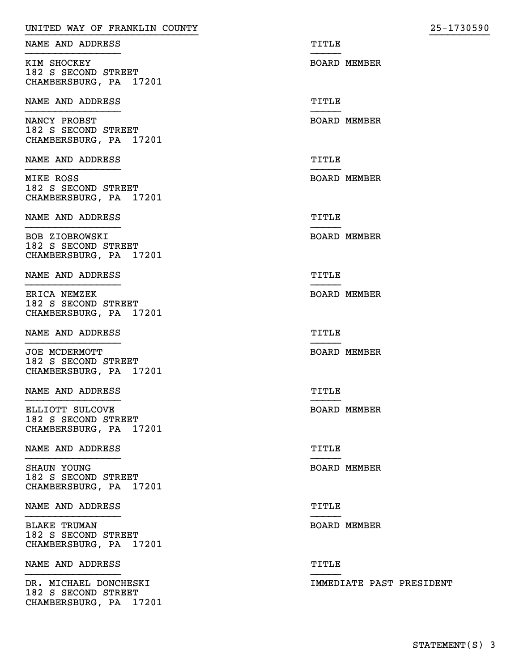| UNITED WAY OF FRANKLIN COUNTY                                          | 25-1730590               |
|------------------------------------------------------------------------|--------------------------|
| NAME AND ADDRESS                                                       | TITLE                    |
| KIM SHOCKEY<br>182 S SECOND STREET<br>CHAMBERSBURG, PA 17201           | <b>BOARD MEMBER</b>      |
| NAME AND ADDRESS                                                       | TITLE                    |
| NANCY PROBST<br>182 S SECOND STREET<br>CHAMBERSBURG, PA 17201          | <b>BOARD MEMBER</b>      |
| NAME AND ADDRESS                                                       | TITLE                    |
| MIKE ROSS<br>182 S SECOND STREET<br>CHAMBERSBURG, PA 17201             | <b>BOARD MEMBER</b>      |
| NAME AND ADDRESS                                                       | TITLE                    |
| BOB ZIOBROWSKI<br>182 S SECOND STREET<br>CHAMBERSBURG, PA 17201        | <b>BOARD MEMBER</b>      |
| NAME AND ADDRESS                                                       | TITLE                    |
| <b>ERICA NEMZEK</b><br>182 S SECOND STREET<br>CHAMBERSBURG, PA 17201   | <b>BOARD MEMBER</b>      |
| NAME AND ADDRESS                                                       | TITLE                    |
| JOE MCDERMOTT<br>182 S SECOND STREET<br>CHAMBERSBURG, PA 17201         | <b>BOARD MEMBER</b>      |
| NAME AND ADDRESS                                                       | TITLE                    |
| ELLIOTT SULCOVE<br>182 S SECOND STREET<br>CHAMBERSBURG, PA 17201       | <b>BOARD MEMBER</b>      |
| NAME AND ADDRESS                                                       | TITLE                    |
| SHAUN YOUNG<br>182 S SECOND STREET<br>CHAMBERSBURG, PA 17201           | <b>BOARD MEMBER</b>      |
| NAME AND ADDRESS                                                       | TITLE                    |
| <b>BLAKE TRUMAN</b><br>182 S SECOND STREET<br>CHAMBERSBURG, PA 17201   | BOARD MEMBER             |
| NAME AND ADDRESS                                                       | TITLE                    |
| DR. MICHAEL DONCHESKI<br>182 S SECOND STREET<br>CHAMBERSBURG, PA 17201 | IMMEDIATE PAST PRESIDENT |